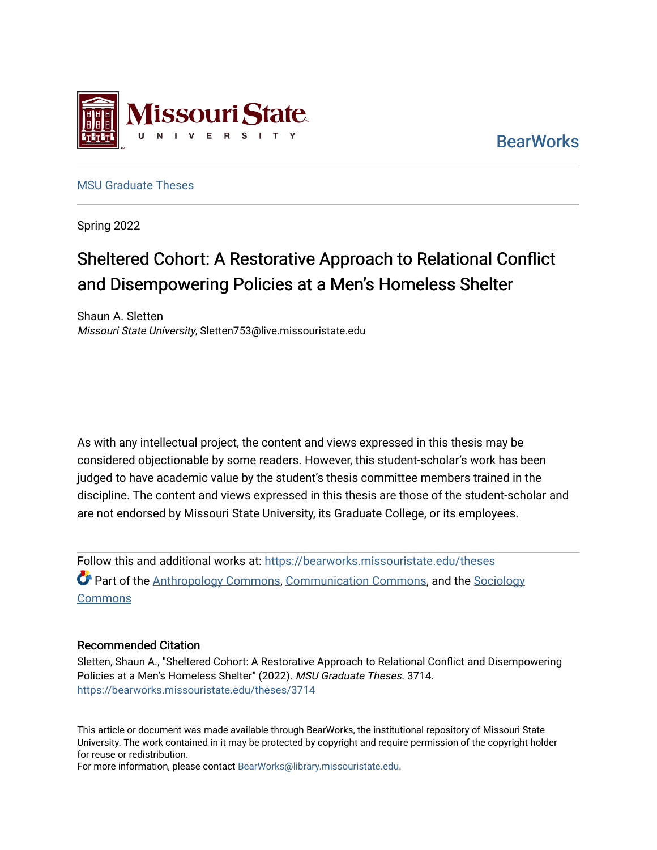

**BearWorks** 

[MSU Graduate Theses](https://bearworks.missouristate.edu/theses) 

Spring 2022

# Sheltered Cohort: A Restorative Approach to Relational Conflict and Disempowering Policies at a Men's Homeless Shelter

Shaun A. Sletten Missouri State University, Sletten753@live.missouristate.edu

As with any intellectual project, the content and views expressed in this thesis may be considered objectionable by some readers. However, this student-scholar's work has been judged to have academic value by the student's thesis committee members trained in the discipline. The content and views expressed in this thesis are those of the student-scholar and are not endorsed by Missouri State University, its Graduate College, or its employees.

Follow this and additional works at: [https://bearworks.missouristate.edu/theses](https://bearworks.missouristate.edu/theses?utm_source=bearworks.missouristate.edu%2Ftheses%2F3714&utm_medium=PDF&utm_campaign=PDFCoverPages)  **Part of the [Anthropology Commons](http://network.bepress.com/hgg/discipline/318?utm_source=bearworks.missouristate.edu%2Ftheses%2F3714&utm_medium=PDF&utm_campaign=PDFCoverPages), [Communication Commons,](http://network.bepress.com/hgg/discipline/325?utm_source=bearworks.missouristate.edu%2Ftheses%2F3714&utm_medium=PDF&utm_campaign=PDFCoverPages) and the [Sociology](http://network.bepress.com/hgg/discipline/416?utm_source=bearworks.missouristate.edu%2Ftheses%2F3714&utm_medium=PDF&utm_campaign=PDFCoverPages) Commons** 

#### Recommended Citation

Sletten, Shaun A., "Sheltered Cohort: A Restorative Approach to Relational Conflict and Disempowering Policies at a Men's Homeless Shelter" (2022). MSU Graduate Theses. 3714. [https://bearworks.missouristate.edu/theses/3714](https://bearworks.missouristate.edu/theses/3714?utm_source=bearworks.missouristate.edu%2Ftheses%2F3714&utm_medium=PDF&utm_campaign=PDFCoverPages) 

This article or document was made available through BearWorks, the institutional repository of Missouri State University. The work contained in it may be protected by copyright and require permission of the copyright holder for reuse or redistribution.

For more information, please contact [BearWorks@library.missouristate.edu.](mailto:BearWorks@library.missouristate.edu)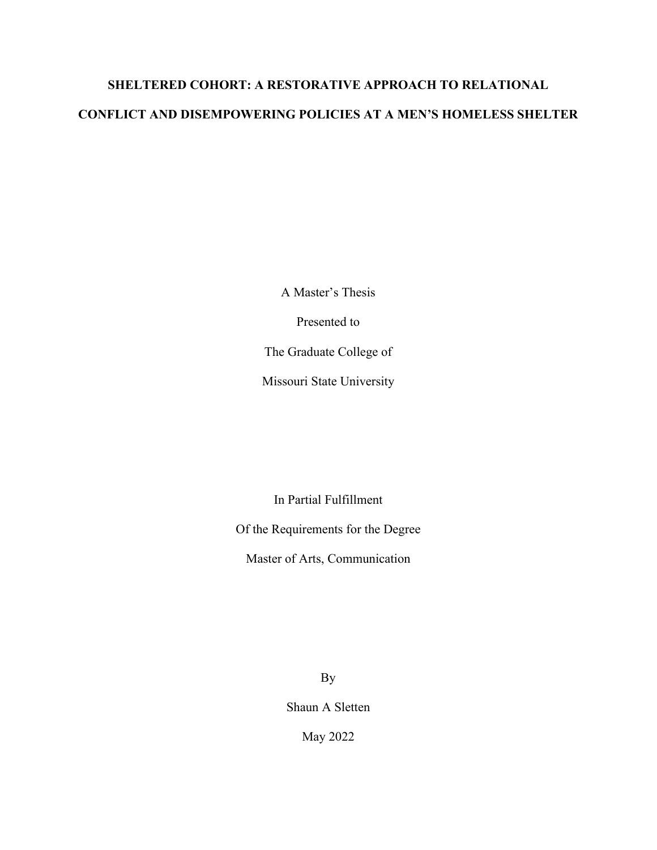# **SHELTERED COHORT: A RESTORATIVE APPROACH TO RELATIONAL CONFLICT AND DISEMPOWERING POLICIES AT A MEN'S HOMELESS SHELTER**

A Master's Thesis

Presented to

The Graduate College of

Missouri State University

In Partial Fulfillment

Of the Requirements for the Degree

Master of Arts, Communication

By

Shaun A Sletten

May 2022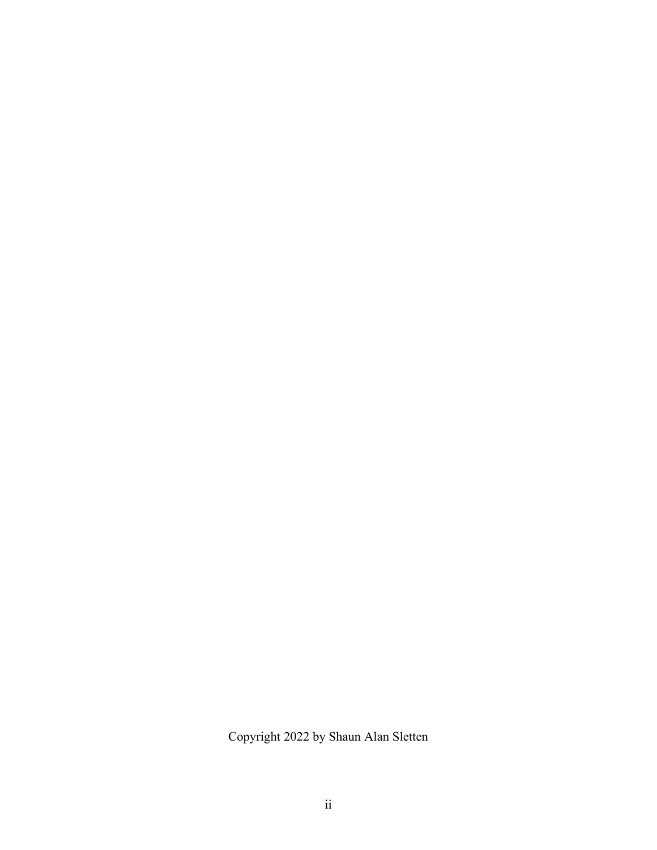Copyright 2022 by Shaun Alan Sletten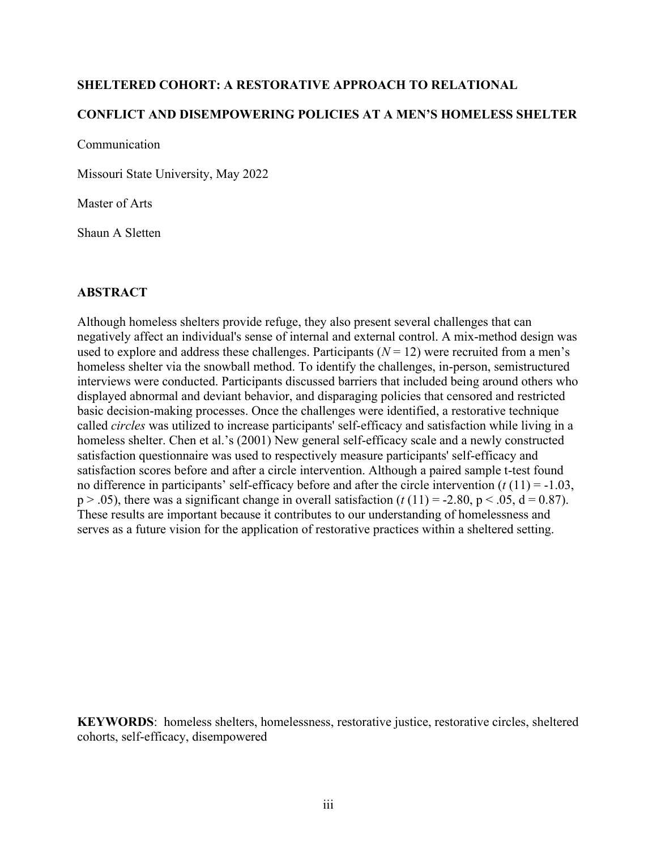### **SHELTERED COHORT: A RESTORATIVE APPROACH TO RELATIONAL**

## **CONFLICT AND DISEMPOWERING POLICIES AT A MEN'S HOMELESS SHELTER**

Communication

Missouri State University, May 2022

Master of Arts

Shaun A Sletten

### **ABSTRACT**

Although homeless shelters provide refuge, they also present several challenges that can negatively affect an individual's sense of internal and external control. A mix-method design was used to explore and address these challenges. Participants  $(N = 12)$  were recruited from a men's homeless shelter via the snowball method. To identify the challenges, in-person, semistructured interviews were conducted. Participants discussed barriers that included being around others who displayed abnormal and deviant behavior, and disparaging policies that censored and restricted basic decision-making processes. Once the challenges were identified, a restorative technique called *circles* was utilized to increase participants' self-efficacy and satisfaction while living in a homeless shelter. Chen et al.'s (2001) New general self-efficacy scale and a newly constructed satisfaction questionnaire was used to respectively measure participants' self-efficacy and satisfaction scores before and after a circle intervention. Although a paired sample t-test found no difference in participants' self-efficacy before and after the circle intervention (*t* (11) = -1.03,  $p > .05$ ), there was a significant change in overall satisfaction ( $t(11) = -2.80$ ,  $p < .05$ ,  $d = 0.87$ ). These results are important because it contributes to our understanding of homelessness and serves as a future vision for the application of restorative practices within a sheltered setting.

**KEYWORDS**: homeless shelters, homelessness, restorative justice, restorative circles, sheltered cohorts, self-efficacy, disempowered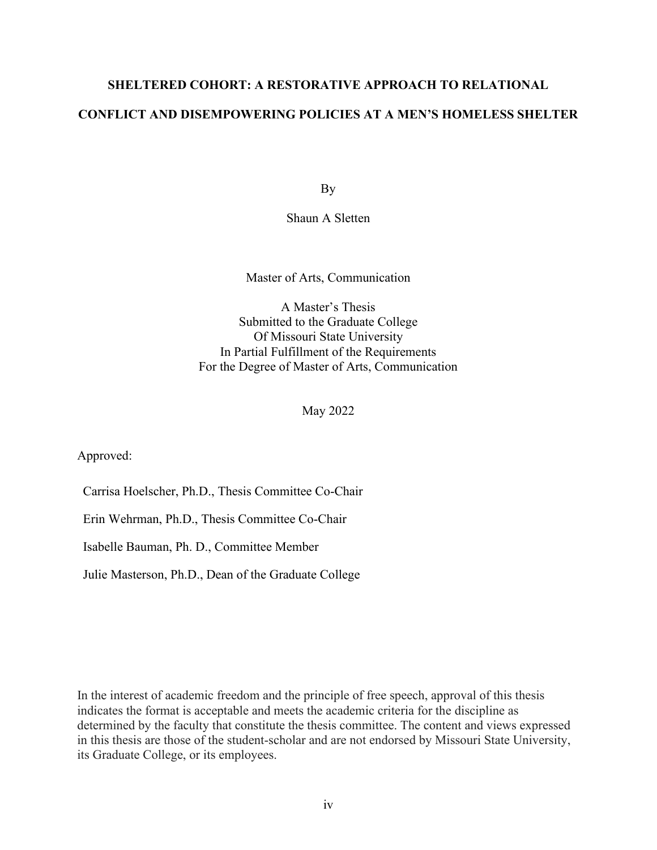## **SHELTERED COHORT: A RESTORATIVE APPROACH TO RELATIONAL CONFLICT AND DISEMPOWERING POLICIES AT A MEN'S HOMELESS SHELTER**

By

Shaun A Sletten

Master of Arts, Communication

A Master's Thesis Submitted to the Graduate College Of Missouri State University In Partial Fulfillment of the Requirements For the Degree of Master of Arts, Communication

May 2022

Approved:

Carrisa Hoelscher, Ph.D., Thesis Committee Co-Chair

Erin Wehrman, Ph.D., Thesis Committee Co-Chair

Isabelle Bauman, Ph. D., Committee Member

Julie Masterson, Ph.D., Dean of the Graduate College

In the interest of academic freedom and the principle of free speech, approval of this thesis indicates the format is acceptable and meets the academic criteria for the discipline as determined by the faculty that constitute the thesis committee. The content and views expressed in this thesis are those of the student-scholar and are not endorsed by Missouri State University, its Graduate College, or its employees.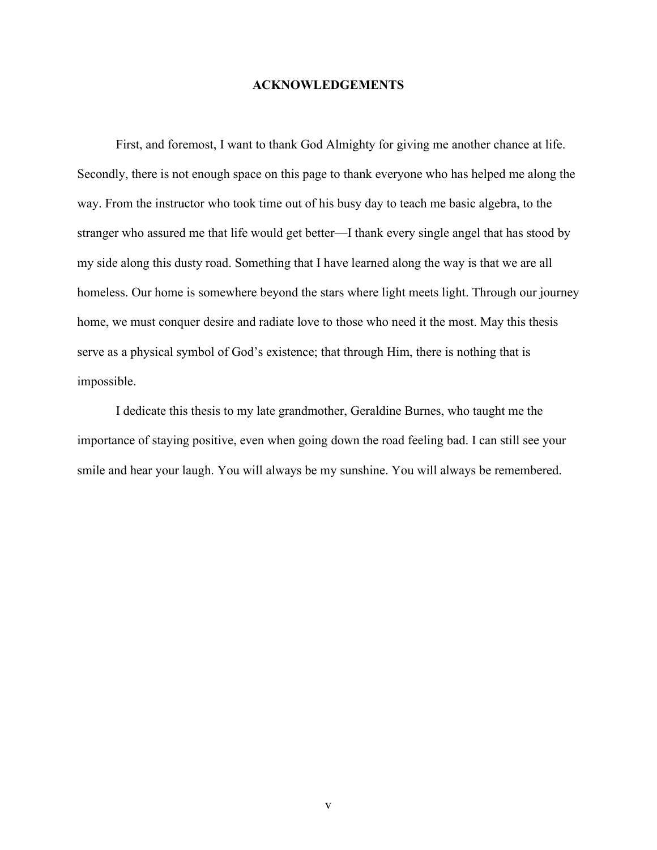#### **ACKNOWLEDGEMENTS**

First, and foremost, I want to thank God Almighty for giving me another chance at life. Secondly, there is not enough space on this page to thank everyone who has helped me along the way. From the instructor who took time out of his busy day to teach me basic algebra, to the stranger who assured me that life would get better—I thank every single angel that has stood by my side along this dusty road. Something that I have learned along the way is that we are all homeless. Our home is somewhere beyond the stars where light meets light. Through our journey home, we must conquer desire and radiate love to those who need it the most. May this thesis serve as a physical symbol of God's existence; that through Him, there is nothing that is impossible.

I dedicate this thesis to my late grandmother, Geraldine Burnes, who taught me the importance of staying positive, even when going down the road feeling bad. I can still see your smile and hear your laugh. You will always be my sunshine. You will always be remembered.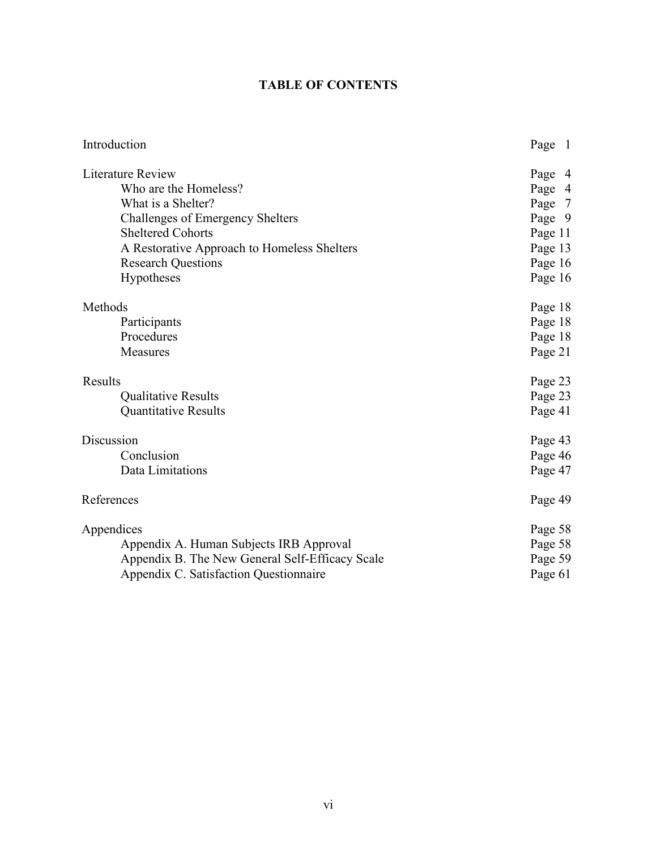## **TABLE OF CONTENTS**

| Introduction                                    | Page 1  |
|-------------------------------------------------|---------|
| Literature Review                               | Page 4  |
| Who are the Homeless?                           | Page 4  |
| What is a Shelter?                              | Page 7  |
| Challenges of Emergency Shelters                | Page 9  |
| <b>Sheltered Cohorts</b>                        | Page 11 |
| A Restorative Approach to Homeless Shelters     | Page 13 |
| <b>Research Questions</b>                       | Page 16 |
| Hypotheses                                      | Page 16 |
| Methods                                         | Page 18 |
| Participants                                    | Page 18 |
| Procedures                                      | Page 18 |
| Measures                                        | Page 21 |
| Results                                         | Page 23 |
| Qualitative Results                             | Page 23 |
| <b>Quantitative Results</b>                     | Page 41 |
| Discussion                                      | Page 43 |
| Conclusion                                      | Page 46 |
| Data Limitations                                | Page 47 |
| References                                      | Page 49 |
| Appendices                                      | Page 58 |
| Appendix A. Human Subjects IRB Approval         | Page 58 |
| Appendix B. The New General Self-Efficacy Scale | Page 59 |
| Appendix C. Satisfaction Questionnaire          | Page 61 |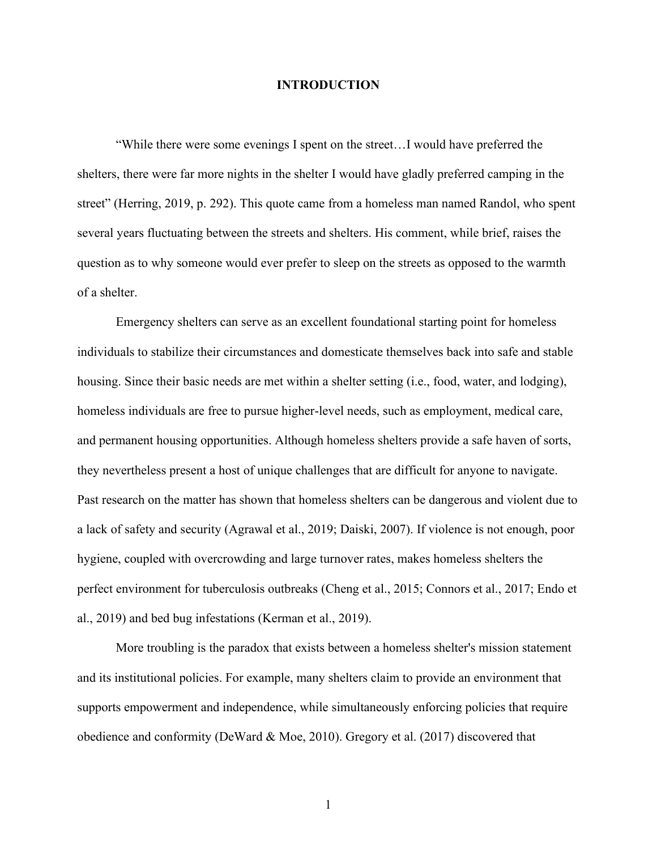#### **INTRODUCTION**

"While there were some evenings I spent on the street…I would have preferred the shelters, there were far more nights in the shelter I would have gladly preferred camping in the street" (Herring, 2019, p. 292). This quote came from a homeless man named Randol, who spent several years fluctuating between the streets and shelters. His comment, while brief, raises the question as to why someone would ever prefer to sleep on the streets as opposed to the warmth of a shelter.

Emergency shelters can serve as an excellent foundational starting point for homeless individuals to stabilize their circumstances and domesticate themselves back into safe and stable housing. Since their basic needs are met within a shelter setting (i.e., food, water, and lodging), homeless individuals are free to pursue higher-level needs, such as employment, medical care, and permanent housing opportunities. Although homeless shelters provide a safe haven of sorts, they nevertheless present a host of unique challenges that are difficult for anyone to navigate. Past research on the matter has shown that homeless shelters can be dangerous and violent due to a lack of safety and security (Agrawal et al., 2019; Daiski, 2007). If violence is not enough, poor hygiene, coupled with overcrowding and large turnover rates, makes homeless shelters the perfect environment for tuberculosis outbreaks (Cheng et al., 2015; Connors et al., 2017; Endo et al., 2019) and bed bug infestations (Kerman et al., 2019).

More troubling is the paradox that exists between a homeless shelter's mission statement and its institutional policies. For example, many shelters claim to provide an environment that supports empowerment and independence, while simultaneously enforcing policies that require obedience and conformity (DeWard & Moe, 2010). Gregory et al. (2017) discovered that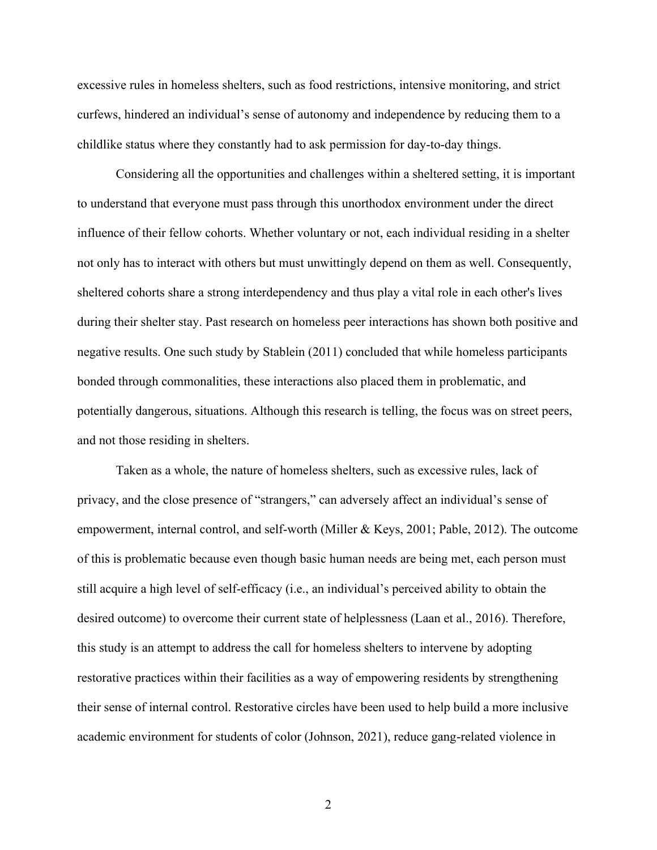excessive rules in homeless shelters, such as food restrictions, intensive monitoring, and strict curfews, hindered an individual's sense of autonomy and independence by reducing them to a childlike status where they constantly had to ask permission for day-to-day things.

Considering all the opportunities and challenges within a sheltered setting, it is important to understand that everyone must pass through this unorthodox environment under the direct influence of their fellow cohorts. Whether voluntary or not, each individual residing in a shelter not only has to interact with others but must unwittingly depend on them as well. Consequently, sheltered cohorts share a strong interdependency and thus play a vital role in each other's lives during their shelter stay. Past research on homeless peer interactions has shown both positive and negative results. One such study by Stablein (2011) concluded that while homeless participants bonded through commonalities, these interactions also placed them in problematic, and potentially dangerous, situations. Although this research is telling, the focus was on street peers, and not those residing in shelters.

Taken as a whole, the nature of homeless shelters, such as excessive rules, lack of privacy, and the close presence of "strangers," can adversely affect an individual's sense of empowerment, internal control, and self-worth (Miller & Keys, 2001; Pable, 2012). The outcome of this is problematic because even though basic human needs are being met, each person must still acquire a high level of self-efficacy (i.e., an individual's perceived ability to obtain the desired outcome) to overcome their current state of helplessness (Laan et al., 2016). Therefore, this study is an attempt to address the call for homeless shelters to intervene by adopting restorative practices within their facilities as a way of empowering residents by strengthening their sense of internal control. Restorative circles have been used to help build a more inclusive academic environment for students of color (Johnson, 2021), reduce gang-related violence in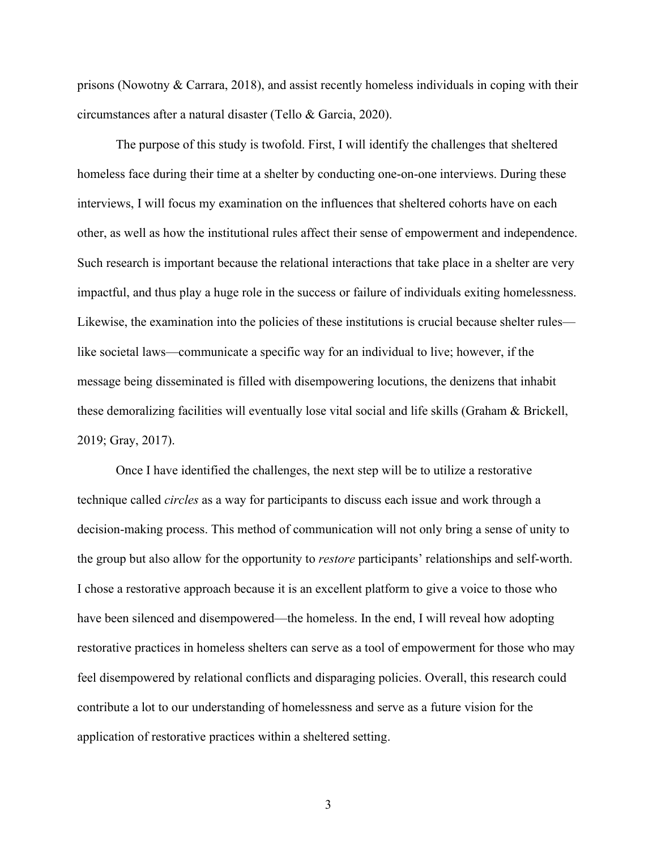prisons (Nowotny & Carrara, 2018), and assist recently homeless individuals in coping with their circumstances after a natural disaster (Tello & Garcia, 2020).

The purpose of this study is twofold. First, I will identify the challenges that sheltered homeless face during their time at a shelter by conducting one-on-one interviews. During these interviews, I will focus my examination on the influences that sheltered cohorts have on each other, as well as how the institutional rules affect their sense of empowerment and independence. Such research is important because the relational interactions that take place in a shelter are very impactful, and thus play a huge role in the success or failure of individuals exiting homelessness. Likewise, the examination into the policies of these institutions is crucial because shelter rules like societal laws—communicate a specific way for an individual to live; however, if the message being disseminated is filled with disempowering locutions, the denizens that inhabit these demoralizing facilities will eventually lose vital social and life skills (Graham & Brickell, 2019; Gray, 2017).

Once I have identified the challenges, the next step will be to utilize a restorative technique called *circles* as a way for participants to discuss each issue and work through a decision-making process. This method of communication will not only bring a sense of unity to the group but also allow for the opportunity to *restore* participants' relationships and self-worth. I chose a restorative approach because it is an excellent platform to give a voice to those who have been silenced and disempowered—the homeless. In the end, I will reveal how adopting restorative practices in homeless shelters can serve as a tool of empowerment for those who may feel disempowered by relational conflicts and disparaging policies. Overall, this research could contribute a lot to our understanding of homelessness and serve as a future vision for the application of restorative practices within a sheltered setting.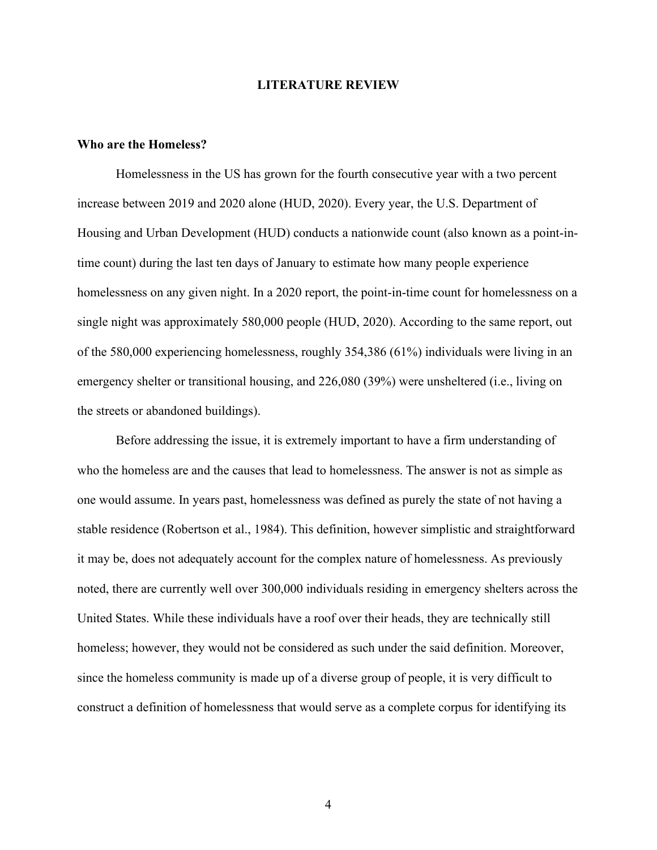#### **LITERATURE REVIEW**

#### **Who are the Homeless?**

Homelessness in the US has grown for the fourth consecutive year with a two percent increase between 2019 and 2020 alone (HUD, 2020). Every year, the U.S. Department of Housing and Urban Development (HUD) conducts a nationwide count (also known as a point-intime count) during the last ten days of January to estimate how many people experience homelessness on any given night. In a 2020 report, the point-in-time count for homelessness on a single night was approximately 580,000 people (HUD, 2020). According to the same report, out of the 580,000 experiencing homelessness, roughly 354,386 (61%) individuals were living in an emergency shelter or transitional housing, and 226,080 (39%) were unsheltered (i.e., living on the streets or abandoned buildings).

Before addressing the issue, it is extremely important to have a firm understanding of who the homeless are and the causes that lead to homelessness. The answer is not as simple as one would assume. In years past, homelessness was defined as purely the state of not having a stable residence (Robertson et al., 1984). This definition, however simplistic and straightforward it may be, does not adequately account for the complex nature of homelessness. As previously noted, there are currently well over 300,000 individuals residing in emergency shelters across the United States. While these individuals have a roof over their heads, they are technically still homeless; however, they would not be considered as such under the said definition. Moreover, since the homeless community is made up of a diverse group of people, it is very difficult to construct a definition of homelessness that would serve as a complete corpus for identifying its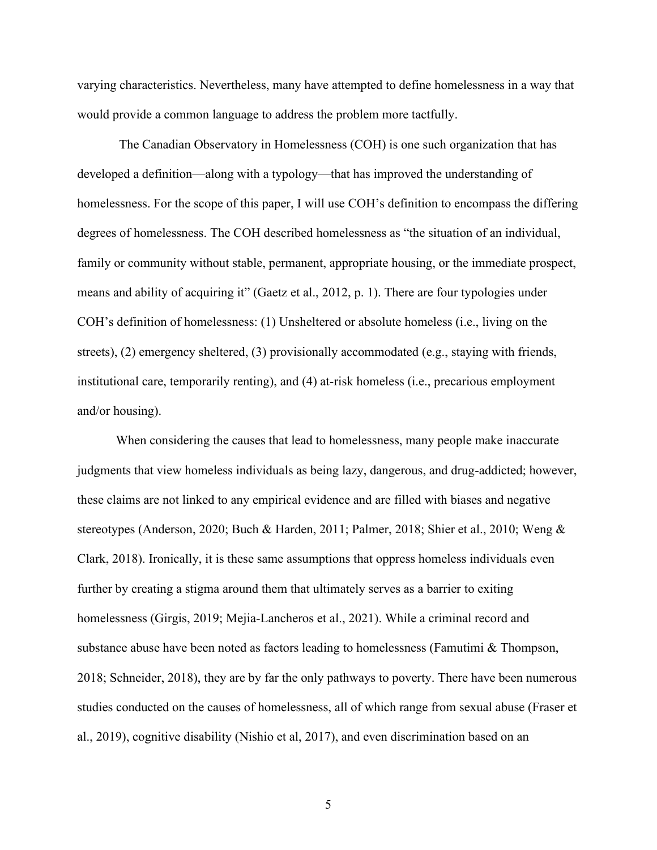varying characteristics. Nevertheless, many have attempted to define homelessness in a way that would provide a common language to address the problem more tactfully.

The Canadian Observatory in Homelessness (COH) is one such organization that has developed a definition—along with a typology—that has improved the understanding of homelessness. For the scope of this paper, I will use COH's definition to encompass the differing degrees of homelessness. The COH described homelessness as "the situation of an individual, family or community without stable, permanent, appropriate housing, or the immediate prospect, means and ability of acquiring it" (Gaetz et al., 2012, p. 1). There are four typologies under COH's definition of homelessness: (1) Unsheltered or absolute homeless (i.e., living on the streets), (2) emergency sheltered, (3) provisionally accommodated (e.g., staying with friends, institutional care, temporarily renting), and (4) at-risk homeless (i.e., precarious employment and/or housing).

When considering the causes that lead to homelessness, many people make inaccurate judgments that view homeless individuals as being lazy, dangerous, and drug-addicted; however, these claims are not linked to any empirical evidence and are filled with biases and negative stereotypes (Anderson, 2020; Buch & Harden, 2011; Palmer, 2018; Shier et al., 2010; Weng & Clark, 2018). Ironically, it is these same assumptions that oppress homeless individuals even further by creating a stigma around them that ultimately serves as a barrier to exiting homelessness (Girgis, 2019; Mejia-Lancheros et al., 2021). While a criminal record and substance abuse have been noted as factors leading to homelessness (Famutimi  $\&$  Thompson, 2018; Schneider, 2018), they are by far the only pathways to poverty. There have been numerous studies conducted on the causes of homelessness, all of which range from sexual abuse (Fraser et al., 2019), cognitive disability (Nishio et al, 2017), and even discrimination based on an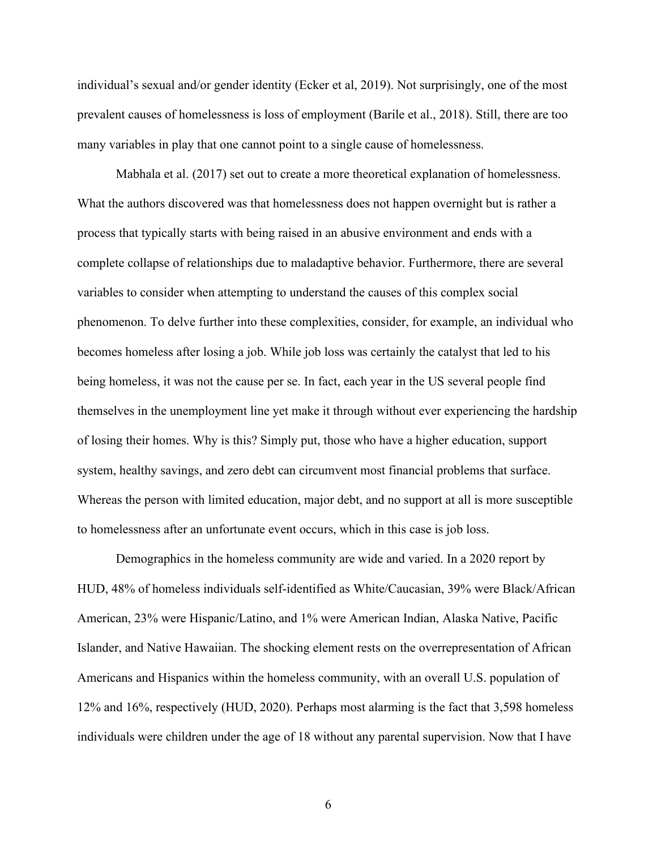individual's sexual and/or gender identity (Ecker et al, 2019). Not surprisingly, one of the most prevalent causes of homelessness is loss of employment (Barile et al., 2018). Still, there are too many variables in play that one cannot point to a single cause of homelessness.

Mabhala et al. (2017) set out to create a more theoretical explanation of homelessness. What the authors discovered was that homelessness does not happen overnight but is rather a process that typically starts with being raised in an abusive environment and ends with a complete collapse of relationships due to maladaptive behavior. Furthermore, there are several variables to consider when attempting to understand the causes of this complex social phenomenon. To delve further into these complexities, consider, for example, an individual who becomes homeless after losing a job. While job loss was certainly the catalyst that led to his being homeless, it was not the cause per se. In fact, each year in the US several people find themselves in the unemployment line yet make it through without ever experiencing the hardship of losing their homes. Why is this? Simply put, those who have a higher education, support system, healthy savings, and zero debt can circumvent most financial problems that surface. Whereas the person with limited education, major debt, and no support at all is more susceptible to homelessness after an unfortunate event occurs, which in this case is job loss.

Demographics in the homeless community are wide and varied. In a 2020 report by HUD, 48% of homeless individuals self-identified as White/Caucasian, 39% were Black/African American, 23% were Hispanic/Latino, and 1% were American Indian, Alaska Native, Pacific Islander, and Native Hawaiian. The shocking element rests on the overrepresentation of African Americans and Hispanics within the homeless community, with an overall U.S. population of 12% and 16%, respectively (HUD, 2020). Perhaps most alarming is the fact that 3,598 homeless individuals were children under the age of 18 without any parental supervision. Now that I have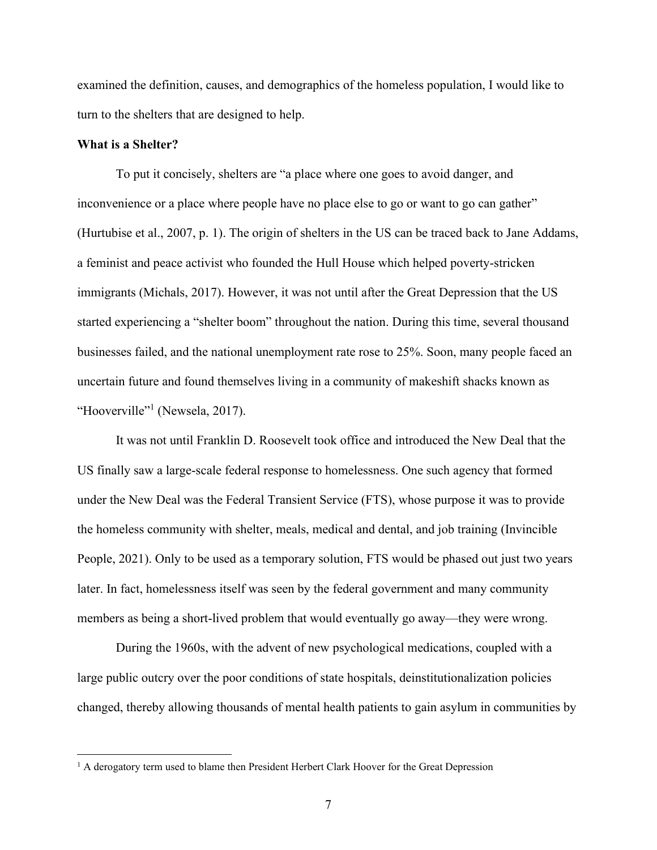examined the definition, causes, and demographics of the homeless population, I would like to turn to the shelters that are designed to help.

#### **What is a Shelter?**

To put it concisely, shelters are "a place where one goes to avoid danger, and inconvenience or a place where people have no place else to go or want to go can gather" (Hurtubise et al., 2007, p. 1). The origin of shelters in the US can be traced back to Jane Addams, a feminist and peace activist who founded the Hull House which helped poverty-stricken immigrants (Michals, 2017). However, it was not until after the Great Depression that the US started experiencing a "shelter boom" throughout the nation. During this time, several thousand businesses failed, and the national unemployment rate rose to 25%. Soon, many people faced an uncertain future and found themselves living in a community of makeshift shacks known as "Hooverville"<sup>1</sup> (Newsela, 2017).

It was not until Franklin D. Roosevelt took office and introduced the New Deal that the US finally saw a large-scale federal response to homelessness. One such agency that formed under the New Deal was the Federal Transient Service (FTS), whose purpose it was to provide the homeless community with shelter, meals, medical and dental, and job training (Invincible People, 2021). Only to be used as a temporary solution, FTS would be phased out just two years later. In fact, homelessness itself was seen by the federal government and many community members as being a short-lived problem that would eventually go away—they were wrong.

During the 1960s, with the advent of new psychological medications, coupled with a large public outcry over the poor conditions of state hospitals, deinstitutionalization policies changed, thereby allowing thousands of mental health patients to gain asylum in communities by

<sup>&</sup>lt;sup>1</sup> A derogatory term used to blame then President Herbert Clark Hoover for the Great Depression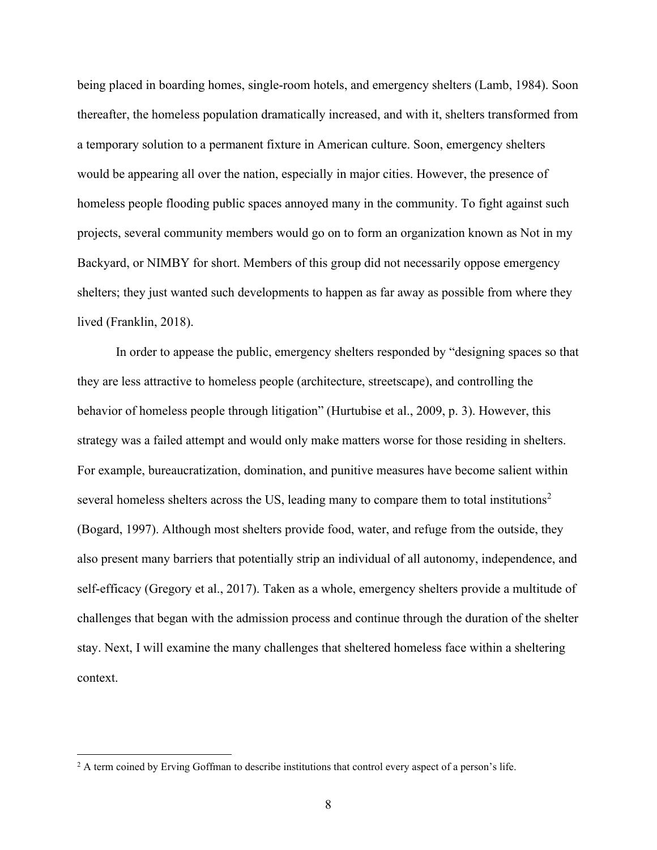being placed in boarding homes, single-room hotels, and emergency shelters (Lamb, 1984). Soon thereafter, the homeless population dramatically increased, and with it, shelters transformed from a temporary solution to a permanent fixture in American culture. Soon, emergency shelters would be appearing all over the nation, especially in major cities. However, the presence of homeless people flooding public spaces annoyed many in the community. To fight against such projects, several community members would go on to form an organization known as Not in my Backyard, or NIMBY for short. Members of this group did not necessarily oppose emergency shelters; they just wanted such developments to happen as far away as possible from where they lived (Franklin, 2018).

In order to appease the public, emergency shelters responded by "designing spaces so that they are less attractive to homeless people (architecture, streetscape), and controlling the behavior of homeless people through litigation" (Hurtubise et al., 2009, p. 3). However, this strategy was a failed attempt and would only make matters worse for those residing in shelters. For example, bureaucratization, domination, and punitive measures have become salient within several homeless shelters across the US, leading many to compare them to total institutions<sup>2</sup> (Bogard, 1997). Although most shelters provide food, water, and refuge from the outside, they also present many barriers that potentially strip an individual of all autonomy, independence, and self-efficacy (Gregory et al., 2017). Taken as a whole, emergency shelters provide a multitude of challenges that began with the admission process and continue through the duration of the shelter stay. Next, I will examine the many challenges that sheltered homeless face within a sheltering context.

<sup>&</sup>lt;sup>2</sup> A term coined by Erving Goffman to describe institutions that control every aspect of a person's life.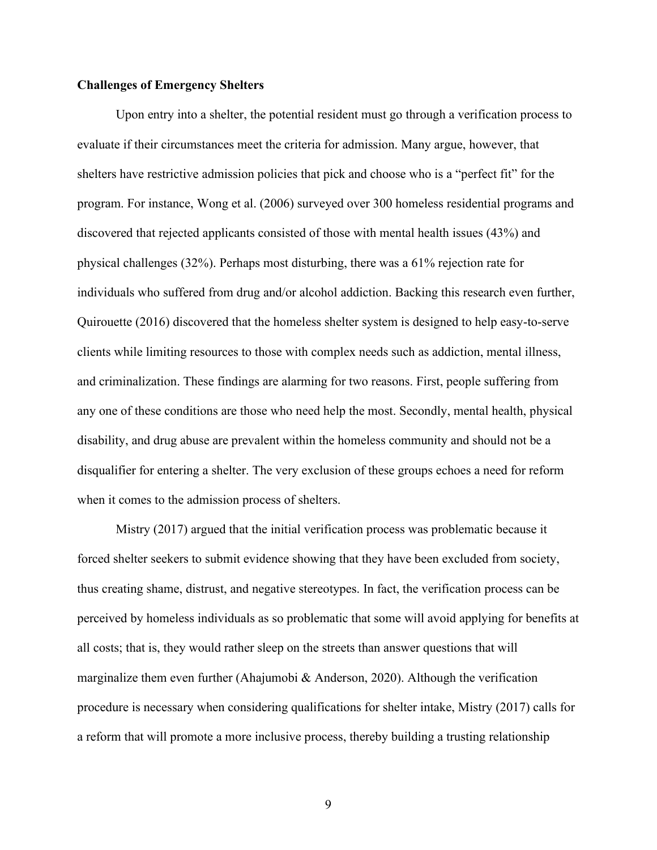#### **Challenges of Emergency Shelters**

Upon entry into a shelter, the potential resident must go through a verification process to evaluate if their circumstances meet the criteria for admission. Many argue, however, that shelters have restrictive admission policies that pick and choose who is a "perfect fit" for the program. For instance, Wong et al. (2006) surveyed over 300 homeless residential programs and discovered that rejected applicants consisted of those with mental health issues (43%) and physical challenges (32%). Perhaps most disturbing, there was a 61% rejection rate for individuals who suffered from drug and/or alcohol addiction. Backing this research even further, Quirouette (2016) discovered that the homeless shelter system is designed to help easy-to-serve clients while limiting resources to those with complex needs such as addiction, mental illness, and criminalization. These findings are alarming for two reasons. First, people suffering from any one of these conditions are those who need help the most. Secondly, mental health, physical disability, and drug abuse are prevalent within the homeless community and should not be a disqualifier for entering a shelter. The very exclusion of these groups echoes a need for reform when it comes to the admission process of shelters.

Mistry (2017) argued that the initial verification process was problematic because it forced shelter seekers to submit evidence showing that they have been excluded from society, thus creating shame, distrust, and negative stereotypes. In fact, the verification process can be perceived by homeless individuals as so problematic that some will avoid applying for benefits at all costs; that is, they would rather sleep on the streets than answer questions that will marginalize them even further (Ahajumobi & Anderson, 2020). Although the verification procedure is necessary when considering qualifications for shelter intake, Mistry (2017) calls for a reform that will promote a more inclusive process, thereby building a trusting relationship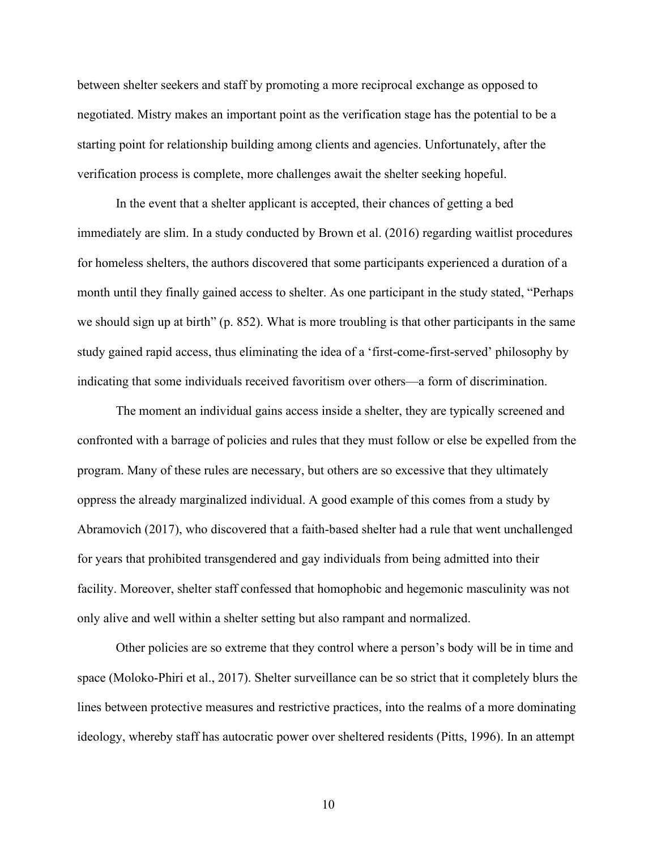between shelter seekers and staff by promoting a more reciprocal exchange as opposed to negotiated. Mistry makes an important point as the verification stage has the potential to be a starting point for relationship building among clients and agencies. Unfortunately, after the verification process is complete, more challenges await the shelter seeking hopeful.

In the event that a shelter applicant is accepted, their chances of getting a bed immediately are slim. In a study conducted by Brown et al. (2016) regarding waitlist procedures for homeless shelters, the authors discovered that some participants experienced a duration of a month until they finally gained access to shelter. As one participant in the study stated, "Perhaps we should sign up at birth" (p. 852). What is more troubling is that other participants in the same study gained rapid access, thus eliminating the idea of a 'first-come-first-served' philosophy by indicating that some individuals received favoritism over others—a form of discrimination.

The moment an individual gains access inside a shelter, they are typically screened and confronted with a barrage of policies and rules that they must follow or else be expelled from the program. Many of these rules are necessary, but others are so excessive that they ultimately oppress the already marginalized individual. A good example of this comes from a study by Abramovich (2017), who discovered that a faith-based shelter had a rule that went unchallenged for years that prohibited transgendered and gay individuals from being admitted into their facility. Moreover, shelter staff confessed that homophobic and hegemonic masculinity was not only alive and well within a shelter setting but also rampant and normalized.

Other policies are so extreme that they control where a person's body will be in time and space (Moloko-Phiri et al., 2017). Shelter surveillance can be so strict that it completely blurs the lines between protective measures and restrictive practices, into the realms of a more dominating ideology, whereby staff has autocratic power over sheltered residents (Pitts, 1996). In an attempt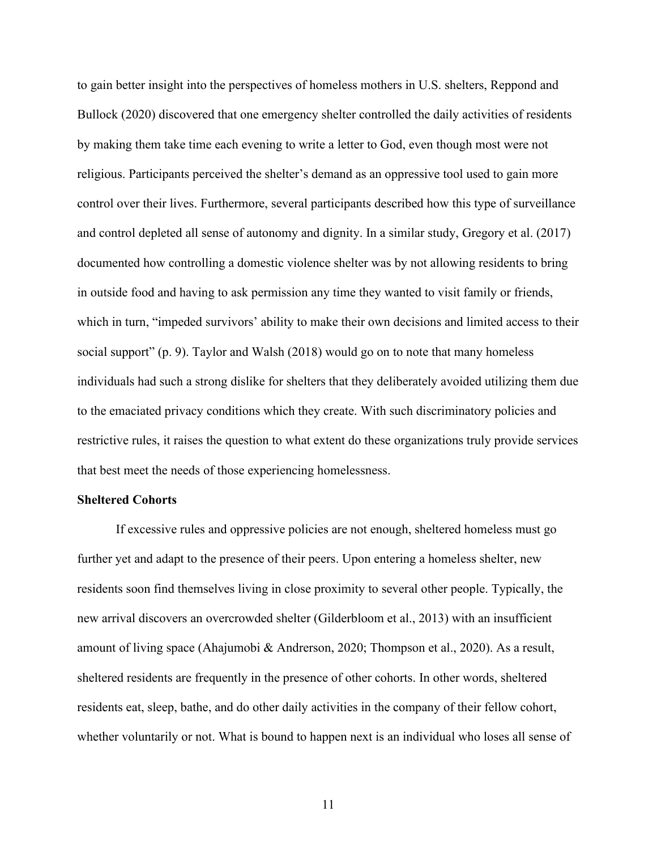to gain better insight into the perspectives of homeless mothers in U.S. shelters, Reppond and Bullock (2020) discovered that one emergency shelter controlled the daily activities of residents by making them take time each evening to write a letter to God, even though most were not religious. Participants perceived the shelter's demand as an oppressive tool used to gain more control over their lives. Furthermore, several participants described how this type of surveillance and control depleted all sense of autonomy and dignity. In a similar study, Gregory et al. (2017) documented how controlling a domestic violence shelter was by not allowing residents to bring in outside food and having to ask permission any time they wanted to visit family or friends, which in turn, "impeded survivors' ability to make their own decisions and limited access to their social support" (p. 9). Taylor and Walsh (2018) would go on to note that many homeless individuals had such a strong dislike for shelters that they deliberately avoided utilizing them due to the emaciated privacy conditions which they create. With such discriminatory policies and restrictive rules, it raises the question to what extent do these organizations truly provide services that best meet the needs of those experiencing homelessness.

#### **Sheltered Cohorts**

If excessive rules and oppressive policies are not enough, sheltered homeless must go further yet and adapt to the presence of their peers. Upon entering a homeless shelter, new residents soon find themselves living in close proximity to several other people. Typically, the new arrival discovers an overcrowded shelter (Gilderbloom et al., 2013) with an insufficient amount of living space (Ahajumobi & Andrerson, 2020; Thompson et al., 2020). As a result, sheltered residents are frequently in the presence of other cohorts. In other words, sheltered residents eat, sleep, bathe, and do other daily activities in the company of their fellow cohort, whether voluntarily or not. What is bound to happen next is an individual who loses all sense of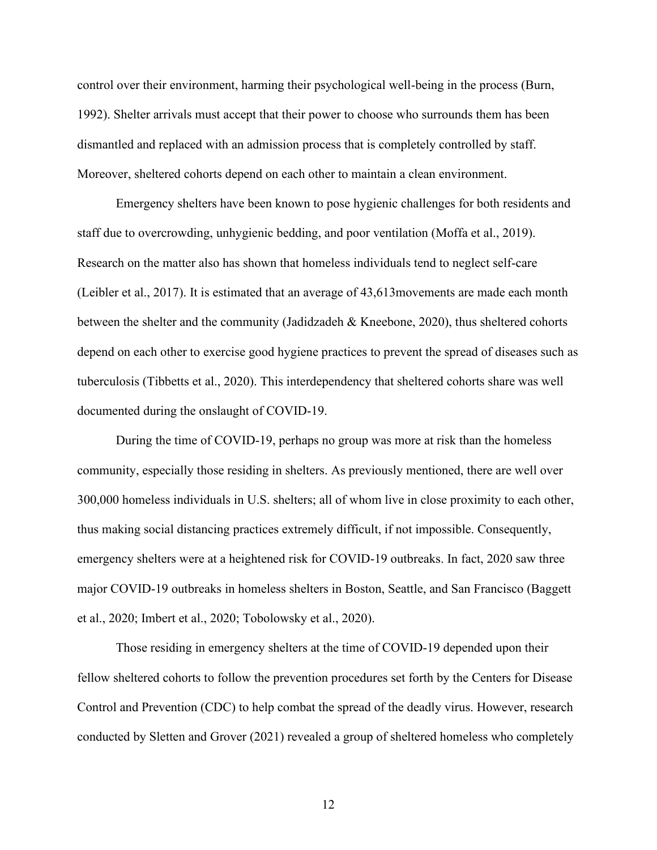control over their environment, harming their psychological well-being in the process (Burn, 1992). Shelter arrivals must accept that their power to choose who surrounds them has been dismantled and replaced with an admission process that is completely controlled by staff. Moreover, sheltered cohorts depend on each other to maintain a clean environment.

Emergency shelters have been known to pose hygienic challenges for both residents and staff due to overcrowding, unhygienic bedding, and poor ventilation (Moffa et al., 2019). Research on the matter also has shown that homeless individuals tend to neglect self-care (Leibler et al., 2017). It is estimated that an average of 43,613movements are made each month between the shelter and the community (Jadidzadeh & Kneebone, 2020), thus sheltered cohorts depend on each other to exercise good hygiene practices to prevent the spread of diseases such as tuberculosis (Tibbetts et al., 2020). This interdependency that sheltered cohorts share was well documented during the onslaught of COVID-19.

During the time of COVID-19, perhaps no group was more at risk than the homeless community, especially those residing in shelters. As previously mentioned, there are well over 300,000 homeless individuals in U.S. shelters; all of whom live in close proximity to each other, thus making social distancing practices extremely difficult, if not impossible. Consequently, emergency shelters were at a heightened risk for COVID-19 outbreaks. In fact, 2020 saw three major COVID-19 outbreaks in homeless shelters in Boston, Seattle, and San Francisco (Baggett et al., 2020; Imbert et al., 2020; Tobolowsky et al., 2020).

Those residing in emergency shelters at the time of COVID-19 depended upon their fellow sheltered cohorts to follow the prevention procedures set forth by the Centers for Disease Control and Prevention (CDC) to help combat the spread of the deadly virus. However, research conducted by Sletten and Grover (2021) revealed a group of sheltered homeless who completely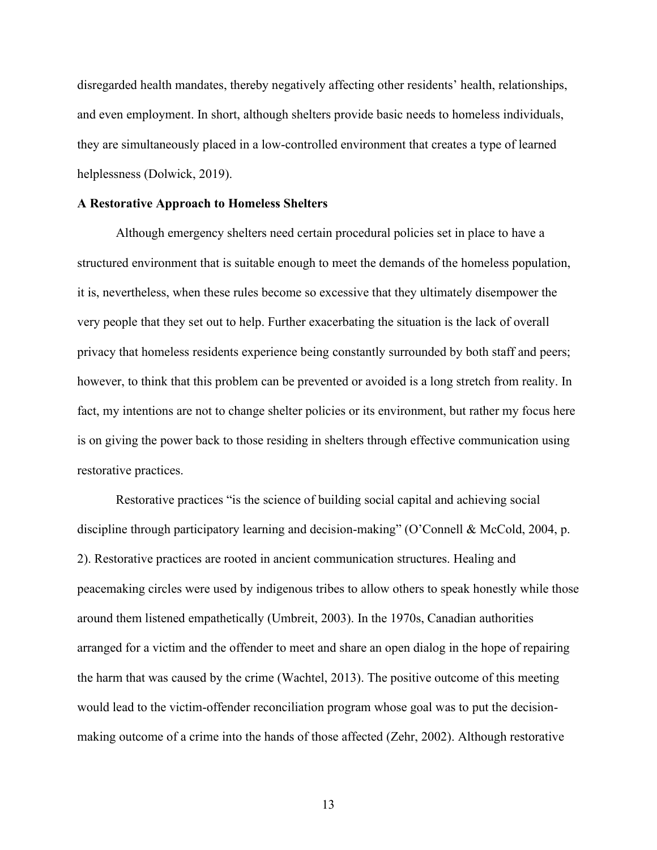disregarded health mandates, thereby negatively affecting other residents' health, relationships, and even employment. In short, although shelters provide basic needs to homeless individuals, they are simultaneously placed in a low-controlled environment that creates a type of learned helplessness (Dolwick, 2019).

#### **A Restorative Approach to Homeless Shelters**

Although emergency shelters need certain procedural policies set in place to have a structured environment that is suitable enough to meet the demands of the homeless population, it is, nevertheless, when these rules become so excessive that they ultimately disempower the very people that they set out to help. Further exacerbating the situation is the lack of overall privacy that homeless residents experience being constantly surrounded by both staff and peers; however, to think that this problem can be prevented or avoided is a long stretch from reality. In fact, my intentions are not to change shelter policies or its environment, but rather my focus here is on giving the power back to those residing in shelters through effective communication using restorative practices.

Restorative practices "is the science of building social capital and achieving social discipline through participatory learning and decision-making" (O'Connell & McCold, 2004, p. 2). Restorative practices are rooted in ancient communication structures. Healing and peacemaking circles were used by indigenous tribes to allow others to speak honestly while those around them listened empathetically (Umbreit, 2003). In the 1970s, Canadian authorities arranged for a victim and the offender to meet and share an open dialog in the hope of repairing the harm that was caused by the crime (Wachtel, 2013). The positive outcome of this meeting would lead to the victim-offender reconciliation program whose goal was to put the decisionmaking outcome of a crime into the hands of those affected (Zehr, 2002). Although restorative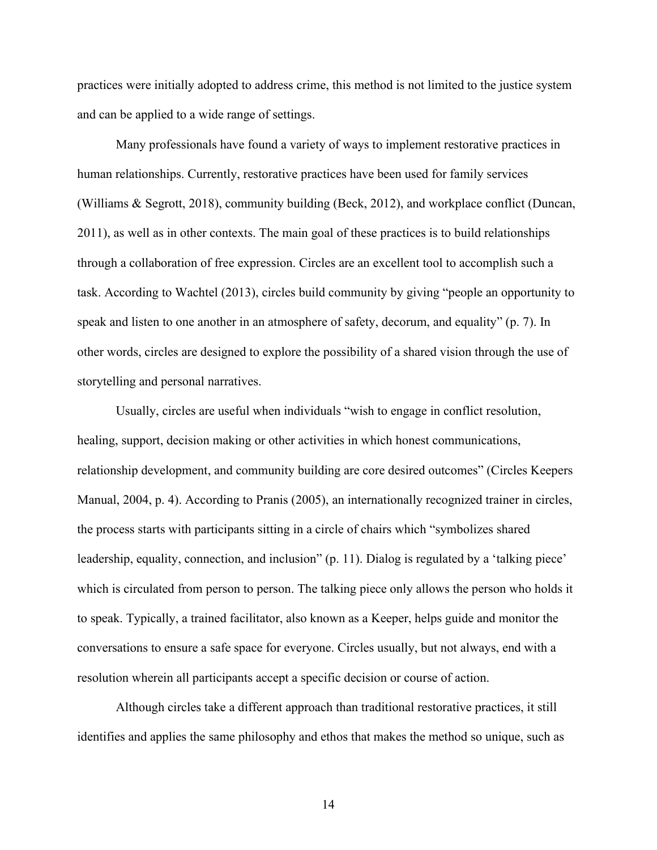practices were initially adopted to address crime, this method is not limited to the justice system and can be applied to a wide range of settings.

Many professionals have found a variety of ways to implement restorative practices in human relationships. Currently, restorative practices have been used for family services (Williams & Segrott, 2018), community building (Beck, 2012), and workplace conflict (Duncan, 2011), as well as in other contexts. The main goal of these practices is to build relationships through a collaboration of free expression. Circles are an excellent tool to accomplish such a task. According to Wachtel (2013), circles build community by giving "people an opportunity to speak and listen to one another in an atmosphere of safety, decorum, and equality" (p. 7). In other words, circles are designed to explore the possibility of a shared vision through the use of storytelling and personal narratives.

Usually, circles are useful when individuals "wish to engage in conflict resolution, healing, support, decision making or other activities in which honest communications, relationship development, and community building are core desired outcomes" (Circles Keepers Manual, 2004, p. 4). According to Pranis (2005), an internationally recognized trainer in circles, the process starts with participants sitting in a circle of chairs which "symbolizes shared leadership, equality, connection, and inclusion" (p. 11). Dialog is regulated by a 'talking piece' which is circulated from person to person. The talking piece only allows the person who holds it to speak. Typically, a trained facilitator, also known as a Keeper, helps guide and monitor the conversations to ensure a safe space for everyone. Circles usually, but not always, end with a resolution wherein all participants accept a specific decision or course of action.

Although circles take a different approach than traditional restorative practices, it still identifies and applies the same philosophy and ethos that makes the method so unique, such as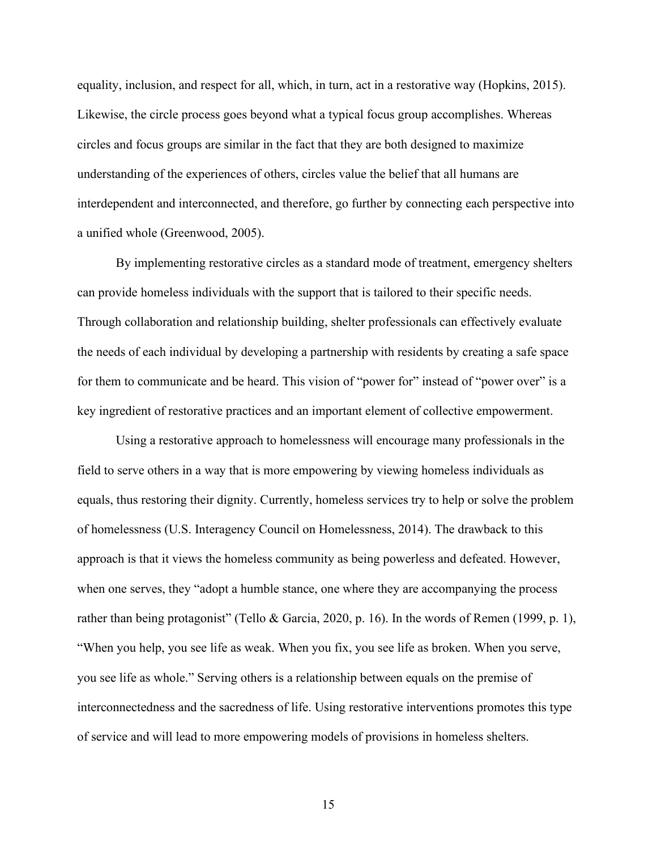equality, inclusion, and respect for all, which, in turn, act in a restorative way (Hopkins, 2015). Likewise, the circle process goes beyond what a typical focus group accomplishes. Whereas circles and focus groups are similar in the fact that they are both designed to maximize understanding of the experiences of others, circles value the belief that all humans are interdependent and interconnected, and therefore, go further by connecting each perspective into a unified whole (Greenwood, 2005).

By implementing restorative circles as a standard mode of treatment, emergency shelters can provide homeless individuals with the support that is tailored to their specific needs. Through collaboration and relationship building, shelter professionals can effectively evaluate the needs of each individual by developing a partnership with residents by creating a safe space for them to communicate and be heard. This vision of "power for" instead of "power over" is a key ingredient of restorative practices and an important element of collective empowerment.

Using a restorative approach to homelessness will encourage many professionals in the field to serve others in a way that is more empowering by viewing homeless individuals as equals, thus restoring their dignity. Currently, homeless services try to help or solve the problem of homelessness (U.S. Interagency Council on Homelessness, 2014). The drawback to this approach is that it views the homeless community as being powerless and defeated. However, when one serves, they "adopt a humble stance, one where they are accompanying the process rather than being protagonist" (Tello & Garcia, 2020, p. 16). In the words of Remen (1999, p. 1), "When you help, you see life as weak. When you fix, you see life as broken. When you serve, you see life as whole." Serving others is a relationship between equals on the premise of interconnectedness and the sacredness of life. Using restorative interventions promotes this type of service and will lead to more empowering models of provisions in homeless shelters.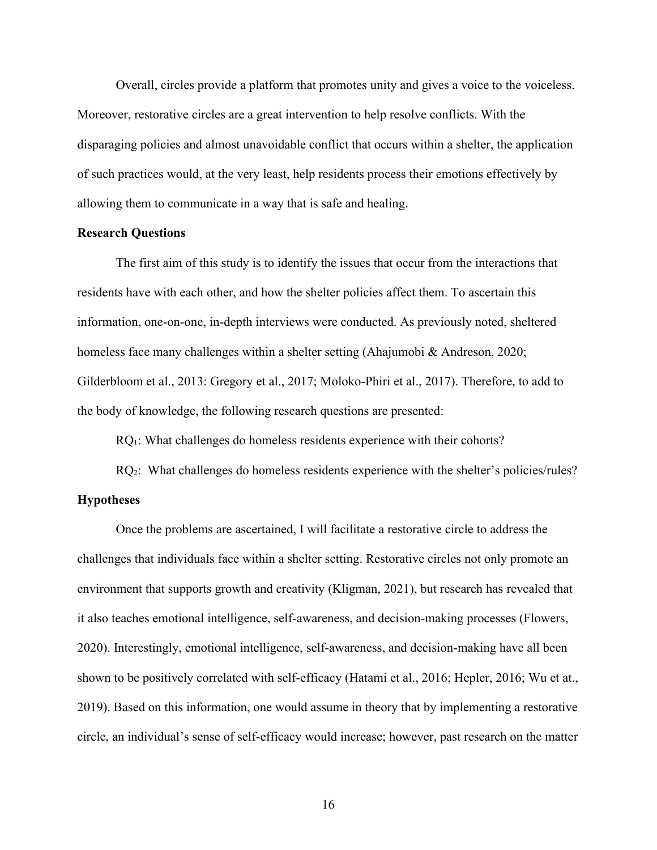Overall, circles provide a platform that promotes unity and gives a voice to the voiceless. Moreover, restorative circles are a great intervention to help resolve conflicts. With the disparaging policies and almost unavoidable conflict that occurs within a shelter, the application of such practices would, at the very least, help residents process their emotions effectively by allowing them to communicate in a way that is safe and healing.

#### **Research Questions**

The first aim of this study is to identify the issues that occur from the interactions that residents have with each other, and how the shelter policies affect them. To ascertain this information, one-on-one, in-depth interviews were conducted. As previously noted, sheltered homeless face many challenges within a shelter setting (Ahajumobi & Andreson, 2020; Gilderbloom et al., 2013: Gregory et al., 2017; Moloko-Phiri et al., 2017). Therefore, to add to the body of knowledge, the following research questions are presented:

RQ<sub>1</sub>: What challenges do homeless residents experience with their cohorts?

RQ<sup>2</sup>: What challenges do homeless residents experience with the shelter's policies/rules?

## **Hypotheses**

Once the problems are ascertained, I will facilitate a restorative circle to address the challenges that individuals face within a shelter setting. Restorative circles not only promote an environment that supports growth and creativity (Kligman, 2021), but research has revealed that it also teaches emotional intelligence, self-awareness, and decision-making processes (Flowers, 2020). Interestingly, emotional intelligence, self-awareness, and decision-making have all been shown to be positively correlated with self-efficacy (Hatami et al., 2016; Hepler, 2016; Wu et at., 2019). Based on this information, one would assume in theory that by implementing a restorative circle, an individual's sense of self-efficacy would increase; however, past research on the matter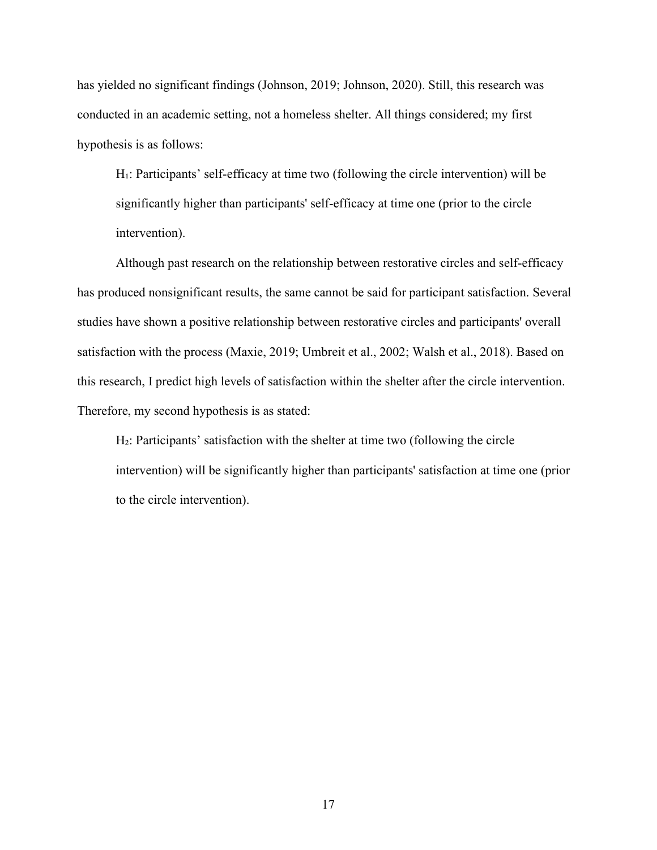has yielded no significant findings (Johnson, 2019; Johnson, 2020). Still, this research was conducted in an academic setting, not a homeless shelter. All things considered; my first hypothesis is as follows:

H<sub>1</sub>: Participants' self-efficacy at time two (following the circle intervention) will be significantly higher than participants' self-efficacy at time one (prior to the circle intervention).

Although past research on the relationship between restorative circles and self-efficacy has produced nonsignificant results, the same cannot be said for participant satisfaction. Several studies have shown a positive relationship between restorative circles and participants' overall satisfaction with the process (Maxie, 2019; Umbreit et al., 2002; Walsh et al., 2018). Based on this research, I predict high levels of satisfaction within the shelter after the circle intervention. Therefore, my second hypothesis is as stated:

H<sub>2</sub>: Participants' satisfaction with the shelter at time two (following the circle intervention) will be significantly higher than participants' satisfaction at time one (prior to the circle intervention).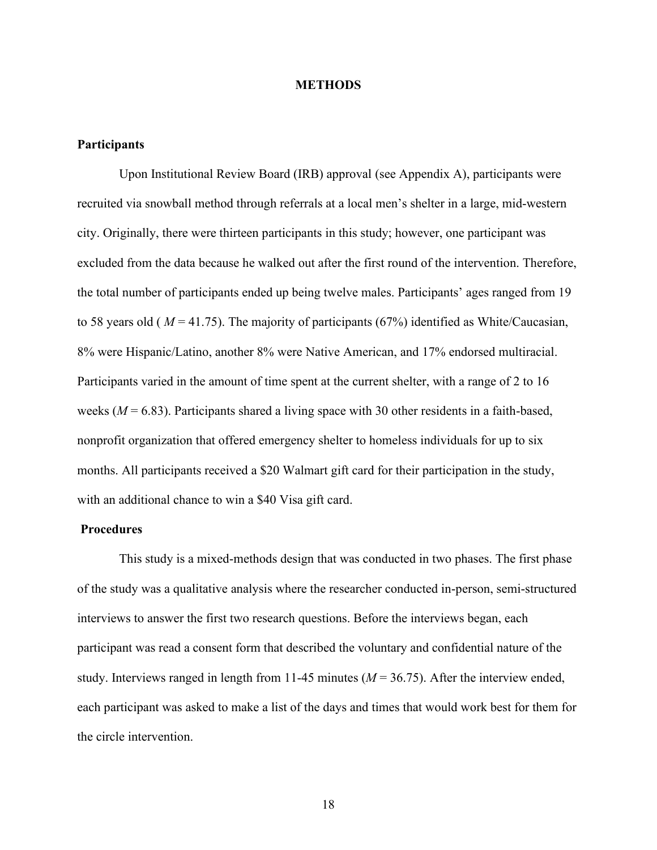#### **METHODS**

#### **Participants**

Upon Institutional Review Board (IRB) approval (see Appendix A), participants were recruited via snowball method through referrals at a local men's shelter in a large, mid-western city. Originally, there were thirteen participants in this study; however, one participant was excluded from the data because he walked out after the first round of the intervention. Therefore, the total number of participants ended up being twelve males. Participants' ages ranged from 19 to 58 years old ( *M* = 41.75). The majority of participants (67%) identified as White/Caucasian, 8% were Hispanic/Latino, another 8% were Native American, and 17% endorsed multiracial. Participants varied in the amount of time spent at the current shelter, with a range of 2 to 16 weeks (*M* = 6.83). Participants shared a living space with 30 other residents in a faith-based, nonprofit organization that offered emergency shelter to homeless individuals for up to six months. All participants received a \$20 Walmart gift card for their participation in the study, with an additional chance to win a \$40 Visa gift card.

#### **Procedures**

This study is a mixed-methods design that was conducted in two phases. The first phase of the study was a qualitative analysis where the researcher conducted in-person, semi-structured interviews to answer the first two research questions. Before the interviews began, each participant was read a consent form that described the voluntary and confidential nature of the study. Interviews ranged in length from 11-45 minutes (*M* = 36.75). After the interview ended, each participant was asked to make a list of the days and times that would work best for them for the circle intervention.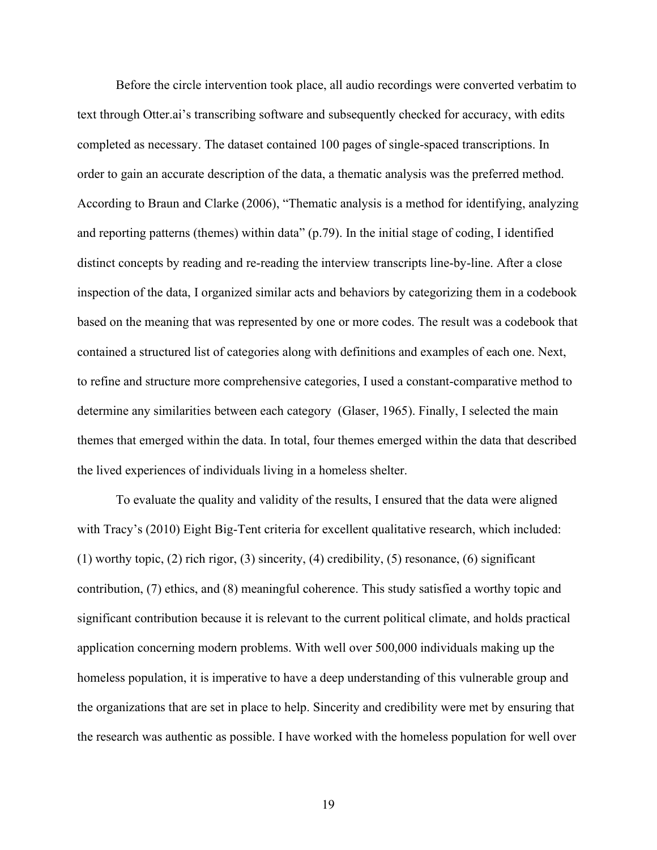Before the circle intervention took place, all audio recordings were converted verbatim to text through Otter.ai's transcribing software and subsequently checked for accuracy, with edits completed as necessary. The dataset contained 100 pages of single-spaced transcriptions. In order to gain an accurate description of the data, a thematic analysis was the preferred method. According to Braun and Clarke (2006), "Thematic analysis is a method for identifying, analyzing and reporting patterns (themes) within data" (p.79). In the initial stage of coding, I identified distinct concepts by reading and re-reading the interview transcripts line-by-line. After a close inspection of the data, I organized similar acts and behaviors by categorizing them in a codebook based on the meaning that was represented by one or more codes. The result was a codebook that contained a structured list of categories along with definitions and examples of each one. Next, to refine and structure more comprehensive categories, I used a constant-comparative method to determine any similarities between each category (Glaser, 1965). Finally, I selected the main themes that emerged within the data. In total, four themes emerged within the data that described the lived experiences of individuals living in a homeless shelter.

To evaluate the quality and validity of the results, I ensured that the data were aligned with Tracy's (2010) Eight Big-Tent criteria for excellent qualitative research, which included: (1) worthy topic, (2) rich rigor, (3) sincerity, (4) credibility, (5) resonance, (6) significant contribution, (7) ethics, and (8) meaningful coherence. This study satisfied a worthy topic and significant contribution because it is relevant to the current political climate, and holds practical application concerning modern problems. With well over 500,000 individuals making up the homeless population, it is imperative to have a deep understanding of this vulnerable group and the organizations that are set in place to help. Sincerity and credibility were met by ensuring that the research was authentic as possible. I have worked with the homeless population for well over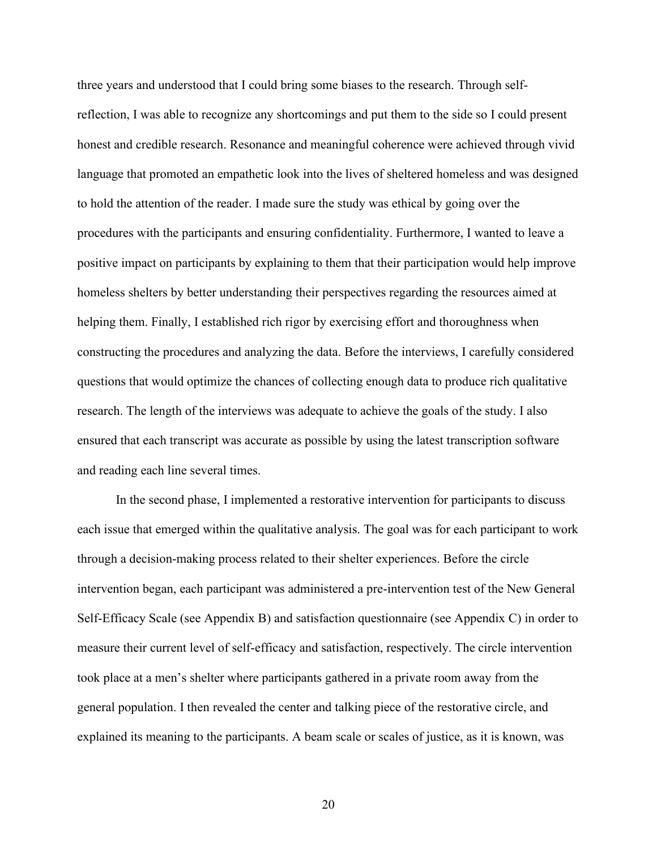three years and understood that I could bring some biases to the research. Through selfreflection, I was able to recognize any shortcomings and put them to the side so I could present honest and credible research. Resonance and meaningful coherence were achieved through vivid language that promoted an empathetic look into the lives of sheltered homeless and was designed to hold the attention of the reader. I made sure the study was ethical by going over the procedures with the participants and ensuring confidentiality. Furthermore, I wanted to leave a positive impact on participants by explaining to them that their participation would help improve homeless shelters by better understanding their perspectives regarding the resources aimed at helping them. Finally, I established rich rigor by exercising effort and thoroughness when constructing the procedures and analyzing the data. Before the interviews, I carefully considered questions that would optimize the chances of collecting enough data to produce rich qualitative research. The length of the interviews was adequate to achieve the goals of the study. I also ensured that each transcript was accurate as possible by using the latest transcription software and reading each line several times.

In the second phase, I implemented a restorative intervention for participants to discuss each issue that emerged within the qualitative analysis. The goal was for each participant to work through a decision-making process related to their shelter experiences. Before the circle intervention began, each participant was administered a pre-intervention test of the New General Self-Efficacy Scale (see Appendix B) and satisfaction questionnaire (see Appendix C) in order to measure their current level of self-efficacy and satisfaction, respectively. The circle intervention took place at a men's shelter where participants gathered in a private room away from the general population. I then revealed the center and talking piece of the restorative circle, and explained its meaning to the participants. A beam scale or scales of justice, as it is known, was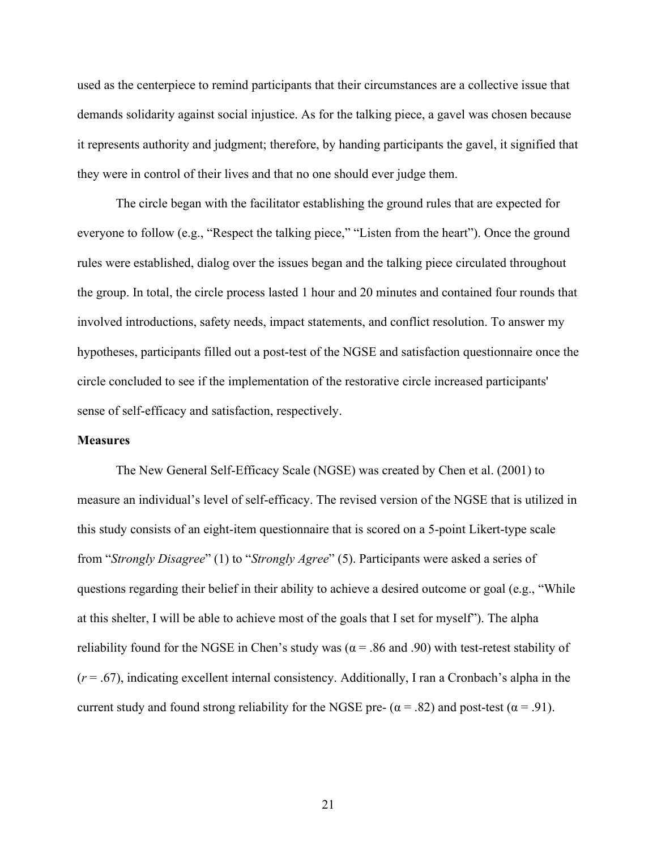used as the centerpiece to remind participants that their circumstances are a collective issue that demands solidarity against social injustice. As for the talking piece, a gavel was chosen because it represents authority and judgment; therefore, by handing participants the gavel, it signified that they were in control of their lives and that no one should ever judge them.

The circle began with the facilitator establishing the ground rules that are expected for everyone to follow (e.g., "Respect the talking piece," "Listen from the heart"). Once the ground rules were established, dialog over the issues began and the talking piece circulated throughout the group. In total, the circle process lasted 1 hour and 20 minutes and contained four rounds that involved introductions, safety needs, impact statements, and conflict resolution. To answer my hypotheses, participants filled out a post-test of the NGSE and satisfaction questionnaire once the circle concluded to see if the implementation of the restorative circle increased participants' sense of self-efficacy and satisfaction, respectively.

#### **Measures**

The New General Self-Efficacy Scale (NGSE) was created by Chen et al. (2001) to measure an individual's level of self-efficacy. The revised version of the NGSE that is utilized in this study consists of an eight-item questionnaire that is scored on a 5-point Likert-type scale from "*Strongly Disagree*" (1) to "*Strongly Agree*" (5). Participants were asked a series of questions regarding their belief in their ability to achieve a desired outcome or goal (e.g., "While at this shelter, I will be able to achieve most of the goals that I set for myself"). The alpha reliability found for the NGSE in Chen's study was ( $\alpha$  = .86 and .90) with test-retest stability of (*r* = .67), indicating excellent internal consistency. Additionally, I ran a Cronbach's alpha in the current study and found strong reliability for the NGSE pre- ( $\alpha$  = .82) and post-test ( $\alpha$  = .91).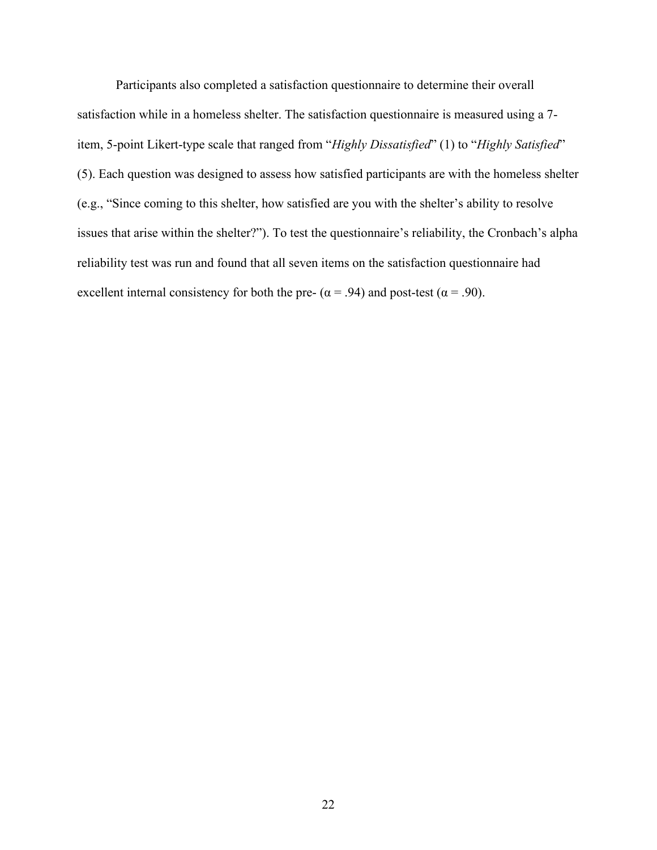Participants also completed a satisfaction questionnaire to determine their overall satisfaction while in a homeless shelter. The satisfaction questionnaire is measured using a 7 item, 5-point Likert-type scale that ranged from "*Highly Dissatisfied*" (1) to "*Highly Satisfied*" (5). Each question was designed to assess how satisfied participants are with the homeless shelter (e.g., "Since coming to this shelter, how satisfied are you with the shelter's ability to resolve issues that arise within the shelter?"). To test the questionnaire's reliability, the Cronbach's alpha reliability test was run and found that all seven items on the satisfaction questionnaire had excellent internal consistency for both the pre- ( $\alpha$  = .94) and post-test ( $\alpha$  = .90).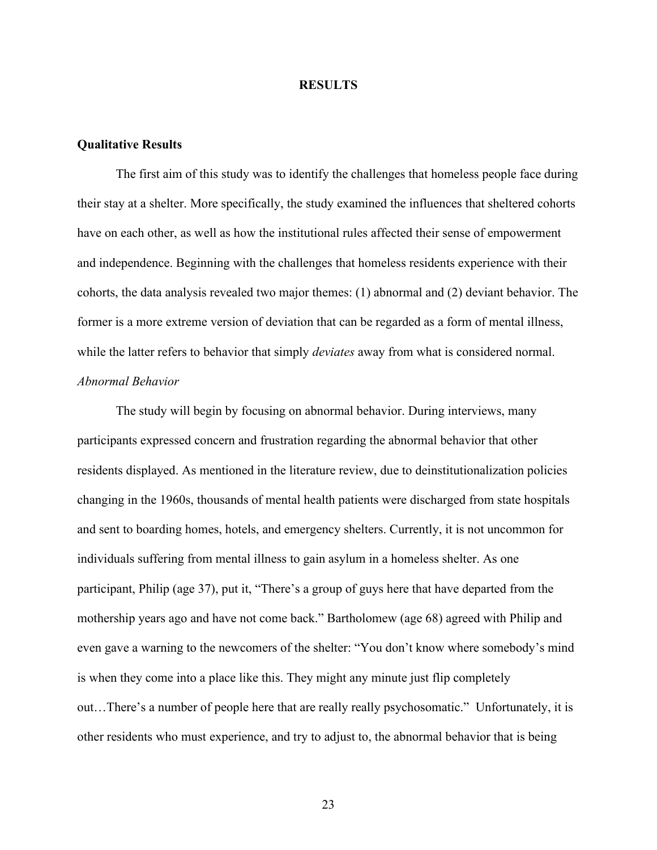#### **RESULTS**

#### **Qualitative Results**

 The first aim of this study was to identify the challenges that homeless people face during their stay at a shelter. More specifically, the study examined the influences that sheltered cohorts have on each other, as well as how the institutional rules affected their sense of empowerment and independence. Beginning with the challenges that homeless residents experience with their cohorts, the data analysis revealed two major themes: (1) abnormal and (2) deviant behavior. The former is a more extreme version of deviation that can be regarded as a form of mental illness, while the latter refers to behavior that simply *deviates* away from what is considered normal. *Abnormal Behavior* 

 The study will begin by focusing on abnormal behavior. During interviews, many participants expressed concern and frustration regarding the abnormal behavior that other residents displayed. As mentioned in the literature review, due to deinstitutionalization policies changing in the 1960s, thousands of mental health patients were discharged from state hospitals and sent to boarding homes, hotels, and emergency shelters. Currently, it is not uncommon for individuals suffering from mental illness to gain asylum in a homeless shelter. As one participant, Philip (age 37), put it, "There's a group of guys here that have departed from the mothership years ago and have not come back." Bartholomew (age 68) agreed with Philip and even gave a warning to the newcomers of the shelter: "You don't know where somebody's mind is when they come into a place like this. They might any minute just flip completely out…There's a number of people here that are really really psychosomatic." Unfortunately, it is other residents who must experience, and try to adjust to, the abnormal behavior that is being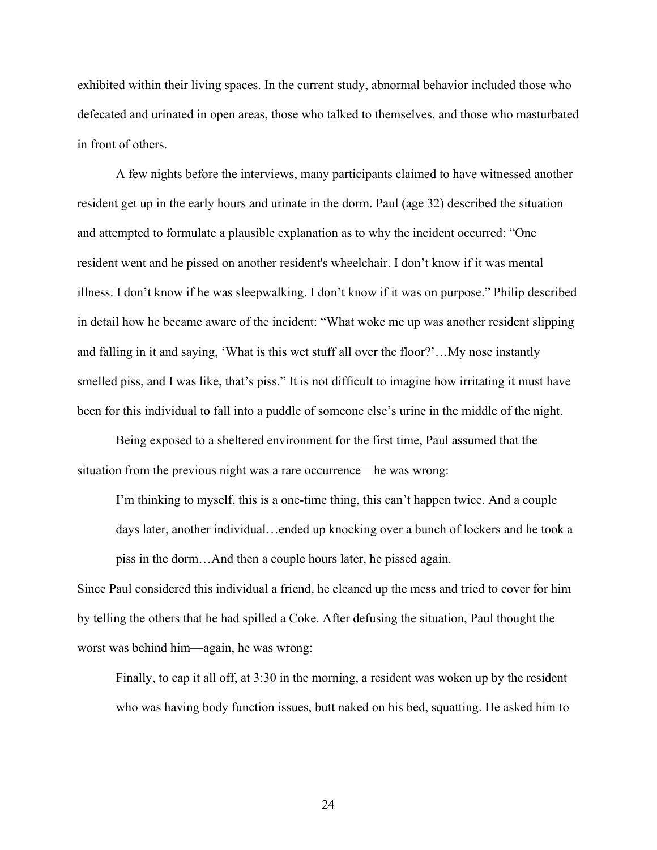exhibited within their living spaces. In the current study, abnormal behavior included those who defecated and urinated in open areas, those who talked to themselves, and those who masturbated in front of others.

 A few nights before the interviews, many participants claimed to have witnessed another resident get up in the early hours and urinate in the dorm. Paul (age 32) described the situation and attempted to formulate a plausible explanation as to why the incident occurred: "One resident went and he pissed on another resident's wheelchair. I don't know if it was mental illness. I don't know if he was sleepwalking. I don't know if it was on purpose." Philip described in detail how he became aware of the incident: "What woke me up was another resident slipping and falling in it and saying, 'What is this wet stuff all over the floor?'…My nose instantly smelled piss, and I was like, that's piss." It is not difficult to imagine how irritating it must have been for this individual to fall into a puddle of someone else's urine in the middle of the night.

Being exposed to a sheltered environment for the first time, Paul assumed that the situation from the previous night was a rare occurrence—he was wrong:

I'm thinking to myself, this is a one-time thing, this can't happen twice. And a couple days later, another individual…ended up knocking over a bunch of lockers and he took a piss in the dorm…And then a couple hours later, he pissed again.

Since Paul considered this individual a friend, he cleaned up the mess and tried to cover for him by telling the others that he had spilled a Coke. After defusing the situation, Paul thought the worst was behind him—again, he was wrong:

Finally, to cap it all off, at 3:30 in the morning, a resident was woken up by the resident who was having body function issues, butt naked on his bed, squatting. He asked him to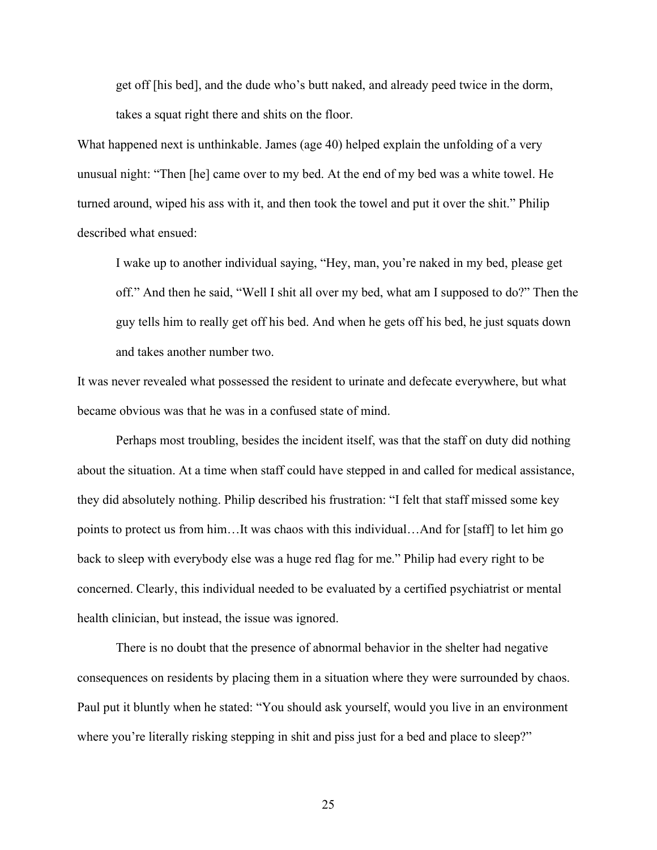get off [his bed], and the dude who's butt naked, and already peed twice in the dorm, takes a squat right there and shits on the floor.

What happened next is unthinkable. James (age 40) helped explain the unfolding of a very unusual night: "Then [he] came over to my bed. At the end of my bed was a white towel. He turned around, wiped his ass with it, and then took the towel and put it over the shit." Philip described what ensued:

I wake up to another individual saying, "Hey, man, you're naked in my bed, please get off." And then he said, "Well I shit all over my bed, what am I supposed to do?" Then the guy tells him to really get off his bed. And when he gets off his bed, he just squats down and takes another number two.

It was never revealed what possessed the resident to urinate and defecate everywhere, but what became obvious was that he was in a confused state of mind.

 Perhaps most troubling, besides the incident itself, was that the staff on duty did nothing about the situation. At a time when staff could have stepped in and called for medical assistance, they did absolutely nothing. Philip described his frustration: "I felt that staff missed some key points to protect us from him…It was chaos with this individual…And for [staff] to let him go back to sleep with everybody else was a huge red flag for me." Philip had every right to be concerned. Clearly, this individual needed to be evaluated by a certified psychiatrist or mental health clinician, but instead, the issue was ignored.

 There is no doubt that the presence of abnormal behavior in the shelter had negative consequences on residents by placing them in a situation where they were surrounded by chaos. Paul put it bluntly when he stated: "You should ask yourself, would you live in an environment where you're literally risking stepping in shit and piss just for a bed and place to sleep?"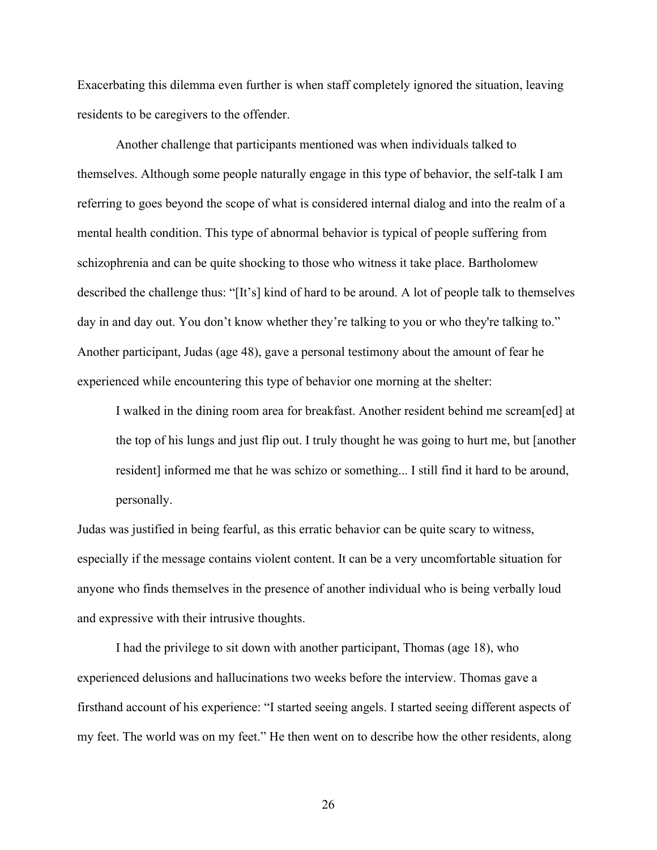Exacerbating this dilemma even further is when staff completely ignored the situation, leaving residents to be caregivers to the offender.

 Another challenge that participants mentioned was when individuals talked to themselves. Although some people naturally engage in this type of behavior, the self-talk I am referring to goes beyond the scope of what is considered internal dialog and into the realm of a mental health condition. This type of abnormal behavior is typical of people suffering from schizophrenia and can be quite shocking to those who witness it take place. Bartholomew described the challenge thus: "[It's] kind of hard to be around. A lot of people talk to themselves day in and day out. You don't know whether they're talking to you or who they're talking to." Another participant, Judas (age 48), gave a personal testimony about the amount of fear he experienced while encountering this type of behavior one morning at the shelter:

I walked in the dining room area for breakfast. Another resident behind me scream[ed] at the top of his lungs and just flip out. I truly thought he was going to hurt me, but [another resident] informed me that he was schizo or something... I still find it hard to be around, personally.

Judas was justified in being fearful, as this erratic behavior can be quite scary to witness, especially if the message contains violent content. It can be a very uncomfortable situation for anyone who finds themselves in the presence of another individual who is being verbally loud and expressive with their intrusive thoughts.

 I had the privilege to sit down with another participant, Thomas (age 18), who experienced delusions and hallucinations two weeks before the interview. Thomas gave a firsthand account of his experience: "I started seeing angels. I started seeing different aspects of my feet. The world was on my feet." He then went on to describe how the other residents, along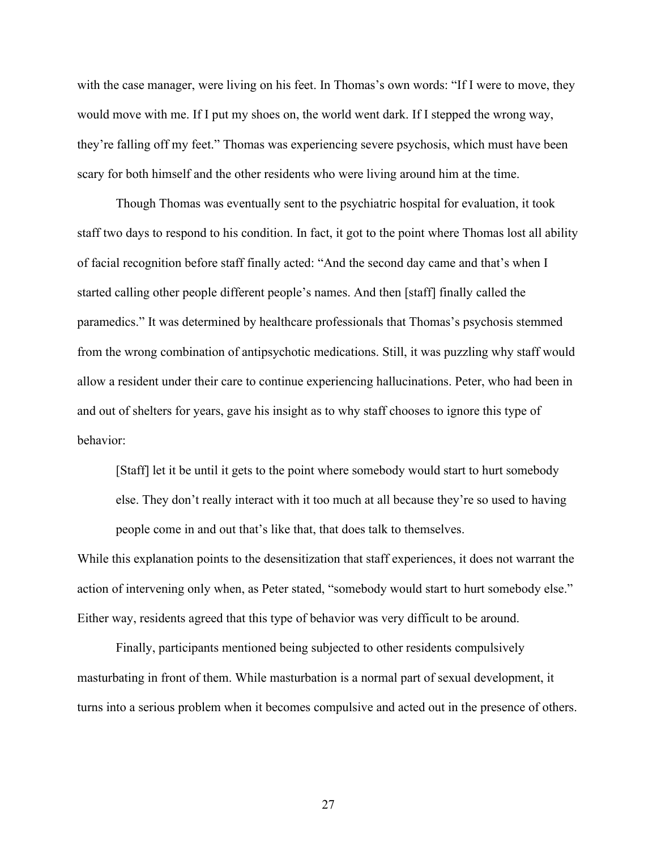with the case manager, were living on his feet. In Thomas's own words: "If I were to move, they would move with me. If I put my shoes on, the world went dark. If I stepped the wrong way, they're falling off my feet." Thomas was experiencing severe psychosis, which must have been scary for both himself and the other residents who were living around him at the time.

Though Thomas was eventually sent to the psychiatric hospital for evaluation, it took staff two days to respond to his condition. In fact, it got to the point where Thomas lost all ability of facial recognition before staff finally acted: "And the second day came and that's when I started calling other people different people's names. And then [staff] finally called the paramedics." It was determined by healthcare professionals that Thomas's psychosis stemmed from the wrong combination of antipsychotic medications. Still, it was puzzling why staff would allow a resident under their care to continue experiencing hallucinations. Peter, who had been in and out of shelters for years, gave his insight as to why staff chooses to ignore this type of behavior:

[Staff] let it be until it gets to the point where somebody would start to hurt somebody else. They don't really interact with it too much at all because they're so used to having people come in and out that's like that, that does talk to themselves.

While this explanation points to the desensitization that staff experiences, it does not warrant the action of intervening only when, as Peter stated, "somebody would start to hurt somebody else." Either way, residents agreed that this type of behavior was very difficult to be around.

 Finally, participants mentioned being subjected to other residents compulsively masturbating in front of them. While masturbation is a normal part of sexual development, it turns into a serious problem when it becomes compulsive and acted out in the presence of others.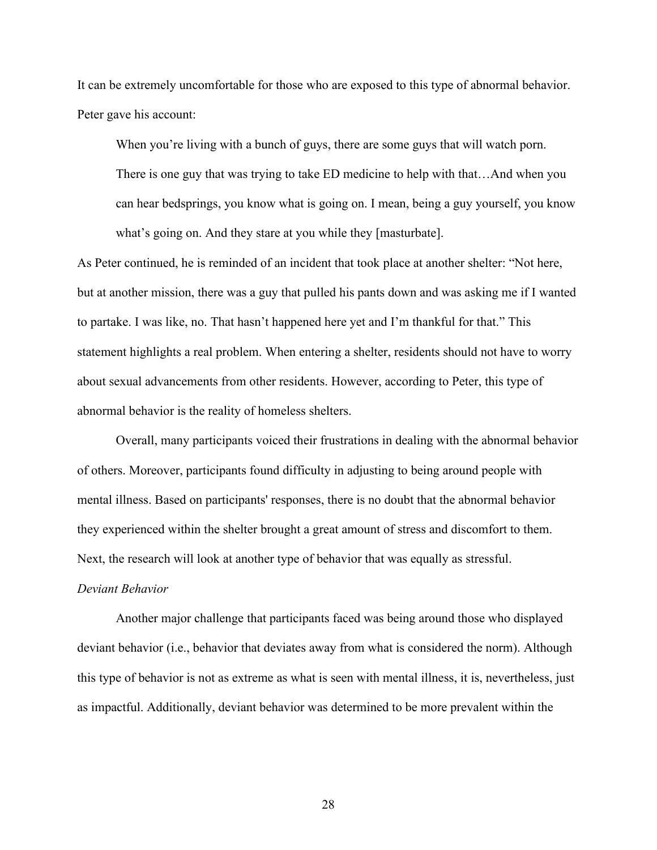It can be extremely uncomfortable for those who are exposed to this type of abnormal behavior. Peter gave his account:

When you're living with a bunch of guys, there are some guys that will watch porn.

There is one guy that was trying to take ED medicine to help with that…And when you can hear bedsprings, you know what is going on. I mean, being a guy yourself, you know what's going on. And they stare at you while they [masturbate].

As Peter continued, he is reminded of an incident that took place at another shelter: "Not here, but at another mission, there was a guy that pulled his pants down and was asking me if I wanted to partake. I was like, no. That hasn't happened here yet and I'm thankful for that." This statement highlights a real problem. When entering a shelter, residents should not have to worry about sexual advancements from other residents. However, according to Peter, this type of abnormal behavior is the reality of homeless shelters.

 Overall, many participants voiced their frustrations in dealing with the abnormal behavior of others. Moreover, participants found difficulty in adjusting to being around people with mental illness. Based on participants' responses, there is no doubt that the abnormal behavior they experienced within the shelter brought a great amount of stress and discomfort to them. Next, the research will look at another type of behavior that was equally as stressful.

#### *Deviant Behavior*

 Another major challenge that participants faced was being around those who displayed deviant behavior (i.e., behavior that deviates away from what is considered the norm). Although this type of behavior is not as extreme as what is seen with mental illness, it is, nevertheless, just as impactful. Additionally, deviant behavior was determined to be more prevalent within the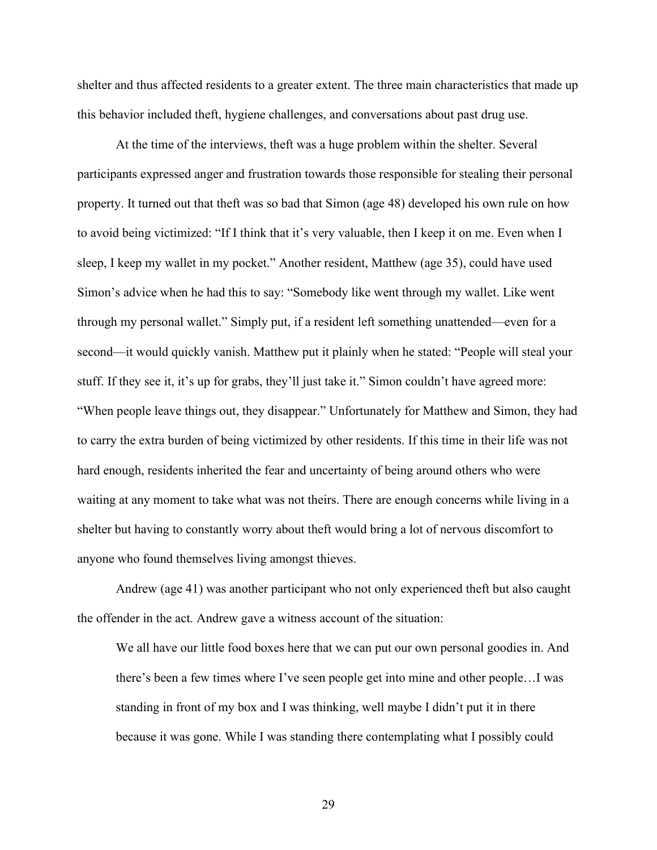shelter and thus affected residents to a greater extent. The three main characteristics that made up this behavior included theft, hygiene challenges, and conversations about past drug use.

 At the time of the interviews, theft was a huge problem within the shelter. Several participants expressed anger and frustration towards those responsible for stealing their personal property. It turned out that theft was so bad that Simon (age 48) developed his own rule on how to avoid being victimized: "If I think that it's very valuable, then I keep it on me. Even when I sleep, I keep my wallet in my pocket." Another resident, Matthew (age 35), could have used Simon's advice when he had this to say: "Somebody like went through my wallet. Like went through my personal wallet." Simply put, if a resident left something unattended—even for a second—it would quickly vanish. Matthew put it plainly when he stated: "People will steal your stuff. If they see it, it's up for grabs, they'll just take it." Simon couldn't have agreed more: "When people leave things out, they disappear." Unfortunately for Matthew and Simon, they had to carry the extra burden of being victimized by other residents. If this time in their life was not hard enough, residents inherited the fear and uncertainty of being around others who were waiting at any moment to take what was not theirs. There are enough concerns while living in a shelter but having to constantly worry about theft would bring a lot of nervous discomfort to anyone who found themselves living amongst thieves.

 Andrew (age 41) was another participant who not only experienced theft but also caught the offender in the act. Andrew gave a witness account of the situation:

We all have our little food boxes here that we can put our own personal goodies in. And there's been a few times where I've seen people get into mine and other people…I was standing in front of my box and I was thinking, well maybe I didn't put it in there because it was gone. While I was standing there contemplating what I possibly could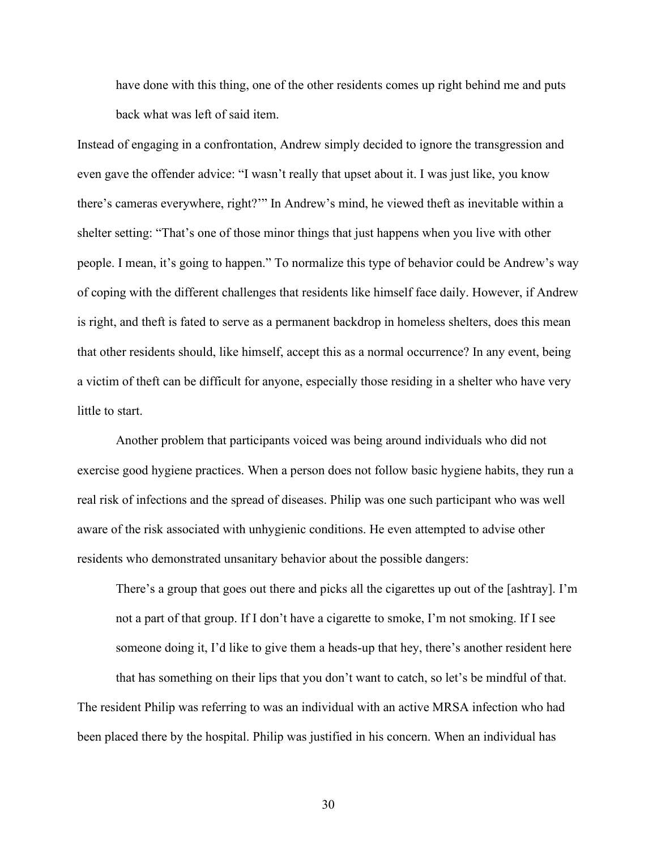have done with this thing, one of the other residents comes up right behind me and puts back what was left of said item.

Instead of engaging in a confrontation, Andrew simply decided to ignore the transgression and even gave the offender advice: "I wasn't really that upset about it. I was just like, you know there's cameras everywhere, right?'" In Andrew's mind, he viewed theft as inevitable within a shelter setting: "That's one of those minor things that just happens when you live with other people. I mean, it's going to happen." To normalize this type of behavior could be Andrew's way of coping with the different challenges that residents like himself face daily. However, if Andrew is right, and theft is fated to serve as a permanent backdrop in homeless shelters, does this mean that other residents should, like himself, accept this as a normal occurrence? In any event, being a victim of theft can be difficult for anyone, especially those residing in a shelter who have very little to start.

 Another problem that participants voiced was being around individuals who did not exercise good hygiene practices. When a person does not follow basic hygiene habits, they run a real risk of infections and the spread of diseases. Philip was one such participant who was well aware of the risk associated with unhygienic conditions. He even attempted to advise other residents who demonstrated unsanitary behavior about the possible dangers:

There's a group that goes out there and picks all the cigarettes up out of the [ashtray]. I'm not a part of that group. If I don't have a cigarette to smoke, I'm not smoking. If I see someone doing it, I'd like to give them a heads-up that hey, there's another resident here that has something on their lips that you don't want to catch, so let's be mindful of that. The resident Philip was referring to was an individual with an active MRSA infection who had been placed there by the hospital. Philip was justified in his concern. When an individual has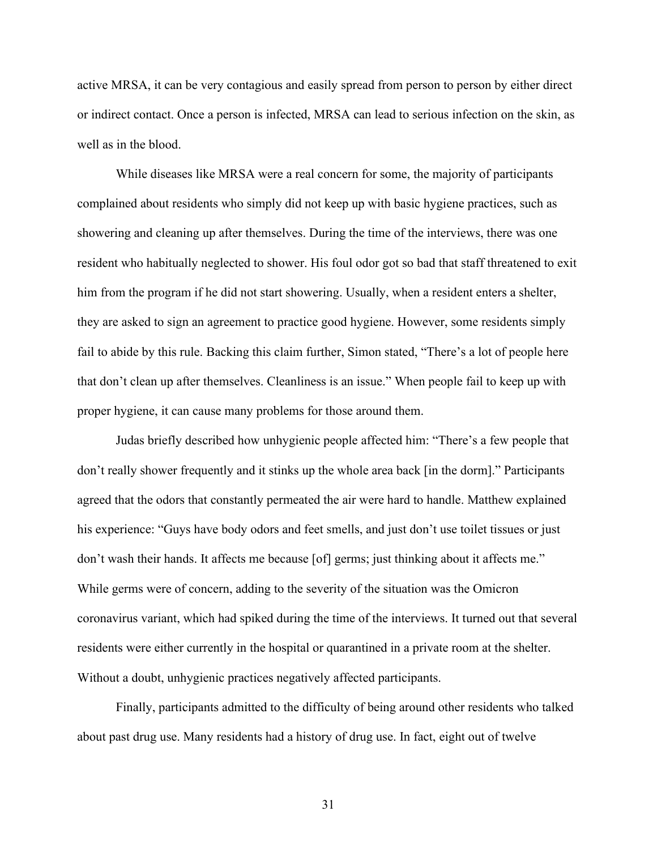active MRSA, it can be very contagious and easily spread from person to person by either direct or indirect contact. Once a person is infected, MRSA can lead to serious infection on the skin, as well as in the blood.

 While diseases like MRSA were a real concern for some, the majority of participants complained about residents who simply did not keep up with basic hygiene practices, such as showering and cleaning up after themselves. During the time of the interviews, there was one resident who habitually neglected to shower. His foul odor got so bad that staff threatened to exit him from the program if he did not start showering. Usually, when a resident enters a shelter, they are asked to sign an agreement to practice good hygiene. However, some residents simply fail to abide by this rule. Backing this claim further, Simon stated, "There's a lot of people here that don't clean up after themselves. Cleanliness is an issue." When people fail to keep up with proper hygiene, it can cause many problems for those around them.

 Judas briefly described how unhygienic people affected him: "There's a few people that don't really shower frequently and it stinks up the whole area back [in the dorm]." Participants agreed that the odors that constantly permeated the air were hard to handle. Matthew explained his experience: "Guys have body odors and feet smells, and just don't use toilet tissues or just don't wash their hands. It affects me because [of] germs; just thinking about it affects me." While germs were of concern, adding to the severity of the situation was the Omicron coronavirus variant, which had spiked during the time of the interviews. It turned out that several residents were either currently in the hospital or quarantined in a private room at the shelter. Without a doubt, unhygienic practices negatively affected participants.

 Finally, participants admitted to the difficulty of being around other residents who talked about past drug use. Many residents had a history of drug use. In fact, eight out of twelve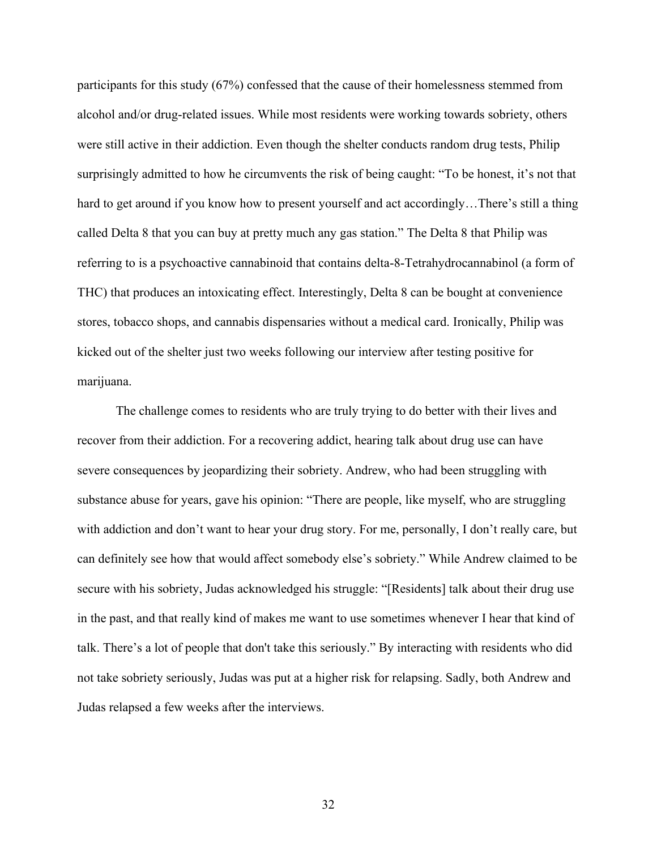participants for this study (67%) confessed that the cause of their homelessness stemmed from alcohol and/or drug-related issues. While most residents were working towards sobriety, others were still active in their addiction. Even though the shelter conducts random drug tests, Philip surprisingly admitted to how he circumvents the risk of being caught: "To be honest, it's not that hard to get around if you know how to present yourself and act accordingly…There's still a thing called Delta 8 that you can buy at pretty much any gas station." The Delta 8 that Philip was referring to is a psychoactive cannabinoid that contains delta-8-Tetrahydrocannabinol (a form of THC) that produces an intoxicating effect. Interestingly, Delta 8 can be bought at convenience stores, tobacco shops, and cannabis dispensaries without a medical card. Ironically, Philip was kicked out of the shelter just two weeks following our interview after testing positive for marijuana.

 The challenge comes to residents who are truly trying to do better with their lives and recover from their addiction. For a recovering addict, hearing talk about drug use can have severe consequences by jeopardizing their sobriety. Andrew, who had been struggling with substance abuse for years, gave his opinion: "There are people, like myself, who are struggling with addiction and don't want to hear your drug story. For me, personally, I don't really care, but can definitely see how that would affect somebody else's sobriety." While Andrew claimed to be secure with his sobriety, Judas acknowledged his struggle: "[Residents] talk about their drug use in the past, and that really kind of makes me want to use sometimes whenever I hear that kind of talk. There's a lot of people that don't take this seriously." By interacting with residents who did not take sobriety seriously, Judas was put at a higher risk for relapsing. Sadly, both Andrew and Judas relapsed a few weeks after the interviews.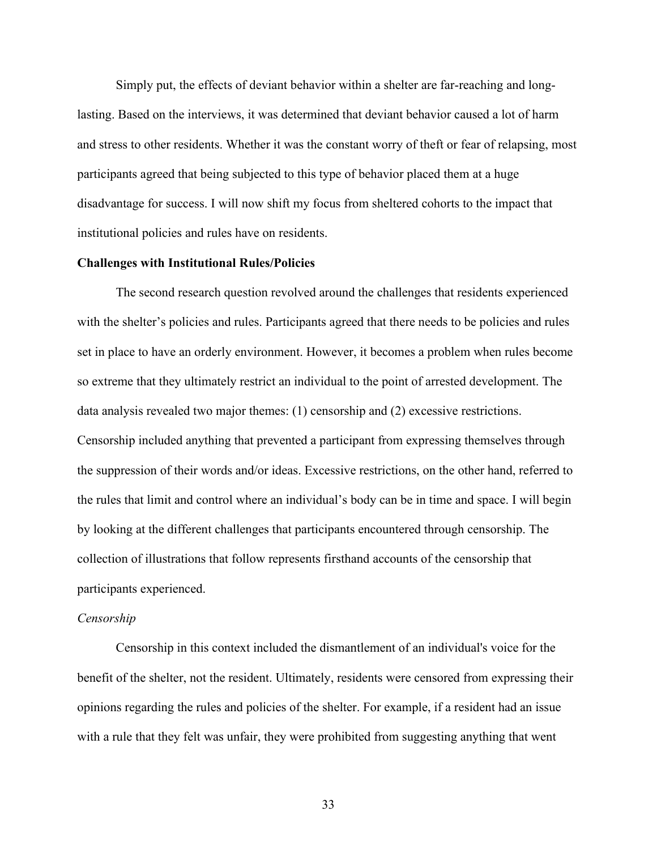Simply put, the effects of deviant behavior within a shelter are far-reaching and longlasting. Based on the interviews, it was determined that deviant behavior caused a lot of harm and stress to other residents. Whether it was the constant worry of theft or fear of relapsing, most participants agreed that being subjected to this type of behavior placed them at a huge disadvantage for success. I will now shift my focus from sheltered cohorts to the impact that institutional policies and rules have on residents.

#### **Challenges with Institutional Rules/Policies**

 The second research question revolved around the challenges that residents experienced with the shelter's policies and rules. Participants agreed that there needs to be policies and rules set in place to have an orderly environment. However, it becomes a problem when rules become so extreme that they ultimately restrict an individual to the point of arrested development. The data analysis revealed two major themes: (1) censorship and (2) excessive restrictions. Censorship included anything that prevented a participant from expressing themselves through the suppression of their words and/or ideas. Excessive restrictions, on the other hand, referred to the rules that limit and control where an individual's body can be in time and space. I will begin by looking at the different challenges that participants encountered through censorship. The collection of illustrations that follow represents firsthand accounts of the censorship that participants experienced.

#### *Censorship*

 Censorship in this context included the dismantlement of an individual's voice for the benefit of the shelter, not the resident. Ultimately, residents were censored from expressing their opinions regarding the rules and policies of the shelter. For example, if a resident had an issue with a rule that they felt was unfair, they were prohibited from suggesting anything that went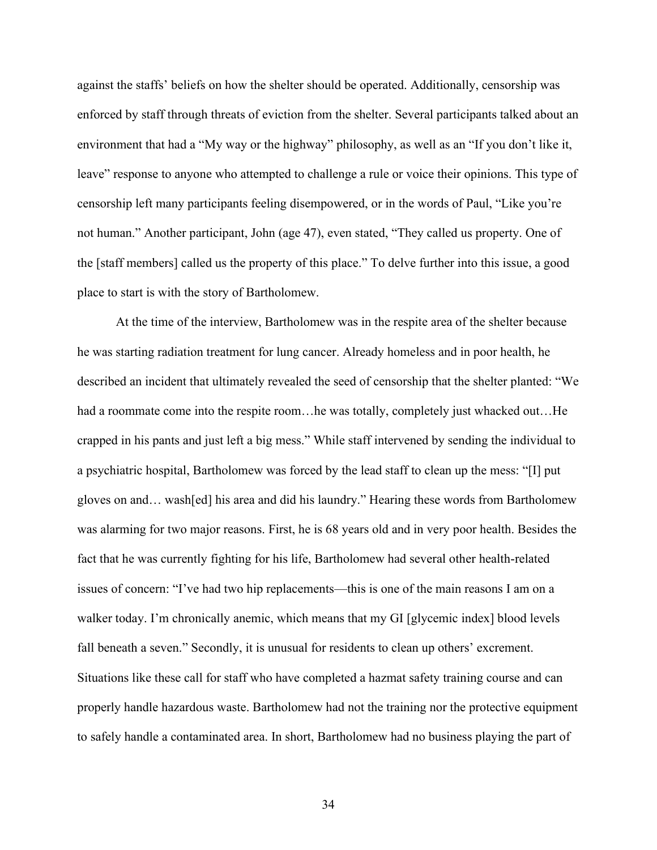against the staffs' beliefs on how the shelter should be operated. Additionally, censorship was enforced by staff through threats of eviction from the shelter. Several participants talked about an environment that had a "My way or the highway" philosophy, as well as an "If you don't like it, leave" response to anyone who attempted to challenge a rule or voice their opinions. This type of censorship left many participants feeling disempowered, or in the words of Paul, "Like you're not human." Another participant, John (age 47), even stated, "They called us property. One of the [staff members] called us the property of this place." To delve further into this issue, a good place to start is with the story of Bartholomew.

At the time of the interview, Bartholomew was in the respite area of the shelter because he was starting radiation treatment for lung cancer. Already homeless and in poor health, he described an incident that ultimately revealed the seed of censorship that the shelter planted: "We had a roommate come into the respite room...he was totally, completely just whacked out...He crapped in his pants and just left a big mess." While staff intervened by sending the individual to a psychiatric hospital, Bartholomew was forced by the lead staff to clean up the mess: "[I] put gloves on and… wash[ed] his area and did his laundry." Hearing these words from Bartholomew was alarming for two major reasons. First, he is 68 years old and in very poor health. Besides the fact that he was currently fighting for his life, Bartholomew had several other health-related issues of concern: "I've had two hip replacements—this is one of the main reasons I am on a walker today. I'm chronically anemic, which means that my GI [glycemic index] blood levels fall beneath a seven." Secondly, it is unusual for residents to clean up others' excrement. Situations like these call for staff who have completed a hazmat safety training course and can properly handle hazardous waste. Bartholomew had not the training nor the protective equipment to safely handle a contaminated area. In short, Bartholomew had no business playing the part of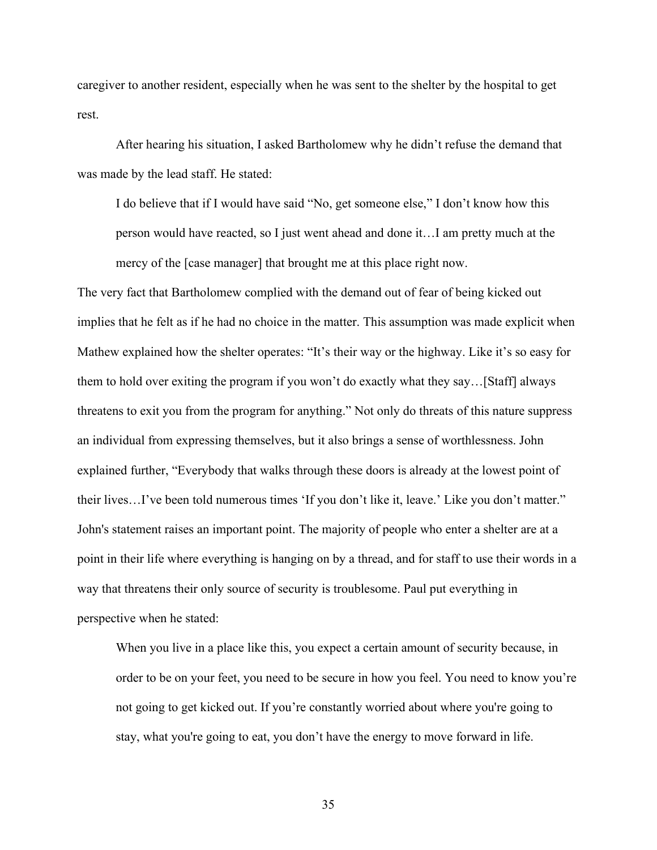caregiver to another resident, especially when he was sent to the shelter by the hospital to get rest.

 After hearing his situation, I asked Bartholomew why he didn't refuse the demand that was made by the lead staff. He stated:

I do believe that if I would have said "No, get someone else," I don't know how this person would have reacted, so I just went ahead and done it…I am pretty much at the mercy of the [case manager] that brought me at this place right now.

The very fact that Bartholomew complied with the demand out of fear of being kicked out implies that he felt as if he had no choice in the matter. This assumption was made explicit when Mathew explained how the shelter operates: "It's their way or the highway. Like it's so easy for them to hold over exiting the program if you won't do exactly what they say…[Staff] always threatens to exit you from the program for anything." Not only do threats of this nature suppress an individual from expressing themselves, but it also brings a sense of worthlessness. John explained further, "Everybody that walks through these doors is already at the lowest point of their lives…I've been told numerous times 'If you don't like it, leave.' Like you don't matter." John's statement raises an important point. The majority of people who enter a shelter are at a point in their life where everything is hanging on by a thread, and for staff to use their words in a way that threatens their only source of security is troublesome. Paul put everything in perspective when he stated:

When you live in a place like this, you expect a certain amount of security because, in order to be on your feet, you need to be secure in how you feel. You need to know you're not going to get kicked out. If you're constantly worried about where you're going to stay, what you're going to eat, you don't have the energy to move forward in life.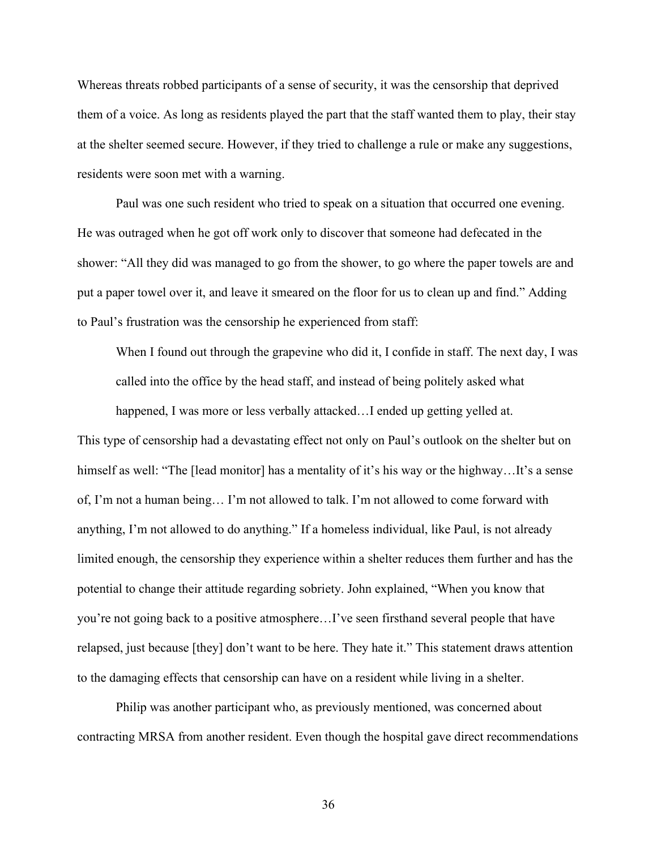Whereas threats robbed participants of a sense of security, it was the censorship that deprived them of a voice. As long as residents played the part that the staff wanted them to play, their stay at the shelter seemed secure. However, if they tried to challenge a rule or make any suggestions, residents were soon met with a warning.

 Paul was one such resident who tried to speak on a situation that occurred one evening. He was outraged when he got off work only to discover that someone had defecated in the shower: "All they did was managed to go from the shower, to go where the paper towels are and put a paper towel over it, and leave it smeared on the floor for us to clean up and find." Adding to Paul's frustration was the censorship he experienced from staff:

When I found out through the grapevine who did it, I confide in staff. The next day, I was called into the office by the head staff, and instead of being politely asked what

happened, I was more or less verbally attacked...I ended up getting yelled at. This type of censorship had a devastating effect not only on Paul's outlook on the shelter but on himself as well: "The [lead monitor] has a mentality of it's his way or the highway...It's a sense of, I'm not a human being… I'm not allowed to talk. I'm not allowed to come forward with anything, I'm not allowed to do anything." If a homeless individual, like Paul, is not already limited enough, the censorship they experience within a shelter reduces them further and has the potential to change their attitude regarding sobriety. John explained, "When you know that you're not going back to a positive atmosphere…I've seen firsthand several people that have relapsed, just because [they] don't want to be here. They hate it." This statement draws attention to the damaging effects that censorship can have on a resident while living in a shelter.

 Philip was another participant who, as previously mentioned, was concerned about contracting MRSA from another resident. Even though the hospital gave direct recommendations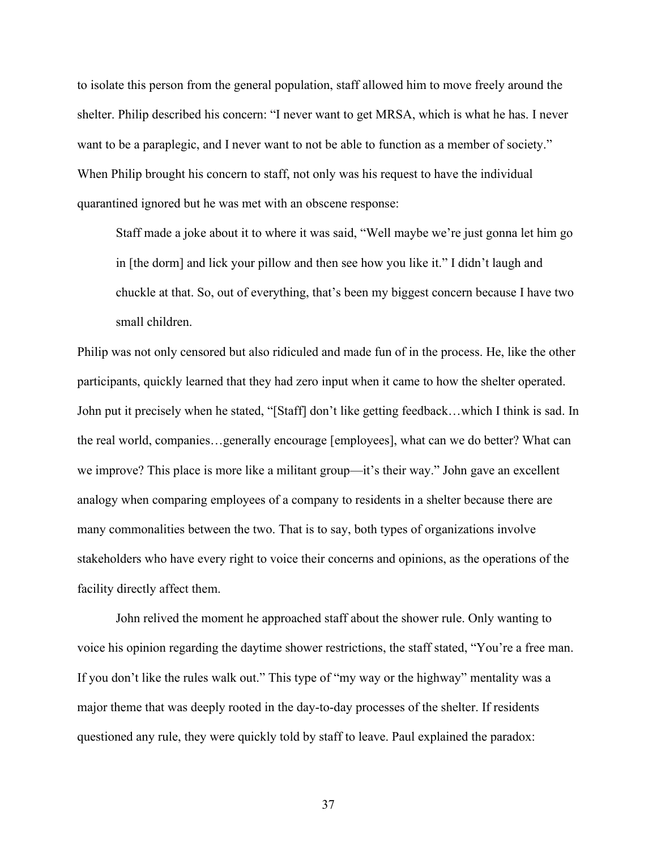to isolate this person from the general population, staff allowed him to move freely around the shelter. Philip described his concern: "I never want to get MRSA, which is what he has. I never want to be a paraplegic, and I never want to not be able to function as a member of society." When Philip brought his concern to staff, not only was his request to have the individual quarantined ignored but he was met with an obscene response:

Staff made a joke about it to where it was said, "Well maybe we're just gonna let him go in [the dorm] and lick your pillow and then see how you like it." I didn't laugh and chuckle at that. So, out of everything, that's been my biggest concern because I have two small children.

Philip was not only censored but also ridiculed and made fun of in the process. He, like the other participants, quickly learned that they had zero input when it came to how the shelter operated. John put it precisely when he stated, "[Staff] don't like getting feedback…which I think is sad. In the real world, companies…generally encourage [employees], what can we do better? What can we improve? This place is more like a militant group—it's their way." John gave an excellent analogy when comparing employees of a company to residents in a shelter because there are many commonalities between the two. That is to say, both types of organizations involve stakeholders who have every right to voice their concerns and opinions, as the operations of the facility directly affect them.

 John relived the moment he approached staff about the shower rule. Only wanting to voice his opinion regarding the daytime shower restrictions, the staff stated, "You're a free man. If you don't like the rules walk out." This type of "my way or the highway" mentality was a major theme that was deeply rooted in the day-to-day processes of the shelter. If residents questioned any rule, they were quickly told by staff to leave. Paul explained the paradox: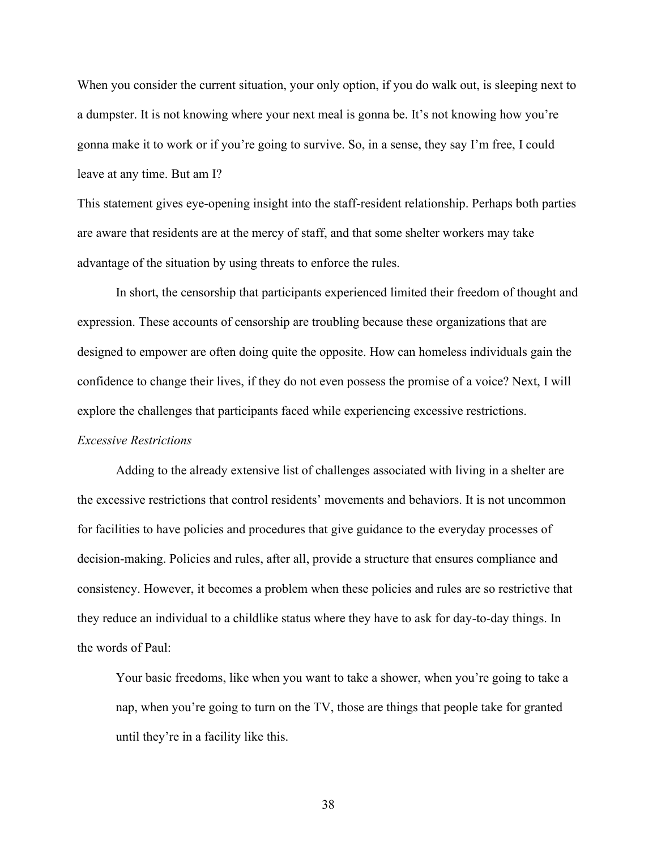When you consider the current situation, your only option, if you do walk out, is sleeping next to a dumpster. It is not knowing where your next meal is gonna be. It's not knowing how you're gonna make it to work or if you're going to survive. So, in a sense, they say I'm free, I could leave at any time. But am I?

This statement gives eye-opening insight into the staff-resident relationship. Perhaps both parties are aware that residents are at the mercy of staff, and that some shelter workers may take advantage of the situation by using threats to enforce the rules.

 In short, the censorship that participants experienced limited their freedom of thought and expression. These accounts of censorship are troubling because these organizations that are designed to empower are often doing quite the opposite. How can homeless individuals gain the confidence to change their lives, if they do not even possess the promise of a voice? Next, I will explore the challenges that participants faced while experiencing excessive restrictions.

#### *Excessive Restrictions*

 Adding to the already extensive list of challenges associated with living in a shelter are the excessive restrictions that control residents' movements and behaviors. It is not uncommon for facilities to have policies and procedures that give guidance to the everyday processes of decision-making. Policies and rules, after all, provide a structure that ensures compliance and consistency. However, it becomes a problem when these policies and rules are so restrictive that they reduce an individual to a childlike status where they have to ask for day-to-day things. In the words of Paul:

Your basic freedoms, like when you want to take a shower, when you're going to take a nap, when you're going to turn on the TV, those are things that people take for granted until they're in a facility like this.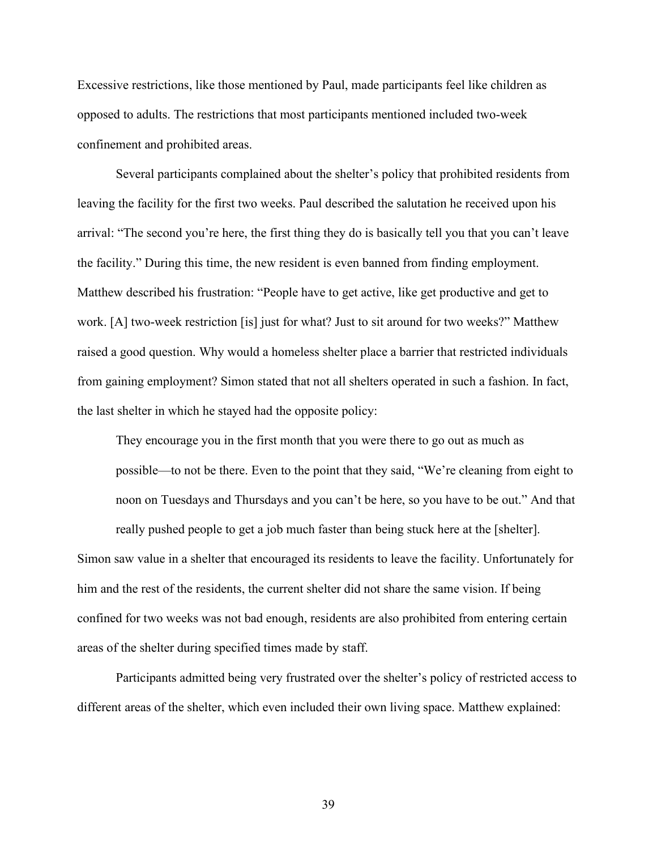Excessive restrictions, like those mentioned by Paul, made participants feel like children as opposed to adults. The restrictions that most participants mentioned included two-week confinement and prohibited areas.

 Several participants complained about the shelter's policy that prohibited residents from leaving the facility for the first two weeks. Paul described the salutation he received upon his arrival: "The second you're here, the first thing they do is basically tell you that you can't leave the facility." During this time, the new resident is even banned from finding employment. Matthew described his frustration: "People have to get active, like get productive and get to work. [A] two-week restriction [is] just for what? Just to sit around for two weeks?" Matthew raised a good question. Why would a homeless shelter place a barrier that restricted individuals from gaining employment? Simon stated that not all shelters operated in such a fashion. In fact, the last shelter in which he stayed had the opposite policy:

They encourage you in the first month that you were there to go out as much as possible—to not be there. Even to the point that they said, "We're cleaning from eight to noon on Tuesdays and Thursdays and you can't be here, so you have to be out." And that really pushed people to get a job much faster than being stuck here at the [shelter].

Simon saw value in a shelter that encouraged its residents to leave the facility. Unfortunately for him and the rest of the residents, the current shelter did not share the same vision. If being confined for two weeks was not bad enough, residents are also prohibited from entering certain areas of the shelter during specified times made by staff.

 Participants admitted being very frustrated over the shelter's policy of restricted access to different areas of the shelter, which even included their own living space. Matthew explained: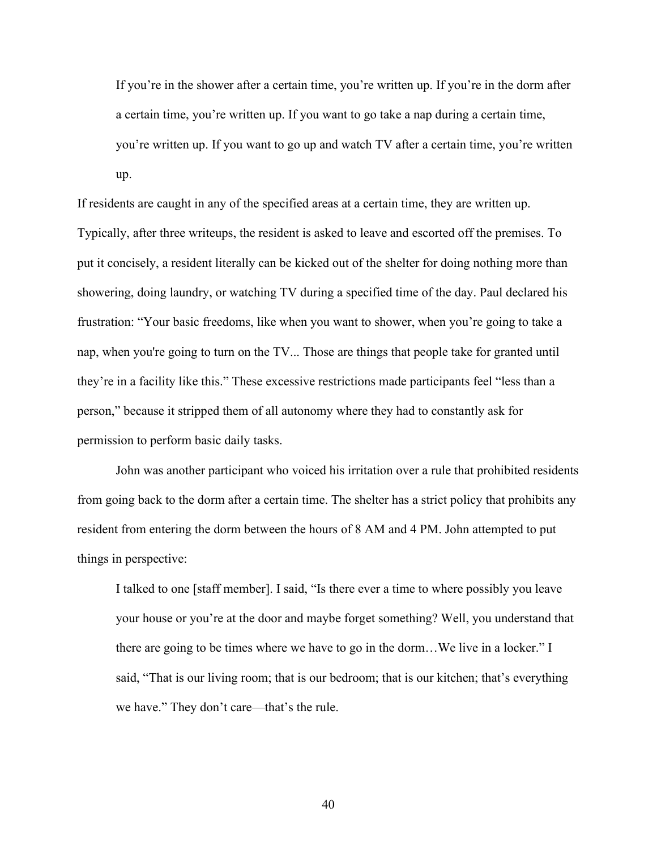If you're in the shower after a certain time, you're written up. If you're in the dorm after a certain time, you're written up. If you want to go take a nap during a certain time, you're written up. If you want to go up and watch TV after a certain time, you're written up.

If residents are caught in any of the specified areas at a certain time, they are written up. Typically, after three writeups, the resident is asked to leave and escorted off the premises. To put it concisely, a resident literally can be kicked out of the shelter for doing nothing more than showering, doing laundry, or watching TV during a specified time of the day. Paul declared his frustration: "Your basic freedoms, like when you want to shower, when you're going to take a nap, when you're going to turn on the TV... Those are things that people take for granted until they're in a facility like this." These excessive restrictions made participants feel "less than a person," because it stripped them of all autonomy where they had to constantly ask for permission to perform basic daily tasks.

 John was another participant who voiced his irritation over a rule that prohibited residents from going back to the dorm after a certain time. The shelter has a strict policy that prohibits any resident from entering the dorm between the hours of 8 AM and 4 PM. John attempted to put things in perspective:

I talked to one [staff member]. I said, "Is there ever a time to where possibly you leave your house or you're at the door and maybe forget something? Well, you understand that there are going to be times where we have to go in the dorm…We live in a locker." I said, "That is our living room; that is our bedroom; that is our kitchen; that's everything we have." They don't care—that's the rule.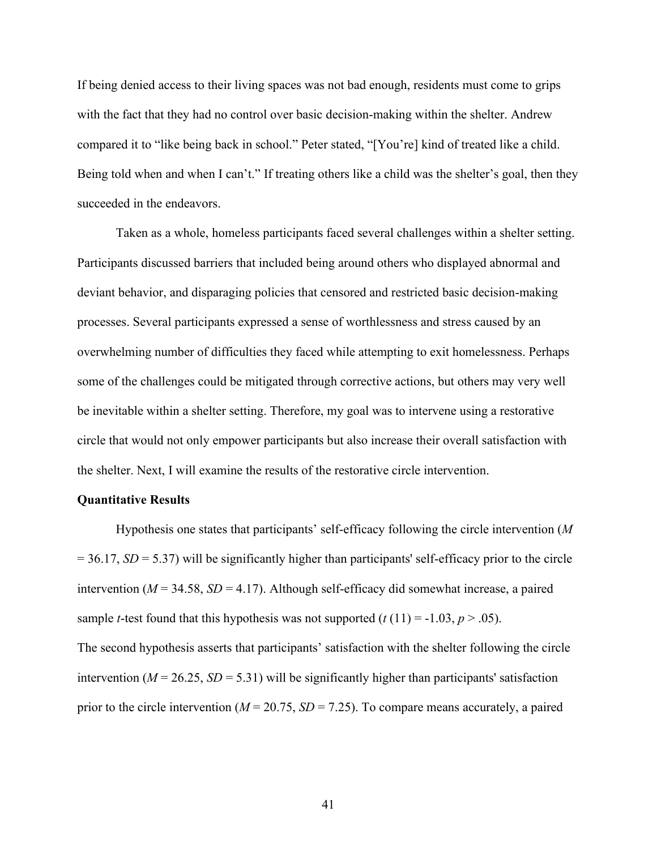If being denied access to their living spaces was not bad enough, residents must come to grips with the fact that they had no control over basic decision-making within the shelter. Andrew compared it to "like being back in school." Peter stated, "[You're] kind of treated like a child. Being told when and when I can't." If treating others like a child was the shelter's goal, then they succeeded in the endeavors.

 Taken as a whole, homeless participants faced several challenges within a shelter setting. Participants discussed barriers that included being around others who displayed abnormal and deviant behavior, and disparaging policies that censored and restricted basic decision-making processes. Several participants expressed a sense of worthlessness and stress caused by an overwhelming number of difficulties they faced while attempting to exit homelessness. Perhaps some of the challenges could be mitigated through corrective actions, but others may very well be inevitable within a shelter setting. Therefore, my goal was to intervene using a restorative circle that would not only empower participants but also increase their overall satisfaction with the shelter. Next, I will examine the results of the restorative circle intervention.

#### **Quantitative Results**

 Hypothesis one states that participants' self-efficacy following the circle intervention (*M*  $= 36.17$ , *SD* = 5.37) will be significantly higher than participants' self-efficacy prior to the circle intervention ( $M = 34.58$ ,  $SD = 4.17$ ). Although self-efficacy did somewhat increase, a paired sample *t*-test found that this hypothesis was not supported  $(t(11) = -1.03, p > .05)$ . The second hypothesis asserts that participants' satisfaction with the shelter following the circle

intervention ( $M = 26.25$ ,  $SD = 5.31$ ) will be significantly higher than participants' satisfaction prior to the circle intervention ( $M = 20.75$ ,  $SD = 7.25$ ). To compare means accurately, a paired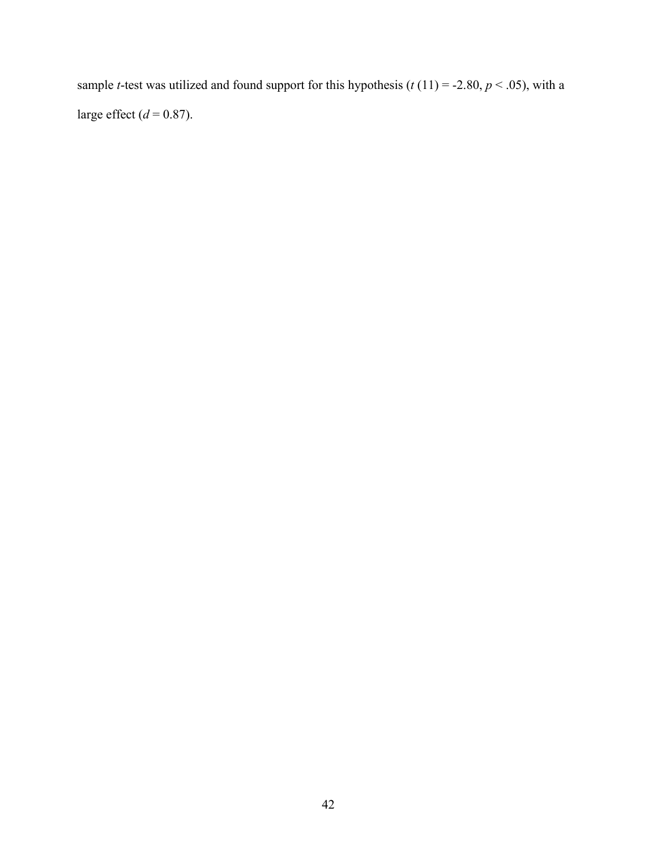sample *t*-test was utilized and found support for this hypothesis ( $t(11) = -2.80, p < .05$ ), with a large effect  $(d = 0.87)$ .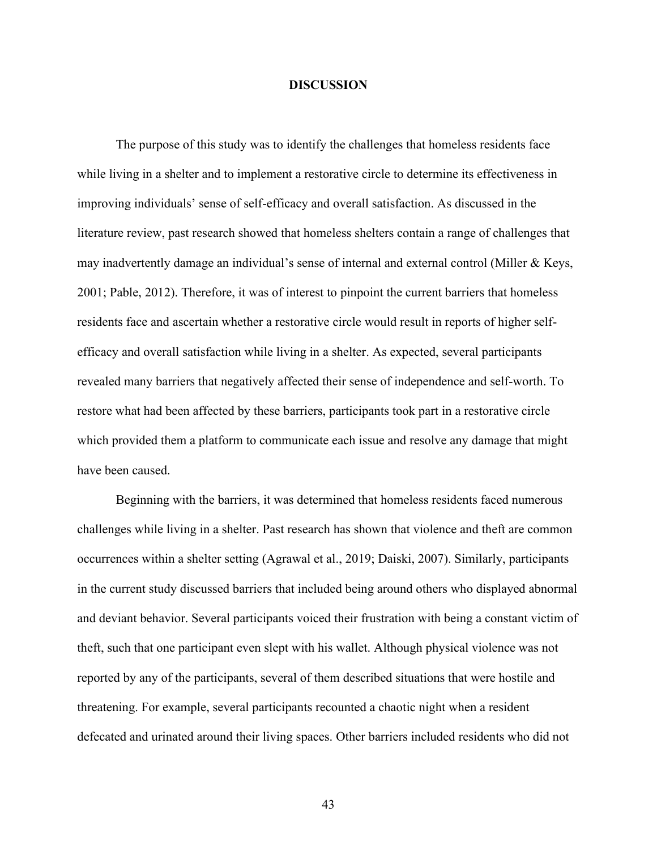#### **DISCUSSION**

The purpose of this study was to identify the challenges that homeless residents face while living in a shelter and to implement a restorative circle to determine its effectiveness in improving individuals' sense of self-efficacy and overall satisfaction. As discussed in the literature review, past research showed that homeless shelters contain a range of challenges that may inadvertently damage an individual's sense of internal and external control (Miller & Keys, 2001; Pable, 2012). Therefore, it was of interest to pinpoint the current barriers that homeless residents face and ascertain whether a restorative circle would result in reports of higher selfefficacy and overall satisfaction while living in a shelter. As expected, several participants revealed many barriers that negatively affected their sense of independence and self-worth. To restore what had been affected by these barriers, participants took part in a restorative circle which provided them a platform to communicate each issue and resolve any damage that might have been caused.

Beginning with the barriers, it was determined that homeless residents faced numerous challenges while living in a shelter. Past research has shown that violence and theft are common occurrences within a shelter setting (Agrawal et al., 2019; Daiski, 2007). Similarly, participants in the current study discussed barriers that included being around others who displayed abnormal and deviant behavior. Several participants voiced their frustration with being a constant victim of theft, such that one participant even slept with his wallet. Although physical violence was not reported by any of the participants, several of them described situations that were hostile and threatening. For example, several participants recounted a chaotic night when a resident defecated and urinated around their living spaces. Other barriers included residents who did not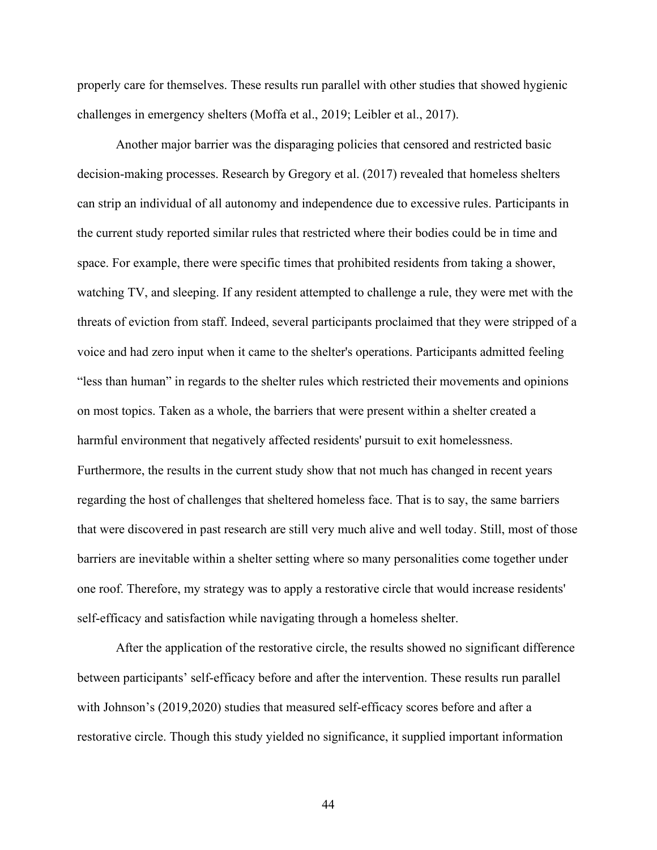properly care for themselves. These results run parallel with other studies that showed hygienic challenges in emergency shelters (Moffa et al., 2019; Leibler et al., 2017).

Another major barrier was the disparaging policies that censored and restricted basic decision-making processes. Research by Gregory et al. (2017) revealed that homeless shelters can strip an individual of all autonomy and independence due to excessive rules. Participants in the current study reported similar rules that restricted where their bodies could be in time and space. For example, there were specific times that prohibited residents from taking a shower, watching TV, and sleeping. If any resident attempted to challenge a rule, they were met with the threats of eviction from staff. Indeed, several participants proclaimed that they were stripped of a voice and had zero input when it came to the shelter's operations. Participants admitted feeling "less than human" in regards to the shelter rules which restricted their movements and opinions on most topics. Taken as a whole, the barriers that were present within a shelter created a harmful environment that negatively affected residents' pursuit to exit homelessness. Furthermore, the results in the current study show that not much has changed in recent years regarding the host of challenges that sheltered homeless face. That is to say, the same barriers that were discovered in past research are still very much alive and well today. Still, most of those barriers are inevitable within a shelter setting where so many personalities come together under one roof. Therefore, my strategy was to apply a restorative circle that would increase residents' self-efficacy and satisfaction while navigating through a homeless shelter.

After the application of the restorative circle, the results showed no significant difference between participants' self-efficacy before and after the intervention. These results run parallel with Johnson's (2019,2020) studies that measured self-efficacy scores before and after a restorative circle. Though this study yielded no significance, it supplied important information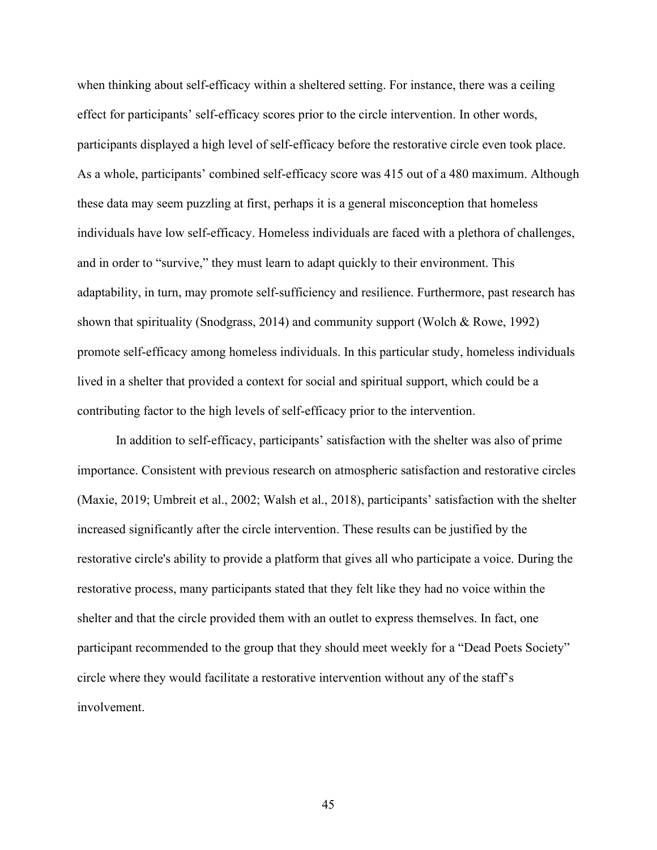when thinking about self-efficacy within a sheltered setting. For instance, there was a ceiling effect for participants' self-efficacy scores prior to the circle intervention. In other words, participants displayed a high level of self-efficacy before the restorative circle even took place. As a whole, participants' combined self-efficacy score was 415 out of a 480 maximum. Although these data may seem puzzling at first, perhaps it is a general misconception that homeless individuals have low self-efficacy. Homeless individuals are faced with a plethora of challenges, and in order to "survive," they must learn to adapt quickly to their environment. This adaptability, in turn, may promote self-sufficiency and resilience. Furthermore, past research has shown that spirituality (Snodgrass, 2014) and community support (Wolch & Rowe, 1992) promote self-efficacy among homeless individuals. In this particular study, homeless individuals lived in a shelter that provided a context for social and spiritual support, which could be a contributing factor to the high levels of self-efficacy prior to the intervention.

In addition to self-efficacy, participants' satisfaction with the shelter was also of prime importance. Consistent with previous research on atmospheric satisfaction and restorative circles (Maxie, 2019; Umbreit et al., 2002; Walsh et al., 2018), participants' satisfaction with the shelter increased significantly after the circle intervention. These results can be justified by the restorative circle's ability to provide a platform that gives all who participate a voice. During the restorative process, many participants stated that they felt like they had no voice within the shelter and that the circle provided them with an outlet to express themselves. In fact, one participant recommended to the group that they should meet weekly for a "Dead Poets Society" circle where they would facilitate a restorative intervention without any of the staff's involvement.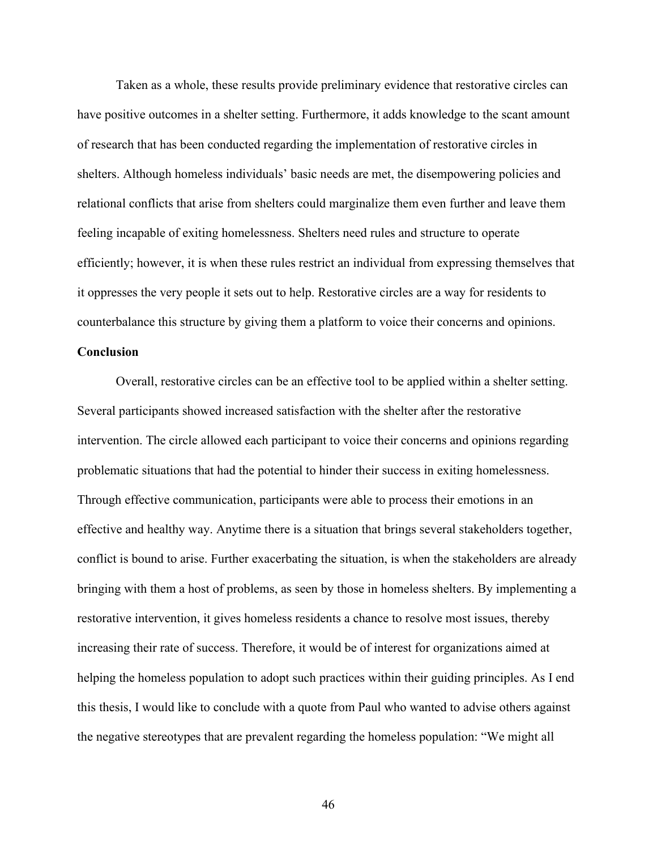Taken as a whole, these results provide preliminary evidence that restorative circles can have positive outcomes in a shelter setting. Furthermore, it adds knowledge to the scant amount of research that has been conducted regarding the implementation of restorative circles in shelters. Although homeless individuals' basic needs are met, the disempowering policies and relational conflicts that arise from shelters could marginalize them even further and leave them feeling incapable of exiting homelessness. Shelters need rules and structure to operate efficiently; however, it is when these rules restrict an individual from expressing themselves that it oppresses the very people it sets out to help. Restorative circles are a way for residents to counterbalance this structure by giving them a platform to voice their concerns and opinions.

#### **Conclusion**

 Overall, restorative circles can be an effective tool to be applied within a shelter setting. Several participants showed increased satisfaction with the shelter after the restorative intervention. The circle allowed each participant to voice their concerns and opinions regarding problematic situations that had the potential to hinder their success in exiting homelessness. Through effective communication, participants were able to process their emotions in an effective and healthy way. Anytime there is a situation that brings several stakeholders together, conflict is bound to arise. Further exacerbating the situation, is when the stakeholders are already bringing with them a host of problems, as seen by those in homeless shelters. By implementing a restorative intervention, it gives homeless residents a chance to resolve most issues, thereby increasing their rate of success. Therefore, it would be of interest for organizations aimed at helping the homeless population to adopt such practices within their guiding principles. As I end this thesis, I would like to conclude with a quote from Paul who wanted to advise others against the negative stereotypes that are prevalent regarding the homeless population: "We might all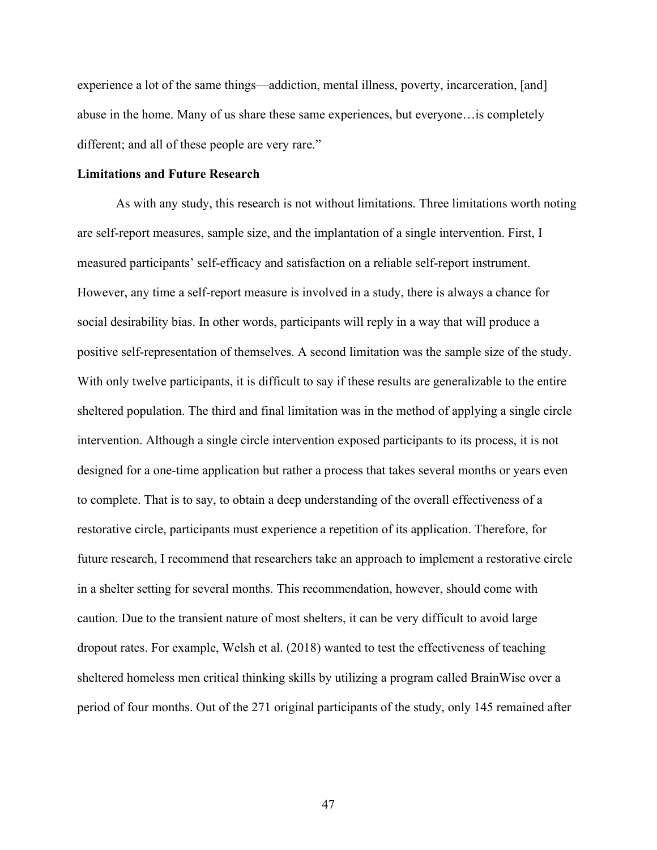experience a lot of the same things—addiction, mental illness, poverty, incarceration, [and] abuse in the home. Many of us share these same experiences, but everyone…is completely different; and all of these people are very rare."

#### **Limitations and Future Research**

As with any study, this research is not without limitations. Three limitations worth noting are self-report measures, sample size, and the implantation of a single intervention. First, I measured participants' self-efficacy and satisfaction on a reliable self-report instrument. However, any time a self-report measure is involved in a study, there is always a chance for social desirability bias. In other words, participants will reply in a way that will produce a positive self-representation of themselves. A second limitation was the sample size of the study. With only twelve participants, it is difficult to say if these results are generalizable to the entire sheltered population. The third and final limitation was in the method of applying a single circle intervention. Although a single circle intervention exposed participants to its process, it is not designed for a one-time application but rather a process that takes several months or years even to complete. That is to say, to obtain a deep understanding of the overall effectiveness of a restorative circle, participants must experience a repetition of its application. Therefore, for future research, I recommend that researchers take an approach to implement a restorative circle in a shelter setting for several months. This recommendation, however, should come with caution. Due to the transient nature of most shelters, it can be very difficult to avoid large dropout rates. For example, Welsh et al. (2018) wanted to test the effectiveness of teaching sheltered homeless men critical thinking skills by utilizing a program called BrainWise over a period of four months. Out of the 271 original participants of the study, only 145 remained after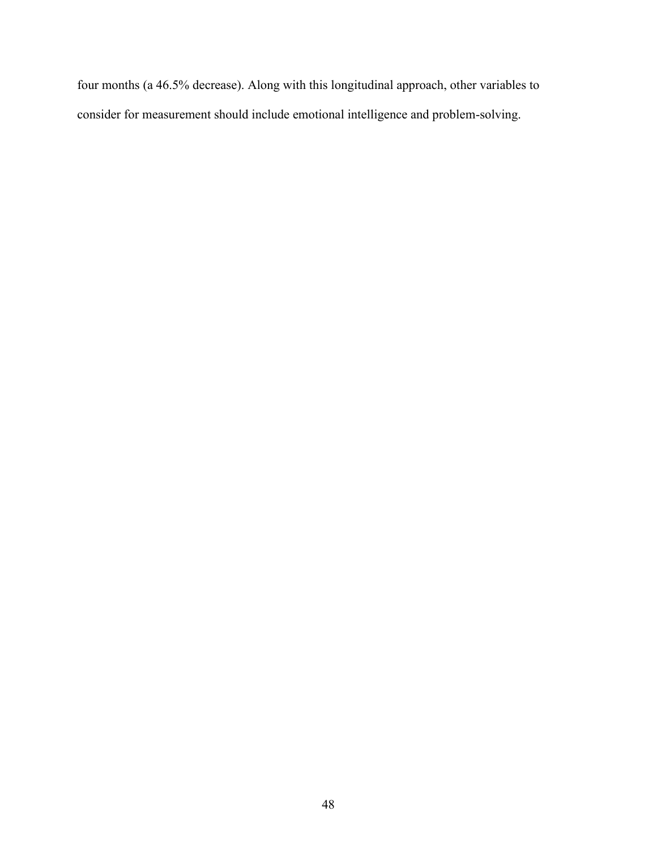four months (a 46.5% decrease). Along with this longitudinal approach, other variables to consider for measurement should include emotional intelligence and problem-solving.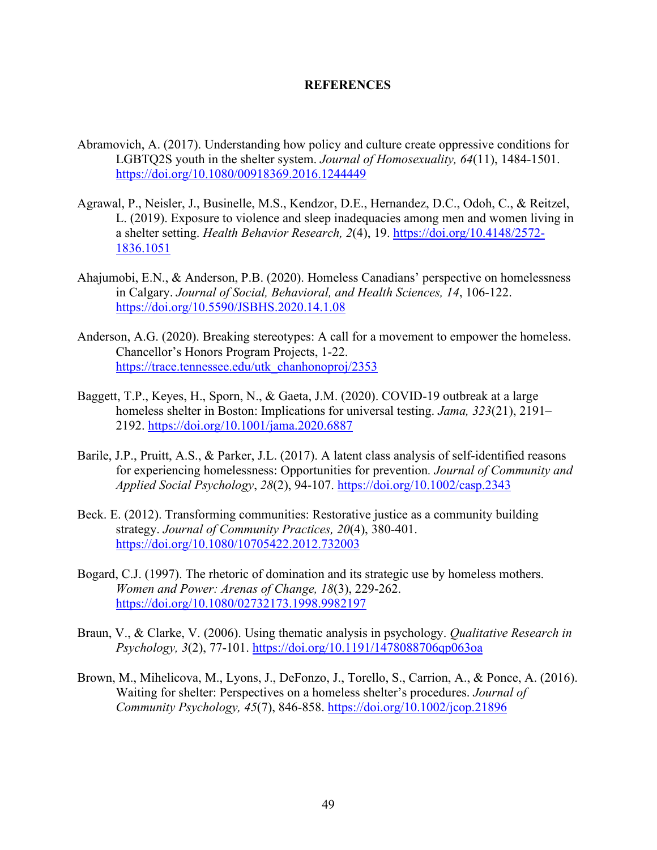#### **REFERENCES**

- Abramovich, A. (2017). Understanding how policy and culture create oppressive conditions for LGBTQ2S youth in the shelter system. *Journal of Homosexuality, 64*(11), 1484-1501. <https://doi.org/10.1080/00918369.2016.1244449>
- Agrawal, P., Neisler, J., Businelle, M.S., Kendzor, D.E., Hernandez, D.C., Odoh, C., & Reitzel, L. (2019). Exposure to violence and sleep inadequacies among men and women living in a shelter setting. *Health Behavior Research, 2*(4), 19. [https://doi.org/10.4148/2572-](https://doi.org/10.4148/2572-1836.1051) [1836.1051](https://doi.org/10.4148/2572-1836.1051)
- Ahajumobi, E.N., & Anderson, P.B. (2020). Homeless Canadians' perspective on homelessness in Calgary. *Journal of Social, Behavioral, and Health Sciences, 14*, 106-122. <https://doi.org/10.5590/JSBHS.2020.14.1.08>
- Anderson, A.G. (2020). Breaking stereotypes: A call for a movement to empower the homeless. Chancellor's Honors Program Projects, 1-22. [https://trace.tennessee.edu/utk\\_chanhonoproj/2353](https://trace.tennessee.edu/utk_chanhonoproj/2353)
- Baggett, T.P., Keyes, H., Sporn, N., & Gaeta, J.M. (2020). COVID-19 outbreak at a large homeless shelter in Boston: Implications for universal testing. *Jama, 323*(21), 2191– 2192.<https://doi.org/10.1001/jama.2020.6887>
- Barile, J.P., Pruitt, A.S., & Parker, J.L. (2017). A latent class analysis of self-identified reasons for experiencing homelessness: Opportunities for prevention*. Journal of Community and Applied Social Psychology*, *28*(2), 94-107.<https://doi.org/10.1002/casp.2343>
- Beck. E. (2012). Transforming communities: Restorative justice as a community building strategy. *Journal of Community Practices, 20*(4), 380-401. <https://doi.org/10.1080/10705422.2012.732003>
- Bogard, C.J. (1997). The rhetoric of domination and its strategic use by homeless mothers. *Women and Power: Arenas of Change, 18*(3), 229-262. <https://doi.org/10.1080/02732173.1998.9982197>
- Braun, V., & Clarke, V. (2006). Using thematic analysis in psychology. *Qualitative Research in Psychology, 3*(2), 77-101.<https://doi.org/10.1191/1478088706qp063oa>
- Brown, M., Mihelicova, M., Lyons, J., DeFonzo, J., Torello, S., Carrion, A., & Ponce, A. (2016). Waiting for shelter: Perspectives on a homeless shelter's procedures. *Journal of Community Psychology, 45*(7), 846-858.<https://doi.org/10.1002/jcop.21896>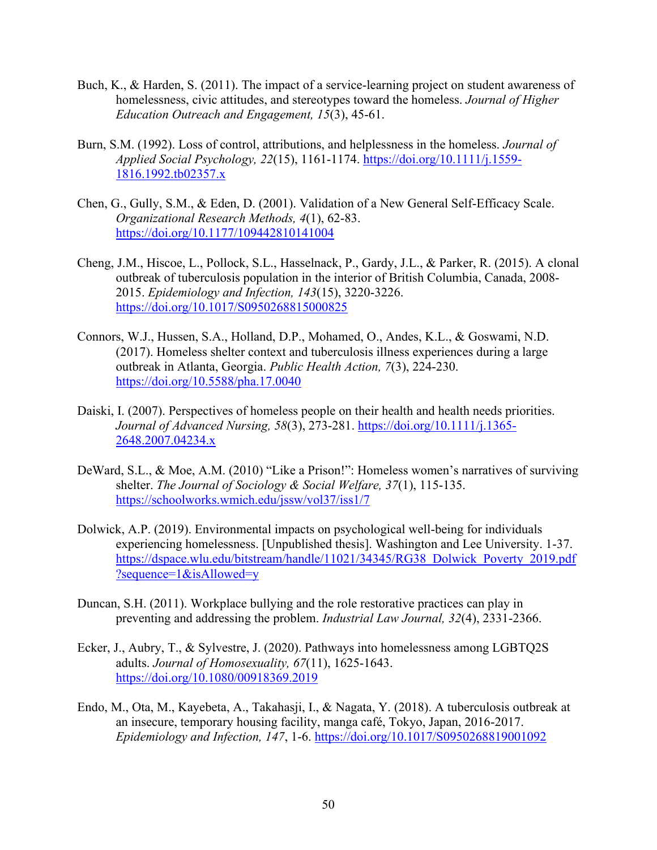- Buch, K., & Harden, S. (2011). The impact of a service-learning project on student awareness of homelessness, civic attitudes, and stereotypes toward the homeless. *Journal of Higher Education Outreach and Engagement, 15*(3), 45-61.
- Burn, S.M. (1992). Loss of control, attributions, and helplessness in the homeless. *Journal of Applied Social Psychology, 22*(15), 1161-1174. [https://doi.org/10.1111/j.1559-](https://doi.org/10.1111/j.1559-1816.1992.tb02357.x) [1816.1992.tb02357.x](https://doi.org/10.1111/j.1559-1816.1992.tb02357.x)
- Chen, G., Gully, S.M., & Eden, D. (2001). Validation of a New General Self-Efficacy Scale. *Organizational Research Methods, 4*(1), 62-83. <https://doi.org/10.1177/109442810141004>
- Cheng, J.M., Hiscoe, L., Pollock, S.L., Hasselnack, P., Gardy, J.L., & Parker, R. (2015). A clonal outbreak of tuberculosis population in the interior of British Columbia, Canada, 2008- 2015. *Epidemiology and Infection, 143*(15), 3220-3226. <https://doi.org/10.1017/S0950268815000825>
- Connors, W.J., Hussen, S.A., Holland, D.P., Mohamed, O., Andes, K.L., & Goswami, N.D. (2017). Homeless shelter context and tuberculosis illness experiences during a large outbreak in Atlanta, Georgia. *Public Health Action, 7*(3), 224-230. <https://doi.org/10.5588/pha.17.0040>
- Daiski, I. (2007). Perspectives of homeless people on their health and health needs priorities. *Journal of Advanced Nursing, 58*(3), 273-281. [https://doi.org/10.1111/j.1365-](https://doi.org/10.1111/j.1365-2648.2007.04234.x) [2648.2007.04234.x](https://doi.org/10.1111/j.1365-2648.2007.04234.x)
- DeWard, S.L., & Moe, A.M. (2010) "Like a Prison!": Homeless women's narratives of surviving shelter. *The Journal of Sociology & Social Welfare, 37*(1), 115-135. <https://schoolworks.wmich.edu/jssw/vol37/iss1/7>
- Dolwick, A.P. (2019). Environmental impacts on psychological well-being for individuals experiencing homelessness. [Unpublished thesis]. Washington and Lee University. 1-37. [https://dspace.wlu.edu/bitstream/handle/11021/34345/RG38\\_Dolwick\\_Poverty\\_2019.pdf](https://dspace.wlu.edu/bitstream/handle/11021/34345/RG38_Dolwick_Poverty_2019.pdf?sequence=1&isAllowed=y) [?sequence=1&isAllowed=y](https://dspace.wlu.edu/bitstream/handle/11021/34345/RG38_Dolwick_Poverty_2019.pdf?sequence=1&isAllowed=y)
- Duncan, S.H. (2011). Workplace bullying and the role restorative practices can play in preventing and addressing the problem. *Industrial Law Journal, 32*(4), 2331-2366.
- Ecker, J., Aubry, T., & Sylvestre, J. (2020). Pathways into homelessness among LGBTQ2S adults. *Journal of Homosexuality, 67*(11), 1625-1643. <https://doi.org/10.1080/00918369.2019>
- Endo, M., Ota, M., Kayebeta, A., Takahasji, I., & Nagata, Y. (2018). A tuberculosis outbreak at an insecure, temporary housing facility, manga café, Tokyo, Japan, 2016-2017. *Epidemiology and Infection, 147*, 1-6.<https://doi.org/10.1017/S0950268819001092>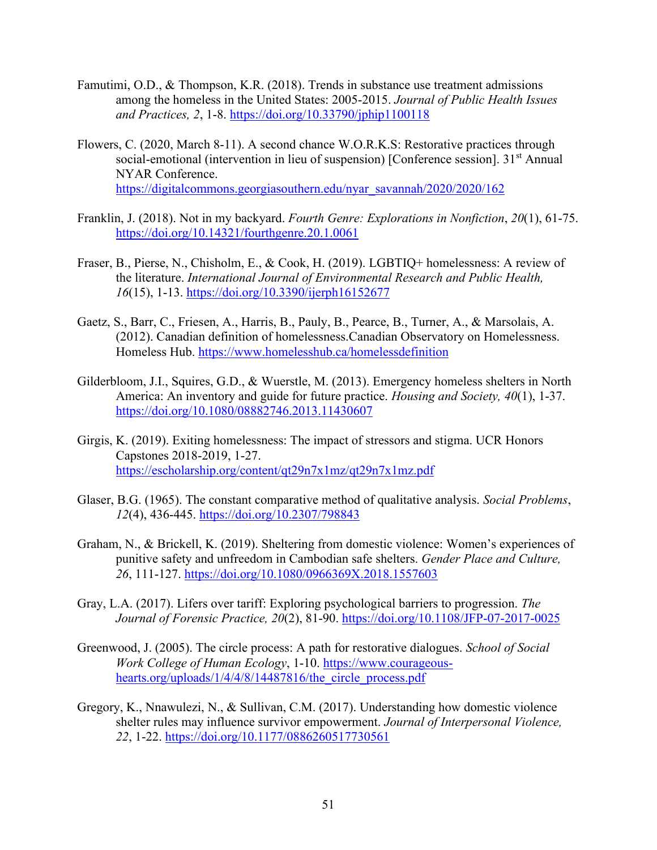- Famutimi, O.D., & Thompson, K.R. (2018). Trends in substance use treatment admissions among the homeless in the United States: 2005-2015. *Journal of Public Health Issues and Practices, 2*, 1-8.<https://doi.org/10.33790/jphip1100118>
- Flowers, C. (2020, March 8-11). A second chance W.O.R.K.S: Restorative practices through social-emotional (intervention in lieu of suspension) [Conference session].  $31<sup>st</sup>$  Annual NYAR Conference. [https://digitalcommons.georgiasouthern.edu/nyar\\_savannah/2020/2020/162](https://digitalcommons.georgiasouthern.edu/nyar_savannah/2020/2020/162)
- Franklin, J. (2018). Not in my backyard. *Fourth Genre: Explorations in Nonfiction*, *20*(1), 61-75. <https://doi.org/10.14321/fourthgenre.20.1.0061>
- Fraser, B., Pierse, N., Chisholm, E., & Cook, H. (2019). LGBTIQ+ homelessness: A review of the literature. *International Journal of Environmental Research and Public Health, 16*(15), 1-13.<https://doi.org/10.3390/ijerph16152677>
- Gaetz, S., Barr, C., Friesen, A., Harris, B., Pauly, B., Pearce, B., Turner, A., & Marsolais, A. (2012). Canadian definition of homelessness.Canadian Observatory on Homelessness. Homeless Hub. <https://www.homelesshub.ca/homelessdefinition>
- Gilderbloom, J.I., Squires, G.D., & Wuerstle, M. (2013). Emergency homeless shelters in North America: An inventory and guide for future practice. *Housing and Society, 40*(1), 1-37. <https://doi.org/10.1080/08882746.2013.11430607>
- Girgis, K. (2019). Exiting homelessness: The impact of stressors and stigma. UCR Honors Capstones 2018-2019, 1-27. <https://escholarship.org/content/qt29n7x1mz/qt29n7x1mz.pdf>
- Glaser, B.G. (1965). The constant comparative method of qualitative analysis. *Social Problems*, *12*(4), 436-445.<https://doi.org/10.2307/798843>
- Graham, N., & Brickell, K. (2019). Sheltering from domestic violence: Women's experiences of punitive safety and unfreedom in Cambodian safe shelters. *Gender Place and Culture, 26*, 111-127.<https://doi.org/10.1080/0966369X.2018.1557603>
- Gray, L.A. (2017). Lifers over tariff: Exploring psychological barriers to progression. *The Journal of Forensic Practice, 20*(2), 81-90.<https://doi.org/10.1108/JFP-07-2017-0025>
- Greenwood, J. (2005). The circle process: A path for restorative dialogues. *School of Social Work College of Human Ecology*, 1-10. [https://www.courageous](https://www.courageous-hearts.org/uploads/1/4/4/8/14487816/the_circle_process.pdf)[hearts.org/uploads/1/4/4/8/14487816/the\\_circle\\_process.pdf](https://www.courageous-hearts.org/uploads/1/4/4/8/14487816/the_circle_process.pdf)
- Gregory, K., Nnawulezi, N., & Sullivan, C.M. (2017). Understanding how domestic violence shelter rules may influence survivor empowerment. *Journal of Interpersonal Violence, 22*, 1-22.<https://doi.org/10.1177/0886260517730561>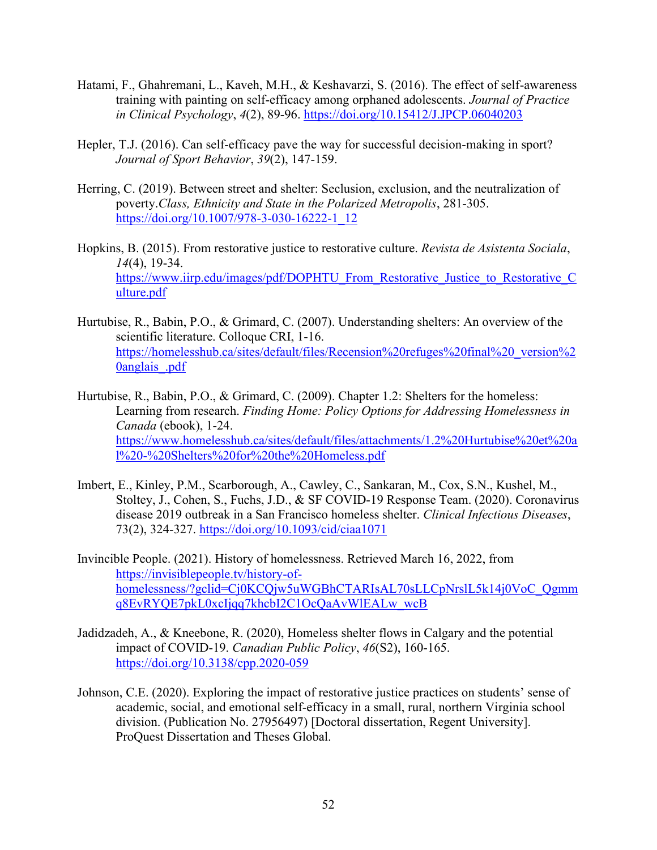- Hatami, F., Ghahremani, L., Kaveh, M.H., & Keshavarzi, S. (2016). The effect of self-awareness training with painting on self-efficacy among orphaned adolescents. *Journal of Practice in Clinical Psychology*, *4*(2), 89-96.<https://doi.org/10.15412/J.JPCP.06040203>
- Hepler, T.J. (2016). Can self-efficacy pave the way for successful decision-making in sport? *Journal of Sport Behavior*, *39*(2), 147-159.
- Herring, C. (2019). Between street and shelter: Seclusion, exclusion, and the neutralization of poverty.*Class, Ethnicity and State in the Polarized Metropolis*, 281-305. [https://doi.org/10.1007/978-3-030-16222-1\\_12](https://doi.org/10.1007/978-3-030-16222-1_12)
- Hopkins, B. (2015). From restorative justice to restorative culture. *Revista de Asistenta Sociala*, *14*(4), 19-34. [https://www.iirp.edu/images/pdf/DOPHTU\\_From\\_Restorative\\_Justice\\_to\\_Restorative\\_C](https://www.iirp.edu/images/pdf/DOPHTU_From_Restorative_Justice_to_Restorative_Culture.pdf) [ulture.pdf](https://www.iirp.edu/images/pdf/DOPHTU_From_Restorative_Justice_to_Restorative_Culture.pdf)
- Hurtubise, R., Babin, P.O., & Grimard, C. (2007). Understanding shelters: An overview of the scientific literature. Colloque CRI, 1-16. [https://homelesshub.ca/sites/default/files/Recension%20refuges%20final%20\\_version%2](https://homelesshub.ca/sites/default/files/Recension%20refuges%20final%20_version%20anglais_.pdf) 0anglais .pdf
- Hurtubise, R., Babin, P.O., & Grimard, C. (2009). Chapter 1.2: Shelters for the homeless: Learning from research. *Finding Home: Policy Options for Addressing Homelessness in Canada* (ebook), 1-24. [https://www.homelesshub.ca/sites/default/files/attachments/1.2%20Hurtubise%20et%20a](https://www.homelesshub.ca/sites/default/files/attachments/1.2%20Hurtubise%20et%20al%20-%20Shelters%20for%20the%20Homeless.pdf) [l%20-%20Shelters%20for%20the%20Homeless.pdf](https://www.homelesshub.ca/sites/default/files/attachments/1.2%20Hurtubise%20et%20al%20-%20Shelters%20for%20the%20Homeless.pdf)
- Imbert, E., Kinley, P.M., Scarborough, A., Cawley, C., Sankaran, M., Cox, S.N., Kushel, M., Stoltey, J., Cohen, S., Fuchs, J.D., & SF COVID-19 Response Team. (2020). Coronavirus disease 2019 outbreak in a San Francisco homeless shelter. *Clinical Infectious Diseases*, 73(2), 324-327.<https://doi.org/10.1093/cid/ciaa1071>
- Invincible People. (2021). History of homelessness. Retrieved March 16, 2022, from [https://invisiblepeople.tv/history-of](https://invisiblepeople.tv/history-of-homelessness/?gclid=Cj0KCQjw5uWGBhCTARIsAL70sLLCpNrslL5k14j0VoC_Qgmmq8EvRYQE7pkL0xcIjqq7khcbI2C1OcQaAvWlEALw_wcB)[homelessness/?gclid=Cj0KCQjw5uWGBhCTARIsAL70sLLCpNrslL5k14j0VoC\\_Qgmm](https://invisiblepeople.tv/history-of-homelessness/?gclid=Cj0KCQjw5uWGBhCTARIsAL70sLLCpNrslL5k14j0VoC_Qgmmq8EvRYQE7pkL0xcIjqq7khcbI2C1OcQaAvWlEALw_wcB) [q8EvRYQE7pkL0xcIjqq7khcbI2C1OcQaAvWlEALw\\_wcB](https://invisiblepeople.tv/history-of-homelessness/?gclid=Cj0KCQjw5uWGBhCTARIsAL70sLLCpNrslL5k14j0VoC_Qgmmq8EvRYQE7pkL0xcIjqq7khcbI2C1OcQaAvWlEALw_wcB)
- Jadidzadeh, A., & Kneebone, R. (2020), Homeless shelter flows in Calgary and the potential impact of COVID-19. *Canadian Public Policy*, *46*(S2), 160-165. <https://doi.org/10.3138/cpp.2020-059>
- Johnson, C.E. (2020). Exploring the impact of restorative justice practices on students' sense of academic, social, and emotional self-efficacy in a small, rural, northern Virginia school division. (Publication No. 27956497) [Doctoral dissertation, Regent University]. ProQuest Dissertation and Theses Global.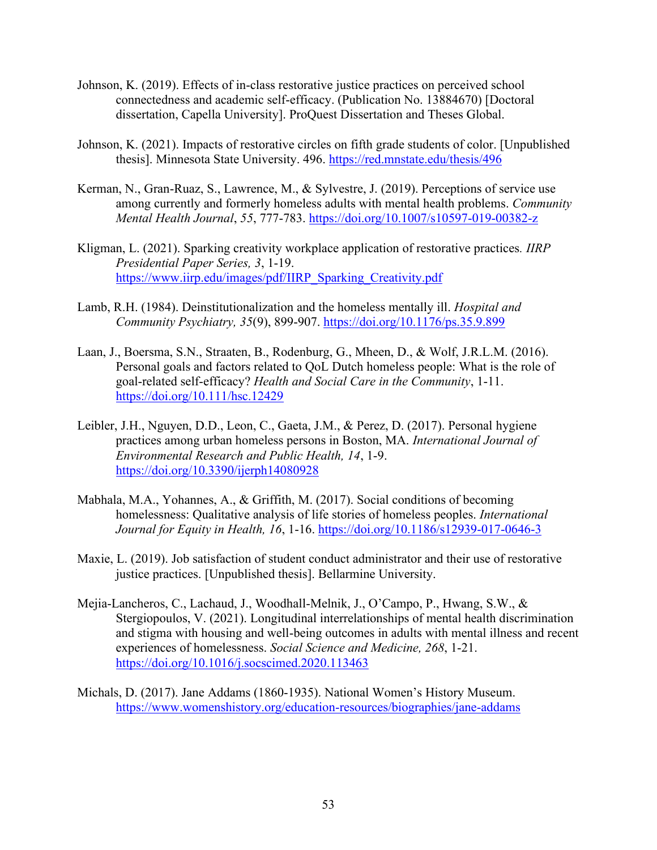- Johnson, K. (2019). Effects of in-class restorative justice practices on perceived school connectedness and academic self-efficacy. (Publication No. 13884670) [Doctoral dissertation, Capella University]. ProQuest Dissertation and Theses Global.
- Johnson, K. (2021). Impacts of restorative circles on fifth grade students of color. [Unpublished thesis]. Minnesota State University. 496. https://red.mnstate.edu/thesis/496
- Kerman, N., Gran-Ruaz, S., Lawrence, M., & Sylvestre, J. (2019). Perceptions of service use among currently and formerly homeless adults with mental health problems. *Community Mental Health Journal*, *55*, 777-783.<https://doi.org/10.1007/s10597-019-00382-z>
- Kligman, L. (2021). Sparking creativity workplace application of restorative practices*. IIRP Presidential Paper Series, 3*, 1-19. [https://www.iirp.edu/images/pdf/IIRP\\_Sparking\\_Creativity.pdf](https://www.iirp.edu/images/pdf/IIRP_Sparking_Creativity.pdf)
- Lamb, R.H. (1984). Deinstitutionalization and the homeless mentally ill. *Hospital and Community Psychiatry, 35*(9), 899-907.<https://doi.org/10.1176/ps.35.9.899>
- Laan, J., Boersma, S.N., Straaten, B., Rodenburg, G., Mheen, D., & Wolf, J.R.L.M. (2016). Personal goals and factors related to QoL Dutch homeless people: What is the role of goal-related self-efficacy? *Health and Social Care in the Community*, 1-11. <https://doi.org/10.111/hsc.12429>
- Leibler, J.H., Nguyen, D.D., Leon, C., Gaeta, J.M., & Perez, D. (2017). Personal hygiene practices among urban homeless persons in Boston, MA. *International Journal of Environmental Research and Public Health, 14*, 1-9. <https://doi.org/10.3390/ijerph14080928>
- Mabhala, M.A., Yohannes, A., & Griffith, M. (2017). Social conditions of becoming homelessness: Qualitative analysis of life stories of homeless peoples. *International Journal for Equity in Health, 16*, 1-16.<https://doi.org/10.1186/s12939-017-0646-3>
- Maxie, L. (2019). Job satisfaction of student conduct administrator and their use of restorative justice practices. [Unpublished thesis]. Bellarmine University.
- Mejia-Lancheros, C., Lachaud, J., Woodhall-Melnik, J., O'Campo, P., Hwang, S.W., & Stergiopoulos, V. (2021). Longitudinal interrelationships of mental health discrimination and stigma with housing and well-being outcomes in adults with mental illness and recent experiences of homelessness. *Social Science and Medicine, 268*, 1-21. <https://doi.org/10.1016/j.socscimed.2020.113463>
- Michals, D. (2017). Jane Addams (1860-1935). National Women's History Museum. <https://www.womenshistory.org/education-resources/biographies/jane-addams>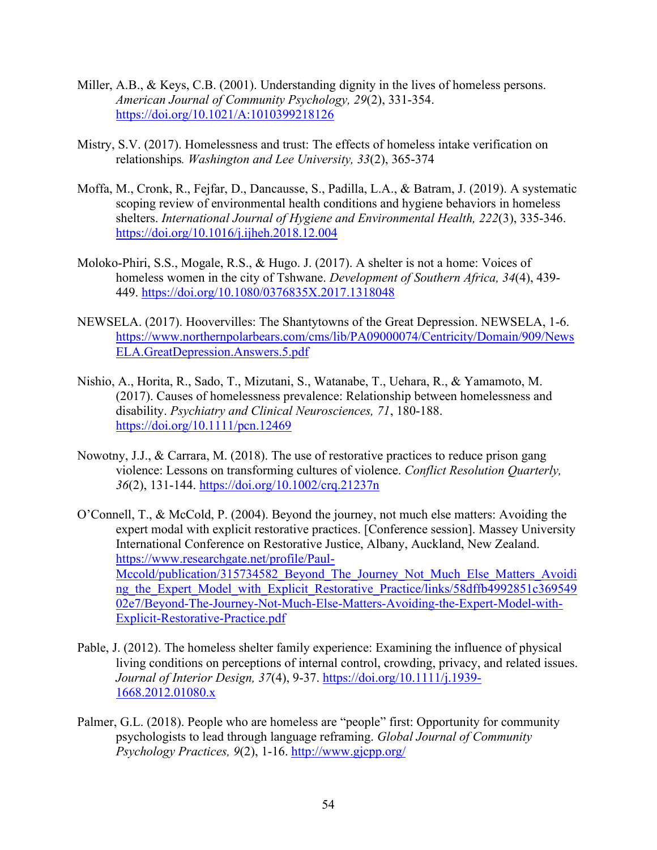- Miller, A.B., & Keys, C.B. (2001). Understanding dignity in the lives of homeless persons. *American Journal of Community Psychology, 29*(2), 331-354. <https://doi.org/10.1021/A:1010399218126>
- Mistry, S.V. (2017). Homelessness and trust: The effects of homeless intake verification on relationships*. Washington and Lee University, 33*(2), 365-374
- Moffa, M., Cronk, R., Fejfar, D., Dancausse, S., Padilla, L.A., & Batram, J. (2019). A systematic scoping review of environmental health conditions and hygiene behaviors in homeless shelters. *International Journal of Hygiene and Environmental Health, 222*(3), 335-346. <https://doi.org/10.1016/j.ijheh.2018.12.004>
- Moloko-Phiri, S.S., Mogale, R.S., & Hugo. J. (2017). A shelter is not a home: Voices of homeless women in the city of Tshwane. *Development of Southern Africa, 34*(4), 439- 449.<https://doi.org/10.1080/0376835X.2017.1318048>
- NEWSELA. (2017). Hoovervilles: The Shantytowns of the Great Depression. NEWSELA, 1-6. [https://www.northernpolarbears.com/cms/lib/PA09000074/Centricity/Domain/909/News](https://www.northernpolarbears.com/cms/lib/PA09000074/Centricity/Domain/909/NewsELA.GreatDepression.Answers.5.pdf) [ELA.GreatDepression.Answers.5.pdf](https://www.northernpolarbears.com/cms/lib/PA09000074/Centricity/Domain/909/NewsELA.GreatDepression.Answers.5.pdf)
- Nishio, A., Horita, R., Sado, T., Mizutani, S., Watanabe, T., Uehara, R., & Yamamoto, M. (2017). Causes of homelessness prevalence: Relationship between homelessness and disability. *Psychiatry and Clinical Neurosciences, 71*, 180-188. <https://doi.org/10.1111/pcn.12469>
- Nowotny, J.J., & Carrara, M. (2018). The use of restorative practices to reduce prison gang violence: Lessons on transforming cultures of violence. *Conflict Resolution Quarterly, 36*(2), 131-144.<https://doi.org/10.1002/crq.21237n>
- O'Connell, T., & McCold, P. (2004). Beyond the journey, not much else matters: Avoiding the expert modal with explicit restorative practices. [Conference session]. Massey University International Conference on Restorative Justice, Albany, Auckland, New Zealand. [https://www.researchgate.net/profile/Paul-](https://www.researchgate.net/profile/Paul-Mccold/publication/315734582_Beyond_The_Journey_Not_Much_Else_Matters_Avoiding_the_Expert_Model_with_Explicit_Restorative_Practice/links/58dffb4992851c36954902e7/Beyond-The-Journey-Not-Much-Else-Matters-Avoiding-the-Expert-Model-with-Explicit-Restorative-Practice.pdf)Mccold/publication/315734582 Beyond The Journey Not Much Else Matters Avoidi ng the Expert Model with Explicit Restorative Practice/links/58dffb4992851c369549 [02e7/Beyond-The-Journey-Not-Much-Else-Matters-Avoiding-the-Expert-Model-with-](https://www.researchgate.net/profile/Paul-Mccold/publication/315734582_Beyond_The_Journey_Not_Much_Else_Matters_Avoiding_the_Expert_Model_with_Explicit_Restorative_Practice/links/58dffb4992851c36954902e7/Beyond-The-Journey-Not-Much-Else-Matters-Avoiding-the-Expert-Model-with-Explicit-Restorative-Practice.pdf)[Explicit-Restorative-Practice.pdf](https://www.researchgate.net/profile/Paul-Mccold/publication/315734582_Beyond_The_Journey_Not_Much_Else_Matters_Avoiding_the_Expert_Model_with_Explicit_Restorative_Practice/links/58dffb4992851c36954902e7/Beyond-The-Journey-Not-Much-Else-Matters-Avoiding-the-Expert-Model-with-Explicit-Restorative-Practice.pdf)
- Pable, J. (2012). The homeless shelter family experience: Examining the influence of physical living conditions on perceptions of internal control, crowding, privacy, and related issues. *Journal of Interior Design, 37*(4), 9-37. [https://doi.org/10.1111/j.1939-](https://doi.org/10.1111/j.1939-1668.2012.01080.x) [1668.2012.01080.x](https://doi.org/10.1111/j.1939-1668.2012.01080.x)
- Palmer, G.L. (2018). People who are homeless are "people" first: Opportunity for community psychologists to lead through language reframing. *Global Journal of Community Psychology Practices, 9*(2), 1-16.<http://www.gjcpp.org/>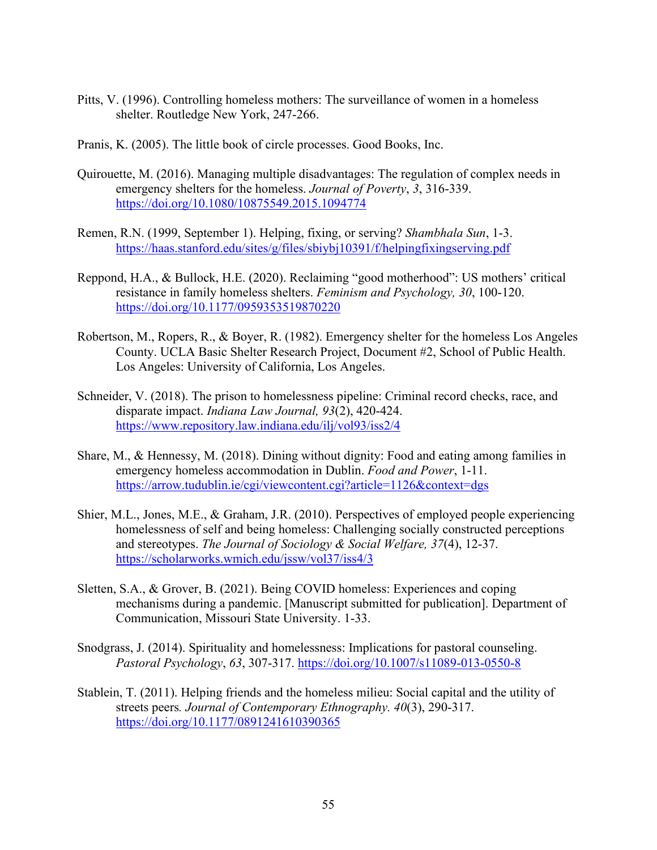- Pitts, V. (1996). Controlling homeless mothers: The surveillance of women in a homeless shelter. Routledge New York, 247-266.
- Pranis, K. (2005). The little book of circle processes. Good Books, Inc.
- Quirouette, M. (2016). Managing multiple disadvantages: The regulation of complex needs in emergency shelters for the homeless. *Journal of Poverty*, *3*, 316-339. <https://doi.org/10.1080/10875549.2015.1094774>
- Remen, R.N. (1999, September 1). Helping, fixing, or serving? *Shambhala Sun*, 1-3. <https://haas.stanford.edu/sites/g/files/sbiybj10391/f/helpingfixingserving.pdf>
- Reppond, H.A., & Bullock, H.E. (2020). Reclaiming "good motherhood": US mothers' critical resistance in family homeless shelters. *Feminism and Psychology, 30*, 100-120. <https://doi.org/10.1177/0959353519870220>
- Robertson, M., Ropers, R., & Boyer, R. (1982). Emergency shelter for the homeless Los Angeles County. UCLA Basic Shelter Research Project, Document #2, School of Public Health. Los Angeles: University of California, Los Angeles.
- Schneider, V. (2018). The prison to homelessness pipeline: Criminal record checks, race, and disparate impact. *Indiana Law Journal, 93*(2), 420-424. <https://www.repository.law.indiana.edu/ilj/vol93/iss2/4>
- Share, M., & Hennessy, M. (2018). Dining without dignity: Food and eating among families in emergency homeless accommodation in Dublin. *Food and Power*, 1-11. <https://arrow.tudublin.ie/cgi/viewcontent.cgi?article=1126&context=dgs>
- Shier, M.L., Jones, M.E., & Graham, J.R. (2010). Perspectives of employed people experiencing homelessness of self and being homeless: Challenging socially constructed perceptions and stereotypes. *The Journal of Sociology & Social Welfare, 37*(4), 12-37. <https://scholarworks.wmich.edu/jssw/vol37/iss4/3>
- Sletten, S.A., & Grover, B. (2021). Being COVID homeless: Experiences and coping mechanisms during a pandemic. [Manuscript submitted for publication]. Department of Communication, Missouri State University. 1-33.
- Snodgrass, J. (2014). Spirituality and homelessness: Implications for pastoral counseling. *Pastoral Psychology*, *63*, 307-317.<https://doi.org/10.1007/s11089-013-0550-8>
- Stablein, T. (2011). Helping friends and the homeless milieu: Social capital and the utility of streets peers*. Journal of Contemporary Ethnography. 40*(3), 290-317. <https://doi.org/10.1177/0891241610390365>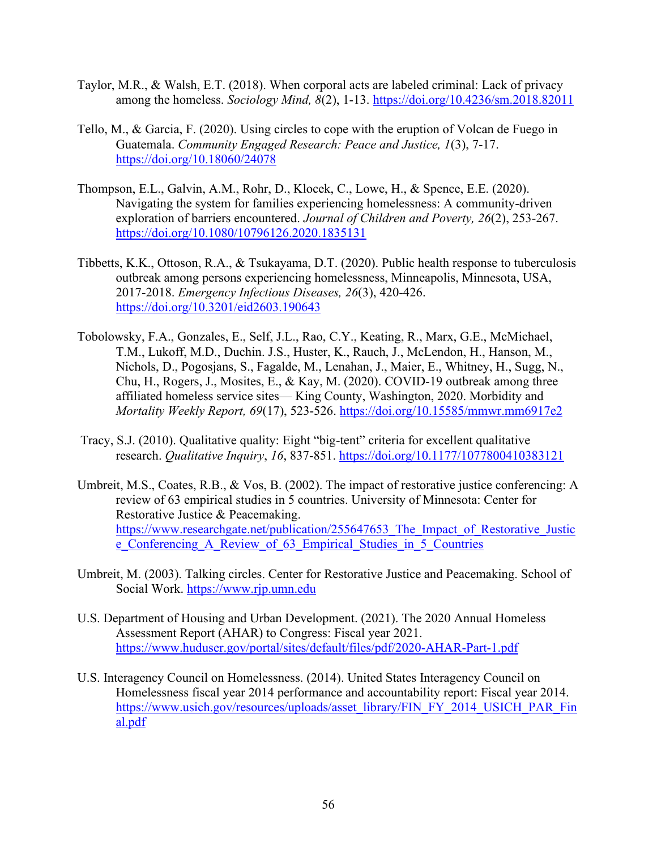- Taylor, M.R., & Walsh, E.T. (2018). When corporal acts are labeled criminal: Lack of privacy among the homeless. *Sociology Mind, 8*(2), 1-13.<https://doi.org/10.4236/sm.2018.82011>
- Tello, M., & Garcia, F. (2020). Using circles to cope with the eruption of Volcan de Fuego in Guatemala. *Community Engaged Research: Peace and Justice, 1*(3), 7-17. <https://doi.org/10.18060/24078>
- Thompson, E.L., Galvin, A.M., Rohr, D., Klocek, C., Lowe, H., & Spence, E.E. (2020). Navigating the system for families experiencing homelessness: A community-driven exploration of barriers encountered. *Journal of Children and Poverty, 26*(2), 253-267. <https://doi.org/10.1080/10796126.2020.1835131>
- Tibbetts, K.K., Ottoson, R.A., & Tsukayama, D.T. (2020). Public health response to tuberculosis outbreak among persons experiencing homelessness, Minneapolis, Minnesota, USA, 2017-2018. *Emergency Infectious Diseases, 26*(3), 420-426. <https://doi.org/10.3201/eid2603.190643>
- Tobolowsky, F.A., Gonzales, E., Self, J.L., Rao, C.Y., Keating, R., Marx, G.E., McMichael, T.M., Lukoff, M.D., Duchin. J.S., Huster, K., Rauch, J., McLendon, H., Hanson, M., Nichols, D., Pogosjans, S., Fagalde, M., Lenahan, J., Maier, E., Whitney, H., Sugg, N., Chu, H., Rogers, J., Mosites, E., & Kay, M. (2020). COVID-19 outbreak among three affiliated homeless service sites— King County, Washington, 2020. Morbidity and *Mortality Weekly Report, 69*(17), 523-526.<https://doi.org/10.15585/mmwr.mm6917e2>
- Tracy, S.J. (2010). Qualitative quality: Eight "big-tent" criteria for excellent qualitative research. *Qualitative Inquiry*, *16*, 837-851.<https://doi.org/10.1177/1077800410383121>
- Umbreit, M.S., Coates, R.B., & Vos, B. (2002). The impact of restorative justice conferencing: A review of 63 empirical studies in 5 countries. University of Minnesota: Center for Restorative Justice & Peacemaking. https://www.researchgate.net/publication/255647653 The Impact of Restorative Justic [e\\_Conferencing\\_A\\_Review\\_of\\_63\\_Empirical\\_Studies\\_in\\_5\\_Countries](https://www.researchgate.net/publication/255647653_The_Impact_of_Restorative_Justice_Conferencing_A_Review_of_63_Empirical_Studies_in_5_Countries)
- Umbreit, M. (2003). Talking circles. Center for Restorative Justice and Peacemaking. School of Social Work. [https://www.rjp.umn.edu](https://www.rjp.umn.edu/)
- U.S. Department of Housing and Urban Development. (2021). The 2020 Annual Homeless Assessment Report (AHAR) to Congress: Fiscal year 2021. <https://www.huduser.gov/portal/sites/default/files/pdf/2020-AHAR-Part-1.pdf>
- U.S. Interagency Council on Homelessness. (2014). United States Interagency Council on Homelessness fiscal year 2014 performance and accountability report: Fiscal year 2014. [https://www.usich.gov/resources/uploads/asset\\_library/FIN\\_FY\\_2014\\_USICH\\_PAR\\_Fin](https://www.usich.gov/resources/uploads/asset_library/FIN_FY_2014_USICH_PAR_Final.pdf) [al.pdf](https://www.usich.gov/resources/uploads/asset_library/FIN_FY_2014_USICH_PAR_Final.pdf)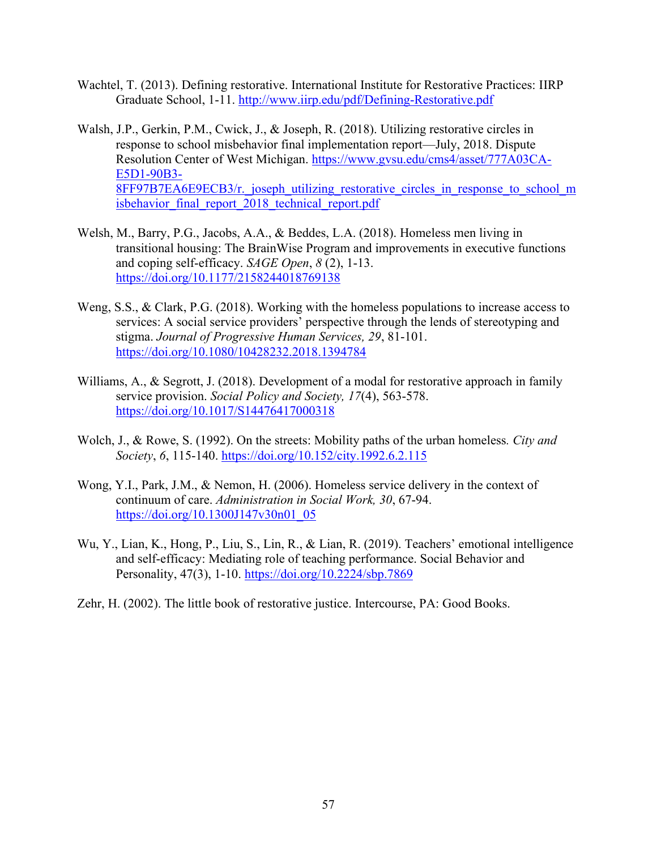- Wachtel, T. (2013). Defining restorative. International Institute for Restorative Practices: IIRP Graduate School, 1-11.<http://www.iirp.edu/pdf/Defining-Restorative.pdf>
- Walsh, J.P., Gerkin, P.M., Cwick, J., & Joseph, R. (2018). Utilizing restorative circles in response to school misbehavior final implementation report—July, 2018. Dispute Resolution Center of West Michigan. [https://www.gvsu.edu/cms4/asset/777A03CA-](https://www.gvsu.edu/cms4/asset/777A03CA-E5D1-90B3-8FF97B7EA6E9ECB3/r._joseph_utilizing_restorative_circles_in_response_to_school_misbehavior_final_report_2018_technical_report.pdf)[E5D1-90B3-](https://www.gvsu.edu/cms4/asset/777A03CA-E5D1-90B3-8FF97B7EA6E9ECB3/r._joseph_utilizing_restorative_circles_in_response_to_school_misbehavior_final_report_2018_technical_report.pdf) 8FF97B7EA6E9ECB3/r. joseph\_utilizing\_restorative\_circles\_in\_response\_to\_school\_m [isbehavior\\_final\\_report\\_2018\\_technical\\_report.pdf](https://www.gvsu.edu/cms4/asset/777A03CA-E5D1-90B3-8FF97B7EA6E9ECB3/r._joseph_utilizing_restorative_circles_in_response_to_school_misbehavior_final_report_2018_technical_report.pdf)
- Welsh, M., Barry, P.G., Jacobs, A.A., & Beddes, L.A. (2018). Homeless men living in transitional housing: The BrainWise Program and improvements in executive functions and coping self-efficacy. *SAGE Open*, *8* (2), 1-13. <https://doi.org/10.1177/2158244018769138>
- Weng, S.S., & Clark, P.G. (2018). Working with the homeless populations to increase access to services: A social service providers' perspective through the lends of stereotyping and stigma. *Journal of Progressive Human Services, 29*, 81-101. <https://doi.org/10.1080/10428232.2018.1394784>
- Williams, A., & Segrott, J. (2018). Development of a modal for restorative approach in family service provision. *Social Policy and Society, 17*(4), 563-578. <https://doi.org/10.1017/S14476417000318>
- Wolch, J., & Rowe, S. (1992). On the streets: Mobility paths of the urban homeless*. City and Society*, *6*, 115-140.<https://doi.org/10.152/city.1992.6.2.115>
- Wong, Y.I., Park, J.M., & Nemon, H. (2006). Homeless service delivery in the context of continuum of care. *Administration in Social Work, 30*, 67-94. [https://doi.org/10.1300J147v30n01\\_05](https://doi.org/10.1300J147v30n01_05)
- Wu, Y., Lian, K., Hong, P., Liu, S., Lin, R., & Lian, R. (2019). Teachers' emotional intelligence and self-efficacy: Mediating role of teaching performance. Social Behavior and Personality, 47(3), 1-10.<https://doi.org/10.2224/sbp.7869>
- Zehr, H. (2002). The little book of restorative justice. Intercourse, PA: Good Books.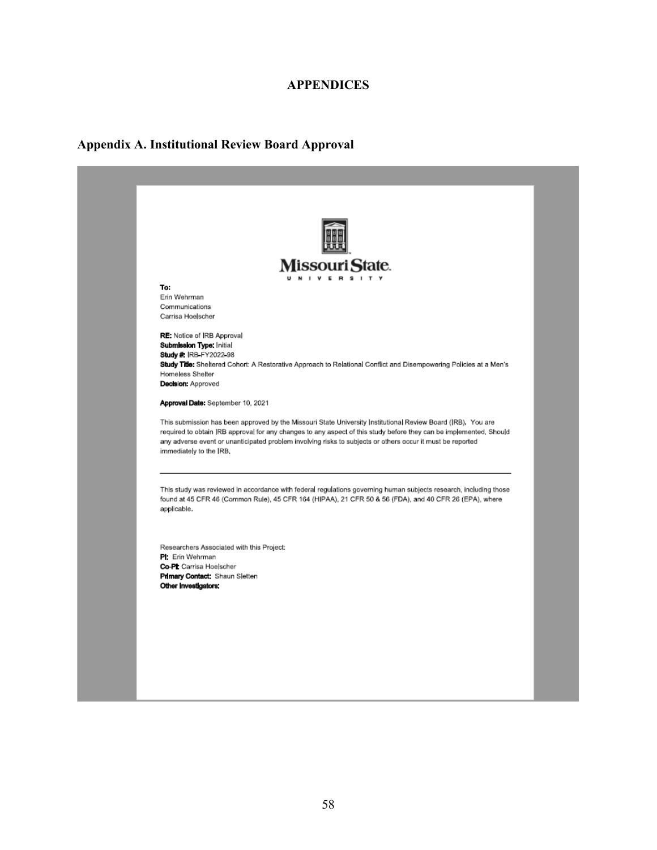## **APPENDICES**

## **Appendix A. Institutional Review Board Approval**

| Missouri State.<br>I V E R S I T Y                                                                                                                                                                                                                                                                                                                                          |  |  |
|-----------------------------------------------------------------------------------------------------------------------------------------------------------------------------------------------------------------------------------------------------------------------------------------------------------------------------------------------------------------------------|--|--|
| To:                                                                                                                                                                                                                                                                                                                                                                         |  |  |
| Erin Wehrman<br>Communications                                                                                                                                                                                                                                                                                                                                              |  |  |
| Carrisa Hoelscher                                                                                                                                                                                                                                                                                                                                                           |  |  |
| RE: Notice of IRB Approval                                                                                                                                                                                                                                                                                                                                                  |  |  |
| Submission Type: Initial<br>Study # IRB FY2022 98                                                                                                                                                                                                                                                                                                                           |  |  |
| Study Title: Sheltered Cohort: A Restorative Approach to Relational Conflict and Disempowering Policies at a Men's                                                                                                                                                                                                                                                          |  |  |
| Homeless Shelter                                                                                                                                                                                                                                                                                                                                                            |  |  |
| Decision: Approved                                                                                                                                                                                                                                                                                                                                                          |  |  |
| Approval Date: September 10, 2021                                                                                                                                                                                                                                                                                                                                           |  |  |
| This submission has been approved by the Missouri State University Institutional Review Board (IRB). You are<br>required to obtain IRB approval for any changes to any aspect of this study before they can be implemented. Should<br>any adverse event or unanticipated problem involving risks to subjects or others occur it must be reported<br>immediately to the IRB. |  |  |
| This study was reviewed in accordance with federal regulations governing human subjects research, including those<br>found at 45 CFR 46 (Common Rule), 45 CFR 164 (HIPAA), 21 CFR 50 & 56 (FDA), and 40 CFR 26 (EPA), where<br>applicable.                                                                                                                                  |  |  |
| Researchers Associated with this Project:                                                                                                                                                                                                                                                                                                                                   |  |  |
| PI: Erin Wehrman                                                                                                                                                                                                                                                                                                                                                            |  |  |
| Co-PL Carrisa Hoelscher<br>Primary Contact: Shaun Sletten                                                                                                                                                                                                                                                                                                                   |  |  |
|                                                                                                                                                                                                                                                                                                                                                                             |  |  |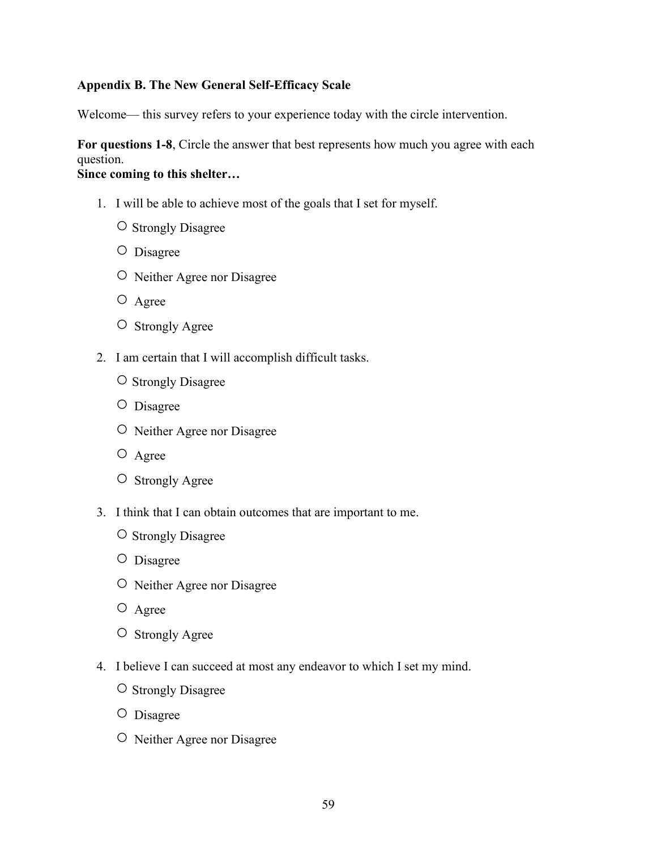## **Appendix B. The New General Self-Efficacy Scale**

Welcome— this survey refers to your experience today with the circle intervention.

**For questions 1-8**, Circle the answer that best represents how much you agree with each question.

## **Since coming to this shelter…**

- 1. I will be able to achieve most of the goals that I set for myself.
	- ○Strongly Disagree
	- Disagree
	- Neither Agree nor Disagree
	- Agree
	- Strongly Agree
- 2. I am certain that I will accomplish difficult tasks.
	- ○Strongly Disagree
	- Disagree
	- Neither Agree nor Disagree
	- Agree
	- Strongly Agree
- 3. I think that I can obtain outcomes that are important to me.
	- ○Strongly Disagree
	- Disagree
	- Neither Agree nor Disagree
	- Agree
	- Strongly Agree
- 4. I believe I can succeed at most any endeavor to which I set my mind.
	- ○Strongly Disagree
	- Disagree
	- Neither Agree nor Disagree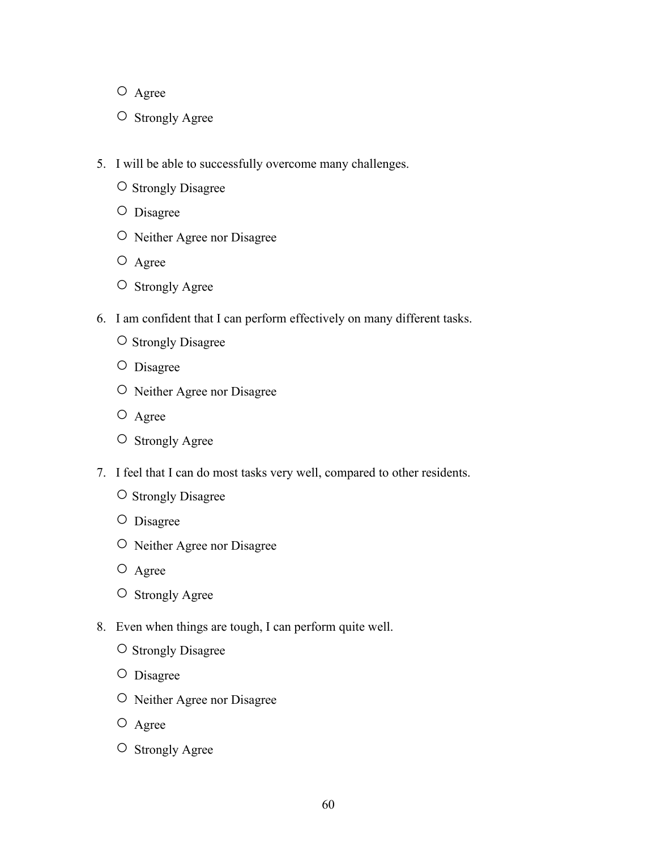- Agree
- Strongly Agree
- 5. I will be able to successfully overcome many challenges.
	- ○Strongly Disagree
	- Disagree
	- Neither Agree nor Disagree
	- Agree
	- Strongly Agree
- 6. I am confident that I can perform effectively on many different tasks.
	- ○Strongly Disagree
	- Disagree
	- Neither Agree nor Disagree
	- Agree
	- Strongly Agree
- 7. I feel that I can do most tasks very well, compared to other residents.
	- ○Strongly Disagree
	- Disagree
	- Neither Agree nor Disagree
	- Agree
	- Strongly Agree
- 8. Even when things are tough, I can perform quite well.
	- ○Strongly Disagree
	- Disagree
	- Neither Agree nor Disagree
	- Agree
	- Strongly Agree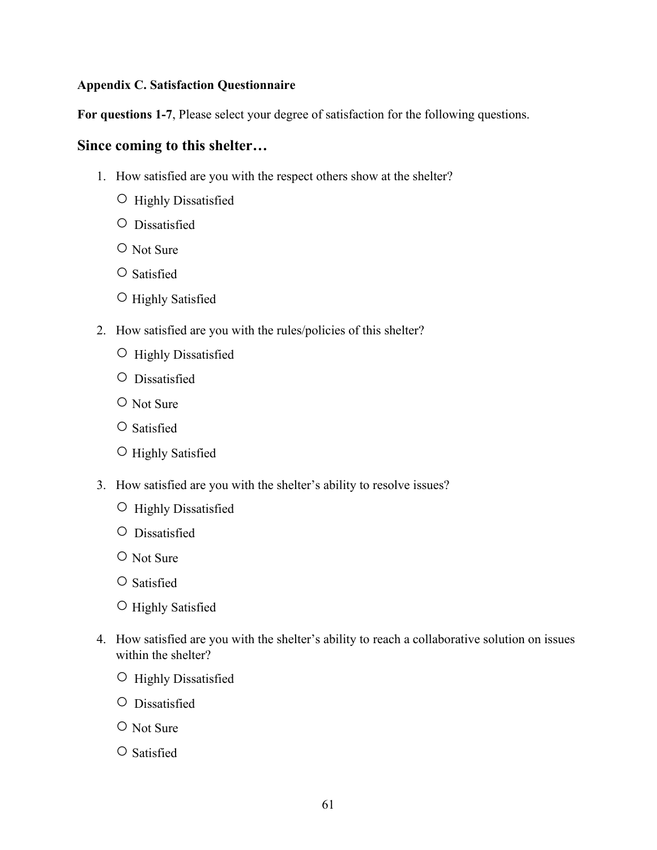## **Appendix C. Satisfaction Questionnaire**

**For questions 1-7**, Please select your degree of satisfaction for the following questions.

## **Since coming to this shelter…**

- 1. How satisfied are you with the respect others show at the shelter?
	- Highly Dissatisfied
	- Dissatisfied
	- Not Sure
	- ○Satisfied
	- Highly Satisfied
- 2. How satisfied are you with the rules/policies of this shelter?
	- Highly Dissatisfied
	- Dissatisfied
	- Not Sure
	- ○Satisfied
	- Highly Satisfied
- 3. How satisfied are you with the shelter's ability to resolve issues?
	- Highly Dissatisfied
	- Dissatisfied
	- Not Sure
	- ○Satisfied
	- Highly Satisfied
- 4. How satisfied are you with the shelter's ability to reach a collaborative solution on issues within the shelter?
	- Highly Dissatisfied
	- Dissatisfied
	- Not Sure
	- ○Satisfied